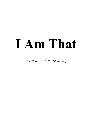# I Am That

Sri Nisargadatta Maharaj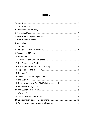# Index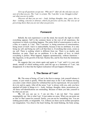Give up all questions except one: 'Who am I?' After all, the only fact you are sure of is that you are. The 'I am' is certain. The 'I am this' is not. Struggle to find out what you are in reality.

Discover all that you are not -- body, feelings thoughts, time, space, this or that -- nothing, concrete or abstract, which you perceive can be you. The very act of perceiving shows that you are not what you perceive.

### Foreword

Behold, the real experiencer is not the mind, but myself, the light in which everything appears. Self is the common factor at the root of all experience, the awareness in which everything happens. The entire field of consciousness is only as a film, or a speck, in 'I am'. This 'I am-ness' is, being conscious of consciousness, being aware of itself. And it is indescribable, because it has no attributes. It is only being my self, and being my self is all that there is. Everything that exists, exists as my self. There is nothing which is different from me. There is no duality and, therefore, no pain. There are no problems. It is the sphere of love, in which everything is perfect. What happens, happens spontaneously, without intentions - like digestion, or the growth of the hair. Realise this, and be free from the limitations of the mind.

 He suggests that you return again and again to 'I am' until it is your only abode, outside of which nothing exists; until the ego as a limitation of 'I am', has disappeared. It is then that the highest realisation will just happen effortlessly.

# 1. The Sense of 'I am'

M.: The sense of being, of 'I am' is the first to emerge. Ask yourself whence it comes, or just watch it quietly. When the mind stays in the 'I am' without moving, you enter a state which cannot be verbalised but can be experienced. All you need to do is try and try again. After all the sense 'I am' is always with you, only you have attached all kinds of things to it -- body, feelings, thoughts, ideas, possessions etc. All these self-identifications are misleading. Because of them you take yourself to be what you are not.

M.: All you can say is: 'I am not this, I am not that'. You cannot meaningfully say 'this is what I am'. It just makes no sense. What you can point out as 'this' or 'that' cannot be yourself. Surely, you can not be 'something' else. You are nothing perceivable, or imaginable. Yet, without you there can be neither perception nor imagination. You observe the heart feeling, the mind thinking, the body acting;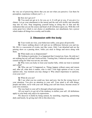the very act of perceiving shows that you are not what you perceive. Can there be perception, experience without you? (…)

Q: How do I get at it?

M: You need not get at it, for you *are* it. It will get at you, if you give it a chance. Let go your attachment to the unreal and the real will swiftly and smoothly step into its own. Stop imagining yourself being or doing this or that and the realisation that you are the source and heart of all will dawn upon you. With this will come great love which is not choice or predilection, nor attachment, but a power which makes all things love-worthy and lovable.

# 2. Obsession with the body

Q: Your words are wise, your behaviour noble, your grace all-powerful.

M: I know nothing about it all and see no difference between you and me. My life is a succession of events, just like yours. Only I am detached and see the passing show as a passing show, while you stick to things and move along with them.

Q: What made you so dispassionate?

M: Nothing in particular. It so happened that I trusted my Guru. He told me I am nothing but my self and I believed him. Trusting him, I behaved accordingly and ceased caring for what was not me, nor mine.

Q: Why were you lucky to trust your teacher fully, while our trust is nominal and verbal?

M: Who can say? It happened so. Things happen without cause and reason and, after all, what does it matter, who is who? Your high opinion of me is your opinion only. Any moment you may change it. Why attach importance to opinions, even your own?

Q: What do you see?

M: I see what you too could see, here and now, but for the wrong focus of your attention. You give no attention to your self. Your mind is all with things, people and ideas, never with your self. Bring your self into focus, become aware of your own existence.

The way back to your self is through refusal and rejection.

All you need is to get rid of the tendency to define your self. All definitions apply to your body only and to its expressions.

We discover it [Self] by being earnest, by searching, enquiring, questioning daily and hourly, by giving one's life to this discovery.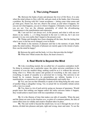# 3. The Living Present

M.: Between the banks of pain and pleasure the river of life flows. It is only when the mind refuses to flow with life, and gets stuck at the banks, that it becomes a problem. By flowing with life I mean acceptance -- letting come what comes and go what goes. Desire not, fear not, observe the actual, as and when it happens, for you are not what happens, you are to whom it happens. Ultimately even the observer you are not. You are the ultimate potentiality of which the all-embracing consciousness is the manifestation and expression.

**M.:** I am real for I am always *now*, in the present, and what is with me now shares in my reality.  $(...)$  A thing focussed in the now is with me, for I am ever present; it is my own reality that I impart to the present event.

M: Things and thoughts have been changing all the time. But the feeling that what is now is real has never changed, even in dream.

M: Desire is the memory of pleasure and fear is the memory of pain. Both make the mind restless. Moments of pleasure are merely gaps in the stream of pain. How can the mind be happy?

Q: Between the spirit and the body, is it love that provides the bridge? M: What else? Mind creates the abyss, the heart crosses it.

# 4. Real World is Beyond the Mind

M: Like everything mental, the so-called law of causation contradicts itself. No thing in existence has a particular cause; the entire universe contributes to the existence of even the smallest thing; nothing could be as it is without the universe being what it is. When the source and ground of everything is the only cause of everything, to speak of causality as a universal law is wrong. The universe is not bound by its content, because its potentialities are infinite; besides it is a manifestation, or expression of a principle fundamentally and totally free.

Q: Yes, one can see that ultimately to speak of one thing being the only cause of another thing is altogether wrong. Yet, in actual life we invariably initiate action with a view to a result.

M: Yes, there is a lot of such activity going on, because of ignorance. 'Would people know that nothing can happen unless the entire universe makes it happen, they would achieve much more with less expenditure of energy.

M.: It is the illusion of time that makes you talk of causality. When the past and the future are seen in the timeless *now*, as parts of a common pattern, the idea of cause-effect loses its validity and creative freedom takes its place.

M.: The real world is beyond the mind's ken; we see it through the net of our desires, divided into pleasure and pain, right and wrong, inner and outer. To see the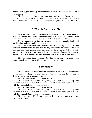universe as it is, you must step beyond the net. It is not hard to do so, for the net is full of holes.

M.: But, this source is not a cause and no cause is a source. Because of that, I say everything is uncaused. You may try to trace how a thing happens, but you cannot find out why a thing is as it is. A thing is as it is, because the universe is as it is.

# 5. What is Born must Die

M: How do you go about finding anything? By keeping your mind and heart in it. Interest there must be and steady remembrance. To remember what needs to be remembered is the secret of success. You come to it through earnestness.

Q: Do you mean to say that mere wanting to find out is enough? Surely, both qualifications and opportunities are needed.

M: These will come with earnestness. What is supremely important is to be free from contradictions: the goal and the way must not be on different levels; life and light must not quarrel; behaviour must not betray belief. Call it honesty, integrity, wholeness; you must not go back, undo, uproot, abandon the conquered ground. Tenacity of purpose and honesty in pursuit will bring you to your goal.

M: Turn within. 'I am' you know. Be with it all the time you can spare, until you revert to it spontaneously. There is no simpler and easier way.

#### 6. Meditation

M.: Whatever vice or weakness in ourselves we discover and understand its causes and its workings, we overcome it by the very knowing; the unconscious dissolves when brought into the conscious.

Q: How to strengthen and purify the *sattva*?

M: The *sattva* is pure and strong always. It is like the sun. It may seem obscured by clouds and dust, but only from the point of view of the perceiver. Deal with the causes of obscuration, not with the sun.

Q: How to strengthen and purify the *sattva*?

M: The *sattva* is pure and strong always. It is like the sun. It may seem obscured by clouds and dust, but only from the point of view of the perceiver. Deal with the causes of obscuration, not with the sun.

M.: It is neither difficult, nor a protracted process; earnestness is the only condition of success.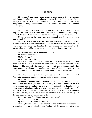# 7. The Mind

M.: In pure being consciousness arises; in consciousness the world appears and disappears. All there is is me, all there is is mine. Before all beginnings, after all endings -- I AM. All has its being in me, in the 'I am', that shines in every living being. Even not-being is unthinkable without me. Whatever happens, I must be there to witness it.

M.: The world can be said to appear, but not to be. The appearance may last very long on some scale of time, and be very short on another, but ultimately it comes to the same. Whatever is time bound is momentary and has no reality.

Q: Surely, you see the actual world as it surrounds you. You seem to behave quite normally!

M: That is how it appears to you. What in your case occupies the entire field of consciousness, is a mere speck in mine. The world lasts, but for a moment. It is your memory that makes you think that the world continues. Myself, I don't live by memory. I see the world as it is, a momentary appearance in consciousness.

M.: Past and future are in mind only -- I am *now*.

**Q:** The world too is *now*.

M: Which world?

Q: The world around us.

M: It is your world you have in mind, not mine. What do you know of me, when even my talk with you is in your world only? You have no reason to believe that my world is identical with yours. My world is real, true, as it is perceived, while yours appears and disappears, according to the state of your mind. Your world is something alien, and you are afraid of it. My world is myself. I am at home.

M.: Your world is mind-made, subjective, enclosed within the mind, fragmentary, temporary, personal, hanging on the thread of memory.

Q: So is yours?

M: Oh no. I live in a world of realities, while yours is of imagination. Your world is personal, private, unshareable, intimately your own. Nobody can enter it, see as you see, hear as you hear, feel your emotions and think your thoughts. In your world you are truly alone, enclosed in your ever-changing dream, which you take for life. My world is an open world, common to all, accessible to all. In my world there is community, insight, love, real quality; the individual is the total, the totality -- in the individual. All are one and the One is all.

Q: Is your world full of things and people as is mine?

M: No, it is full of myself.

Q: But do you see and hear as we do?

M: Yes, l appear to hear and see and talk and act, but to me it just happens, as to you digestion or perspiration happens. The body-mind machine looks after it, but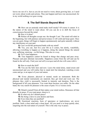leaves me out of it. Just as you do not need to worry about growing hair, so I need not worry about words and actions. They just happen and leave me unconcerned, for in my world nothing ever goes wrong.

# 8. The Self Stands Beyond Mind

M: How can an unsteady mind make itself steady? Of course it cannot. It is the nature of the mind to roam about. All you can do is to shift the focus of consciousness beyond the mind.

Q: How is it done?

M: Refuse all thoughts except one: the thought 'I am'. The mind will rebel in the beginning, but with patience and perseverance it will yield and keep quiet. Once you are quiet, things will begin to happen spontaneously and quite naturally without any interference on your part.

Q: Can I avoid this protracted battle with my mind?

M: Yes, you can. Just live your life as it comes, but alertly, watchfully, allowing everything to happen as it happens, doing the natural things the natural way, suffering, rejoicing -- as life brings. This also is a way.

Q: Yet I want happiness.

M: True happiness cannot be found in things that change and pass away. Pleasure and pain alternate inexorably. Happiness comes from the self and can be found in the self only. Find your real self (swarupa) and all else will come with it.

Q: How to reach the Self?

M: You are the Self, here and now. Leave the mind alone, stand aware and unconcerned and you will realise that to stand alert but detached, watching events come and go, is an aspect of your real nature.

M: Every pleasure, physical or mental, needs an instrument. Both the physical and mental instruments are material, they get tired and worn out. The pleasure they yield is necessarily limited in intensity and duration. Pain is the background of all your pleasures. You want them because you suffer. On the other hand, the very search for pleasure is the cause of pain. It is a vicious circle.

M: Detach yourself from all that makes your mind restless. Renounce all that disturbs its peace. If you want peace, deserve it.

Q: In what way do I disturb peace?

M: By being a slave to your desires and fears.

Q: Even when they are justified?

M: Emotional reactions, born of ignorance or inadvertence, are never justified. Seek a clear mind and a clean heart. All you need is to keep quietly alert, enquiring into the real nature of yourself. This is the only way to peace.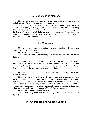### 9. Responses of Memory

M: The world you can perceive is a very small world indeed. And it is entirely private. Take it to be a dream and be done with it.

M: My world is just like yours. I see, I hear, I feel, I think, I speak and act in a world I perceive, just like you. But with you it is all, with me it is nothing. Knowing the world to be a part of myself, I pay it no more attention than you pay to the food you have eaten. While being prepared and eaten, the food is separate from you and your mind is on it; once swallowed, you become totally unconscious of it. I have eaten up the world and I need not think of it any more.

#### 10. Witnessing

M.: Remember, you cannot abandon what you do not know. To go beyond yourself, you must know yourself.

Q: And what do I discover?

M: You discover that there is nothing to discover. You are what you are and that is all.

M: If you trust me, believe when I tell you that you are the pure awareness that illuminates consciousness and its infinite content. Realise this and live accordingly. If you do not believe me, then go within, enquiring 'What am I'? or, focus your mind on 'I am', which is pure and simple being.

Q: Well, you told me that I am the Supreme Reality. I believe you. What next is there for me to do?

M: I told you already. Discover all you are not. Body, feelings, thoughts, ideas, time, space, being and not-being, this or that -- nothing concrete or abstract you can point out to is you. A mere verbal statement will not do -- you may repeat a formula endlessly without any result whatsoever. You must watch yourself continuously -- particularly your mind -- moment by moment, missing nothing. This witnessing is essential for the separation of the self from the not-self.

Q: The witnessing -- is it not my real nature?

M: For witnessing, there must be something else to witness. We are still in duality!

#### 11. Awareness and Consciousness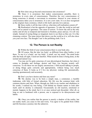Q: How does one go beyond consciousness into awareness?

M: Since it is awareness that makes consciousness possible, there is awareness in every state of consciousness. Therefore the very consciousness of being conscious is already a movement in awareness. Interest in your stream of consciousness takes you to awareness. It is not a new state. It is at once recognised as the original, basic existence, which is life itself, and also love and joy.

Q: Since reality is all the time with us, what does self-realisation consist of?

M: Realisation is but the opposite of ignorance. To take the world as real and one's self as unreal is ignorance. The cause of sorrow. To know the self as the only reality and all else as temporal and transient is freedom, peace and joy. It is all very simple. Instead of seeing things as imagined, learn to see them as they are. It is like cleansing a mirror. The same mirror that shows you the world as it is, will also show you your own face. The thought 'I am' is the polishing cloth. Use it.

# 12. The Person is not Reality

Q: Within the field of your consciousness there is your body also.

M: Of course. But the idea 'my body', as different from other bodies, is not there. To me it is 'a body', not 'my body', 'a mind', not 'my mind'. The mind looks after the body all right, I need not interfere. What needs be done is being done, in the normal and natural way.

You may not be quite conscious of your physiological functions, but when it comes to thoughts and feelings, desires and fears you become acutely selfconscious. To me these too are largely unconscious. I find myself talking to people, or doing things quite correctly and appropriately, without being very much conscious of them. It looks as if I live my physical, waking life automatically, reacting spontaneously and accurately.

Q: Don't you have desires and fears any more?

M: My destiny was to be born a simple man, a commoner, a humble tradesman, with little of formal education. My life was the common kind, with common desires and fears. When, through my faith in my teacher and obedience to his words, I realised my true being, I left behind my human nature to look after itself, until its destiny is exhausted. Occasionally an old reaction, emotional or mental, happens in the mind, but it is at once noticed and discarded. After all, as long as one is burdened with a person, one is exposed to its idiosyncrasies and habits.

M.: Once you realise that the person is merely a shadow of the reality, but not reality itself, you cease to fret and worry. You agree to be guided from within and life becomes a journey into the unknown.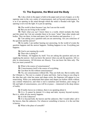# 13. The Supreme, the Mind and the Body

M.: Like a hole in the paper is both in the paper and yet not of paper, so is the supreme state in the very centre of consciousness, and yet beyond consciousness. It is as if an opening in the mind through which the mind is flooded with light. The opening is not even the light. It is just an opening.

M.:The world is there because I am, but I am not the world.

Q: But you are living in the world!

M: That's what you say! I know there is a world, which includes this body and this mind, but I do not consider them to be more "mine" than other minds and bodies. They are there, in time and space, but I am timeless and spaceless. (…)

Q: I am asking you a question and you are answering. Are you conscious of the question and the answer?

M: In reality I am neither hearing nor answering. In the world of events the question happens and the answer happens. Nothing happens to me. Everything just happens.

M: God is not running the world.

Q: Then who is doing it?

M: Nobody. All happens by itself. You are asking the question and you are supplying the answer. And you know the answer when you ask the question. All is a play in consciousness. All divisions are illusory. You can know the false only. The true you must yourself be.

Q: What is the source of consciousness?

M: Consciousness itself is the source of everything.

Q: Can there be life without consciousness?

M: No, nor consciousness without life. They are both one. But in reality only the Ultimate is. The rest is a matter of name and form. And as long as you cling to the idea that only what has name and shape exists, the Supreme will appear to you nonexisting. When you understand that names and shapes are hollow shells without any content whatsoever, and what is real is nameless and formless, pure energy of life and light of consciousness, you will be at peace -- immersed in the deep silence of reality.

Q: If reality leaves no evidence, there is no speaking about it.

M: It is. It cannot be denied. It is deep and dark, mystery beyond mystery. But it is, while all else merely happens.

Q: Is it the Unknown?

M: It is beyond both, the known and the unknown. But I would rather call it the known, than the unknown. For whenever something is known, it is the real that is known.

Q: What is the place of samadhi?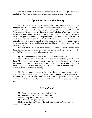M: Not making use of one's consciousness is *samadhi*. You just leave your mind alone. You want nothing, neither-from your body nor from your mind.

# 14. Appearances and the Reality

M: Of course, everything is inter-linked. And therefore everything has numberless causes. The entire universe contributes to the least thing. A thing is as it is, because the world is as it is. You see, you deal in gold ornaments and I -- in gold. Between the different ornaments there is no causal relation. When you re-melt an ornament to make another, there is no causal relation between the two. The common factor is the gold. But you cannot say gold is the cause. It cannot be called a cause, for it causes nothing by itself. It is reflected in the mind as 'I am', as the ornament's particular name and shape. Yet all is only gold. In the same way reality makes everything possible and yet nothing that makes a thing what it is, its name and form, comes from reality.

But why worry so much about causation? What do causes matter, when things themselves are transient? Let come what comes and let go what goes -- why catch hold of things and enquire about their causes?

Q: All I want to know is how to deal with the world's sorrows.

M: You have created them out of your own desires and fears, you deal with them. All is due to your having forgotten your own being. Having given reality to the picture on the screen, you love its people and suffer for them and seek to save them. It is just not so. You must begin with yourself. There is no other way. Work, of course. There is no harm in working.

M: To take appearance for reality is a grievous sin and the cause of all calamities. You are the all-pervading, eternal and infinitely creative awareness - consciousness. All else is local and temporary. Don't forget what you are. In the meantime work to your heart's content. Work and knowledge should go hand in hand.

# 15. The Jnani

**M.:** The earth is mine; what grows on it is God's.

Q: Did God take the earth on rent from you?

M: God is my devotee and did all this for me.

Q: Is there no God apart from you?

M: How can there be? 'I am' is the root, God is the tree. Whom am I to worship, and what for?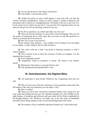Q: Are you the devotee or the object of devotion?

M: I am neither, I am devotion itself.

M: Within the prison of your world appears a man who tells you that the world of painful contradictions, which you have created, is neither continuous nor permanent and is based on a misapprehension. He pleads with you to get out of it, by the same way by which you got into it. You got into it by forgetting what you are and you will get out of it by knowing yourself as you are.

Q: So all my questions, my search and study are of no use?

M: These are but the stirrings of a man who is tired of sleeping. They are not the causes of awakening, but its early signs. But, you must not ask idle questions, to which you already know the answers.

Q: How am I to get a true answer?

M: By asking a true question -- non-verbally, but by daring to live according to your lights. A man willing to die for truth will get it.

Q: The worry with me is that I am prone to denying existence to what I cannot imagine.

M: You would be wiser to deny the existence of what you imagine. It is the imagined that is unreal.

Q: Is all imaginable unreal?

M: Imagination based on memories is unreal. The future is not entirely unreal.

Q: Which part of the future is real and which is not?

M: The unexpected and unpredictable is real.

# 16. Desirelessness, the Highest Bliss

M: All experience is time bound. Whatever has a beginning must have an end.

M: Why not turn away from the experience to the experiencer and realise the full import of the only true statement you can make: 'I am'?

Q: How is it done?

M: There is no 'how' here. Just keep in mind the feeling 'I am', merge in it, till your mind and feeling become one. By repeated attempts you will stumble on the right balance of attention and affection and your mind will be firmly established in the thought-feeling 'I am'. Whatever you think, say, or do, this sense of immutable and affectionate being remains as the ever-present background of the mind.

Q: The memory of my wonderful experiences haunts me. I want them back.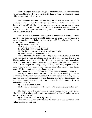M: Because you want them back, you cannot have them. The state of craving for anything blocks all deeper experience. Nothing of value can happen to a mind which knows exactly what it wants.

M: Your aims are small and low. They do not call for more. Only God's energy is infinite -- because He wants nothing for Himself. Be like Him and all your desires will be fulfilled. The higher your aims and vaster your desires, the more energy you will have for their fulfilment. Desire the good of all and the universe will work with you. But if you want your own pleasure, you must earn it the hard way. Before desiring, deserve.

M: To earn a livelihood some specialised knowledge is needed. General knowledge develops the mind, no doubt. But if you are going to spend your life in amassing knowledge, you build a wall round yourself. To go beyond the mind, a wellfurnished mind is not needed.

Q: Then what is needed?

M: Distrust your mind, and go beyond.

Q: What shall I find beyond the mind?

M: The direct experience of being, knowing and loving.

Q: How does one go beyond the mind?

M: There are many starting points -- they all lead to the same goal. You may begin with selfless work, abandoning the fruits of action; you may then give up thinking and end in giving up all desires. Here, giving up (tyaga) is the operational factor. Or, you may not bother about any thing you want, or think, or do and just stay put in the thought and feeling 'I am', focussing 'I am' firmly in your mind. All kinds of experience may come to you -- remain unmoved in the knowledge that all perceivable is transient, and only the 'I am' endures.

Q: I cannot give all my life to such practices. I have my duties to attend to.

M: By all means attend to your duties. Action, in which you are not emotionally involved and which is beneficial and does not cause suffering will not bind you. You may be engaged in several directions and work with enormous zest, yet remain inwardly free and quiet, with a mirror-like mind, which reflects all, without being affected.

Q: Is such a state realisable?

M: I would not talk about it, if it were not. Why should I engage in fancies?

M: Your own self is your ultimate teacher *(sadguru)*. The outer teacher (Guru) is merely a milestone. It is only your inner teacher, that will walk with you to the goal, for he is the goal.

Q: The inner teacher is not easily reached.

M: Since he is in you and with you, the difficulty cannot be serious. Look within, and you will find him.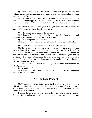Q: When I look within, I find sensations and perceptions, thoughts and feelings, desires and fears, memories and expectations. I am immersed in this cloud and see nothing else.

M: That which sees all this, and the nothing too, is the inner teacher. He alone is, all else only appears to be. He is your own self (swarupa), your hope and assurance of freedom; find him and cling to him and you will be saved and safe.

M: What helps you to know yourself is right. What prevents, is wrong. To know one's real self is bliss, to forget -- is sorrow.

Q: Is the witness-consciousness the real Self?

M: It is the reflection of the real in the mind *(buddhi)*. The real is beyond. The witness is the door through which you pass beyond.

Q: What is the purpose of meditation?

M: Seeing the false as the false, is meditation. This must go on all the time.

Q: Please tell me which road to self-realisation is the shortest.

M: No way is short or long, but some people are more in earnest and some are less. I can tell you about myself. I was a simple man, but I trusted my Guru. What he told me to do, I did. He told me to concentrate on 'I am' -- I did. He told me that I am beyond all perceivables and conceivables -- I believed. I gave him my heart and soul, my entire attention and the whole of my spare time (I had to work to keep my family alive). As a result of faith and earnest application, I realised my self (swarupa) within three years.

You may choose any way that suits you; your earnestness will determine the rate of progress.

Q: No hint for me?

M: Establish yourself firmly in the awareness of 'I am'. This is the beginning and also the end of all endeavour.

# 17. The Ever-Present

M: To realise the Eternal is to become the Eternal, the whole, the universe, with all it contains. Every event is the effect and the expression of the whole and is in fundamental harmony with the whole. All response from the whole must be right, effortless and instantaneous.

It cannot be otherwise, if it is right. Delayed response is wrong response. Thought, feeling and action must be one and simultaneous with the situation that calls for them.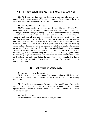#### 18. To Know What you Are, Find What you Are Not

M: All I know is that whatever depends, is not real. The real is truly independent. Since the existence of the person depends on the existence of the world and it is circumscribed and defined by the world, it cannot be real.

Q: I am what I know myself to be.

M: You cannot possibly say that you are what you think yourself to be! Your ideas about yourself change from day to day and from moment to moment. Your self-image is the most changeful thing you have. It is utterly vulnerable, at the mercy of a passer by. A bereavement, the loss of a job, an insult, and your image of yourself, which you call your person, changes deeply. To know what you are you must first investigate and know what you are not. And to know what you are not you must watch yourself carefully, rejecting all that does not necessarily go with the basic fact: 'I am'. The ideas: I am born at a given place, at a given time, from my parents and now I am so-and-so, living at, married to, father of, employed by, and so on, are not inherent in the sense 'I am'. Our usual attitude is of 'I am this'. Separate consistently and perseveringly the 'I am' from 'this' or 'that', and try to feel what it means to be, just to be, without being 'this' or 'that'. All our habits go against it and the task of fighting them is long and hard sometimes, but clear understanding helps a lot. The clearer you understand that on the level of the mind you can be described in negative terms only, the quicker you will come to the end of your search and realise your limitless being.

# 19. Reality lies in Objectivity

Q: How do you look at the world?

M: I see a painter painting a picture. The picture I call the world, the painter I call God. I am neither. I do not create, nor am I created. I contain all, nothing contains me.

M.: Causality is in the mind, only; memory gives the illusion of continuity and repetitiveness creates the idea of causality. When things repeatedly happen together, we tend to see a causal link between them. It creates a mental habit, but a habit is not a necessity.

Q: How is it reached? M: Desirelessness and fearlessness will take you there.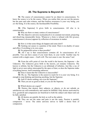# 20. The Supreme is Beyond All

M: The source of consciousness cannot be an object in consciousness. To know the source is to be the source. When you realise that you are not the person, but the pure and calm witness, and that fearless awareness is your very being, you are the being. It is the source, the Inexhaustible Possibility.

M: [The Supreme] It gives birth to consciousness. All else is in consciousness.

Q: Why are there so many centres of consciousness?

M: The objective universe *(mahadakash)* is in constant movement, projecting and dissolving innumerable forms. Whenever a form is infused with life (*prana*), consciousness (chetana) appears by reflection of awareness in matter.

Q: How is it that some things do happen and some don't?

M: Seeking out causes is a pastime of the mind. There is no duality of cause and effect. Everything is its own cause.

Q: No purposeful action is then possible?

M: All I say is that consciousness contains all. In consciousness all is possible. You can have causes if you want them, in your world. Another may be content with a single cause -- God's will. The root cause is one: the sense 'I am'.

M: From the self's point of view the world is the known, the Supreme -- the Unknown. The Unknown gives birth to the known, yet remains Unknown. The known is infinite, but the Unknown is an infinitude of infinities. Just like a ray of light is never seen unless intercepted by the specs of dust, so does the Supreme make everything known, itself remaining unknown.

Q: Does it mean that the Unknown is inaccessible?

M: Oh, no. The Supreme is the easiest to reach for it is your very being. It is enough to stop thinking and desiring anything, but the Supreme.

Q: And if I desire nothing, not even the Supreme?

M: Then you are as good as dead, or you are the Supreme.

Q: Which desires are cogent?

M: Desires that destroy their subjects, or objects, or do not subside on satisfaction are self-contradictory and cannot be fulfilled. Only desires motivated by love, goodwill and compassion are beneficial to both the subject and object and can be fully satisfied.

Q: All desires are painful, the holy as well as the unholy.

M: They are not the same and pain is not the same. Passion is painful, compassion -- never. The entire universe strives to fulfil a desire born of compassion.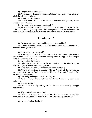Q: Are you then unconscious?

M: Of course not! I am fully conscious, but since no desire or fear enters my mind, there is perfect silence.

Q: Who knows the silence?

M: Silence knows itself. It is the silence of the silent mind, when passions and desires are silenced.

Q: Do you experience desires occasionally?

M: Desires are just waves in the mind. You know a wave when you see one. A desire is just a thing among many. I feel no urge to satisfy it, no action needs be taken on it. Freedom from desire means this: the compulsion to satisfy is absent.

# 21. Who am I?

Q: Are there not good desires and bad, high desires and low?

M: All desires are bad, but some are worse than others. Pursue any desire, it will always give you trouble.

Q: It takes time to know oneself.

M: How can time help you? Time is a succession of moments; each moment appears out of nothing and disappears into nothing, never to reappear. How can you build on something so fleeting?

Q: How to look for myself?

M: Whatever happens, it happens to you. What you do, the doer is in you. Find the subject of all that you are as a person.

Q: My question is: How to find the way to one's own being?

M: Give up all questions except one: 'Who am l'? After all, the only fact you are sure of is that you are. The 'I am' is certain. The 'I am this' is not. Struggle to find out what you are in reality.

Q: I am doing nothing else for the last 60 years.

M: What is wrong with striving? Why look for results? Striving itself is your real nature.

Q: Striving is painful.

M: You make it so by seeking results. Strive without seeking, struggle without greed.

Q: Why has God made me as I am?

M: Which God are you talking about? What is God? Is he not the very light by which you ask the question? 'I am' itself is God. The seeking itself is God.

Q: How am I to find that love?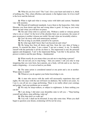M: What do you love now? The 'I am'. Give your heart and mind to it, think of nothing else. This, when effortless and natural, is the highest state. In it love itself is the lover and the beloved.

Q: What is right and what is wrong varies with habit and custom. Standards vary with societies.

M: Discard all traditional standards. Leave them to the hypocrites. Only what liberates you from desire and fear and wrong ideas is good. As long as you worry about sin and virtue you will have no peace.

M: Sin and virtue refer to a person only. Without a sinful or virtuous person what is sin or virtue? At the level of the absolute there are no persons; the ocean of pure awareness is neither virtuous nor sinful. Sin and virtue are invariably relative.

Q: Can I do away with such unnecessary notions?

M: Not as long as you think yourself to be a person.

Q: By what sign shall l know that I am beyond sin and virtue?

M: By being free from all desire and fear, from the very idea of being a person. To nourish the ideas: 'I am a sinner' 'I am not a sinner', is sin. To identify oneself with the particular is all the sin there is. The impersonal is real, the personal appears and disappears. 'I am' is the impersonal Being. 'I am this' is the person. The person is relative and the pure Being -- fundamental.

Q: What exactly do you mean when you ask me to stop being a person?

M: I do not ask you to stop being -- that you cannot. I ask you only to stop imagining that you were born, have parents, are a body, will die and so on. Just try, make a beginning -- it is not as hard as you think.

Q: The same action is considered natural at one point and a sin at another. What makes it sinful?

M: Whatever you do against your better knowledge is sin.

M: A man who moves with the earth will necessarily experience days and nights. He who stays with the sun will know no darkness. My world is not yours. As I see it, you all are on a stage performing. There is no reality about your comings and goings. And your problems are so unreal!

Q: We may be sleep-walkers, or subject to nightmares. Is there nothing you can do?

M: I am doing: I did enter your dreamlike state to tell you -- "Stop hurting yourself and others, stop suffering, wake up".

Q: Why then don't we wake up?

M: You will. I shall not be thwarted. It may take some time. When you shall begin to question your dream, awakening will be not far away.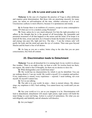# 22. Life is Love and Love is Life

Maharaj: In the case of a beginner the practice of Yoga is often deliberate and requires great determination. But those who are practising sincerely for many years, are intent on self-realisation all the time, whether conscious of it or not. Unconscious sadhana is most effective, because it is spontaneous and steady.

Q: In Europe there is no tradition of a mantra, except in some contemplative orders. Of what use is it to a modern young Westerner?

M: None, unless he is very much attracted. For him the right procedure is to adhere to the thought that he is the ground of all knowledge, the immutable and perennial awareness of all that happens to the senses and the mind. If he keeps it in mind all the time, aware and alert, he is bound to break the bounds of non-awareness and emerge into pure life, light and love. The idea -- 'I am the witness only' will purify the body and the mind and open the eye of wisdom. Then man goes beyond illusion and his heart is free of all desires.

M: As long as you are a seeker, better cling to the idea that you are pure consciousness, free from all content.

#### 23. Discrimination leads to Detachment

Maharaj: You are all drenched for it is raining hard. In my world it is always fine weather. There is no night or day, no heat or cold. No worries beset me there, nor regrets. My mind is free of thoughts, for there are no desires to slave for.

Q: What distinguishes your world from mine?

M: My world has no characteristics by which it can be identified. You can say nothing about it. I am my world. My world is myself. It is complete and perfect. Every impression is erased, every experience -- rejected. I need nothing, not even myself, for myself I cannot lose.

Q: Yet we are talking.

M: The talk is in your world. In mine -- there is eternal silence. My silence sings, my emptiness is full, I lack nothing. You cannot know my world until you are there.

M: See your world as it is, not as you imagine it to be. Discrimination will lead to detachment; detachment will ensure right action; right action will build the inner bridge to your real being. Action is a proof of earnestness. Do what you are told diligently and faithfully and all obstacles will dissolve.

Q: Are you happy?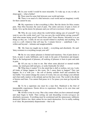M: In your world I would be most miserable. To wake up, to eat, to talk, to sleep again -- what a bother!

Q: There must be some link between your world and mine.

M: There is no need of a link between a real world and an imaginary world, for there cannot be any.

M: My experience is that everything is bliss. But the desire for bliss creates pain. Thus bliss becomes the seed of pain. The entire universe of pain is born of desire. Give up the desire for pleasure and you will not even know what is pain.

M: Why do you worry about the world before taking care of yourself? You want to save the world, don't you? Can you save the world before saving yourself? And what means being saved? Saved from what? From illusion. Salvation is to see things as they are. I really do not see myself related to anybody and anything. Not even to a self, whatever that self may be. I remain forever -- undefined. I am - within and beyond -- intimate and unapproachable.

M: My Guru too taught me to doubt -- everything and absolutely. He said: 'deny existence to everything except your self.'

M: By its very nature pleasure is limited and transitory. Out of pain desire is born, in pain it seeks fulfilment, and it ends in the pain of frustration and despair. Pain is the background of pleasure, all seeking of pleasure is born in pain and ends in pain.

Q: All you say is clear to me. But when some physical or mental trouble comes, my mind goes dull and grey, or seeks frantically for relief.

M: What does it matter? It is the mind that is dull or restless, not you. Look, all kinds of things happen in this room. Do I cause them to happen? They just happen. So it is with you -- the roll of destiny unfolds itself and actualises the inevitable. You cannot change the course of events, but you can change your attitude and what really matters is the attitude and not the bare event. The world is the abode of desires and fears. You cannot find peace in it. For peace you must go beyond the world.

Q: To be a superman one must be a man first. Manhood is the fruit of innumerable experiences: Desire drives to experience. Hence at its own time and level desire is right.

M: All this is true in a way. But a day comes when you have amassed enough and must begin to build. Then sorting out and discarding (viveka-vairagya) are absolutely necessary. Everything must be scrutinised and the unnecessary ruthlessly destroyed. Believe me, there cannot be too much destruction. For in reality nothing is of value. Be passionately dispassionate -- that is all.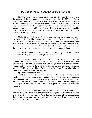## 24. God is the All-doer, the Jnani a Non-doer

M: Your mind projects a structure and you identify yourself with it. It is in the nature of desire to prompt the mind to create a world for its fulfilment. Even a small desire can start a long line of action; what about a strong desire? Desire can produce a universe; its powers are miraculous. Just as a small matchstick can set a huge forest on fire, so does a desire light the fires of manifestation. The very purpose of creation is the fulfilment of desire. The desire may be noble, or ignoble, space (*akash*) is neutral -- one can fill it with what one likes: You must be very careful as to what you desire.

M: God is the All-Doer, the *jnani* is a non-doer. God himself does not say: 'I am doing all.' To Him things happen by their own nature. To the *jnani* all is done by God. He sees no difference between God and nature. Both God and the jnani know themselves to be the immovable centre of the movable, the eternal witness of the transient. The centre is a point of void and the witness a point of pure awareness; they know themselves to be as nothing, therefore nothing can resist them.

**M.:** When a *jnani* joins the universal mind, all his goodness and wisdom become the heritage of humanity and uplift every human being.

M: The daily life is a life of action. Whether you like it or not, you must function. Whatever you do for your own sake accumulates and becomes explosive; one day it goes off and plays havoc with you and your world. When you deceive yourself that you work for the good of all, it makes matters worse, for you should not be guided by your own ideas of what is good for others. A man who claims to know what is good for others, is dangerous.

Q: How is one to work then?

M: Neither for yourself nor for others, but for the work's own sake. A thing worth doing is its own purpose and meaning, Make nothing a means to something else. Bind not. God does not create one thing to serve another. Each is made for its own sake. Because it is made for itself, it does not interfere. You are using things and people for purposes alien to them and you play havoc with the world and yourself.

M: Yes, you are always the Supreme. But your attention is fixed on things, physical or mental. When your attention is off a thing and not yet fixed on another, in the interval you are pure being. When through the practice of discrimination and detachment *(viveka-vairagya)*, you lose sight of sensory and mental states, pure being emerges as the natural state.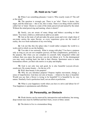# 25. Hold on to 'I am'

Q: When I see something pleasant, I want it. Who exactly wants it? The self or the mind?

M: The question is wrongly put. There is no 'who'. There is desire, fear, anger, and the mind says -- this is me, this is mine. There is no thing which could be called 'me' or 'mine'. Desire is a state of the mind, perceived and named by the mind. Without the mind perceiving and naming, where is desire?

Q: Surely, you are aware of many things and behave according to their nature. You treat a child as a child and an adult as an adult.

M: Just as the taste of salt pervades the great ocean and every single drop of sea-water carries the same flavour, so every experience gives me the touch of reality, the ever fresh realisation of my own being.

Q: I do not like this *lila* (play) idea I would rather compare the world to a work-yard in which we are the builders.

M: You take it too seriously. What is wrong with play? You have a purpose only as long as you are not complete (purna); till then completeness, perfection, is the purpose. But when you are complete in yourself, fully integrated within and without, then you enjoy the universe; you do not labour at it. To the disintegrated you may seem working hard, but that is their illusion. Sportsmen seem to make tremendous efforts: yet their sole motive is to play and display.

M: God is not only true and good, he is also beautiful (satyam-shivamsundaram). He creates beauty -- for the joy of It

Q: Well, then beauty is his purpose!

M: Why do you introduce purpose? Purpose implies movement, change, a sense of imperfection. God does not aim at beauty -- whatever he does is beautiful. Would you say that a flower is trying to be beautiful? It is beautiful by its very nature. Similarly God is perfection itself, not an effort at perfection.

M: What is your happiness worth when you have to strive and labour for it? True happiness is spontaneous and effortless.

# 26. Personality, an Obstacle

M: Weak desires can be removed by introspection and meditation, but strong, deep-rooted ones must be fulfilled and their fruits, sweet or bitter, tasted.

Q: The desire to live is a tremendous thing.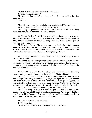M: Still greater is the freedom from the urge to live.

Q: The freedom of the stone?

M: Yes, the freedom of the stone, and much more besides. Freedom unlimited and

conscious.

**M:** A life lived thoughtfully, in full awareness, is by itself *Nisarga Yoga*.

Q: What does the marriage of life and mind mean?

M: Living in spontaneous awareness, consciousness of effortless living, being fully interested in one's life -- all this is implied.

Q: Sharada Devi, wife of Sri Ramakrishna Paramahamsa, used to scold his disciples for too much effort. She compared them to mangoes on the tree which are being plucked before they are ripe. 'Why hurry?' she used to say. 'Wait till you are fully ripe, mellow and sweet.'

M: How right she was! There are so many who take the dawn for the noon, a momentary experience for full realisation and destroy even the little they gain by excess of pride. Humility and silence are essential for a sadhaka, however advanced. Only a fully ripened jnani can allow himself complete spontaneity.

Q: Can there be happiness in unity? Does not all happiness imply necessarily contact, hence duality?

M: There is nothing wrong with duality as long as it does not create conflict. Multiplicity and variety without strife is joy. In pure consciousness there is light. For warmth, contact is needed. Above the unity of being is the union of love. Love is the meaning and purpose of duality.

Q: I am 24 years now. For the last two and a half years I am travelling, restless, seeking. I want to live a good life, a holy life. What am I to do?

M: Go home, take charge of your father's business, look after your parents in their old age. Marry the girl who is waiting for you, be loyal, be simple, be humble. Hide your virtue, live silently. The five senses and the three qualities (*gunas*) are your eight steps in Yoga. And 'I am' is the Great Reminder (mahamantra). You can learn from them all you need to know. Be attentive, enquire ceaselessly. That is all.

Q: If just living one's life liberates, why are not all liberated?

M: All are being liberated. It is not what you live, but how you live that matters. The idea of enlightenment is of utmost importance. Just to know that there is such possibility, changes one's entire outlook. It acts like a burning match in a heap of saw dust. All the great teachers did nothing else.

M: Remember facts, forget opinions.

Q: What is a fact?

M: What is perceived in pure awareness, unaffected by desire.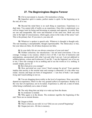# 27. The Beginningless Begins Forever

M: *Chit* in movement is *Ananda*; *Chit* motionless is being.

M: Imperfect spirit is matter, perfect matter is spirit. In the beginning as in the end, all is one.

M: Beyond the mind there is no such thing as experience. Experience is a dual state. You cannot talk of reality as an experience. Once this is understood, you will no longer look for being and becoming as separate and opposite. In reality they are one and inseparable, like roots and branches of the same tree. Both can exist only in the light of consciousness, which again, arises in the wake of the sense 'I am'. This is the primary fact. If you miss it, you miss all.

M: Whatever is spoken is speech only. Whatever is thought is thought only. The real meaning is unexplainable, though experienceable. The Mahavakya is true, but your ideas are false, for all ideas (kalpana) are false.

Q: In your daily life are you always conscious of your real state?

M: Neither conscious, nor unconscious. I do not need convictions. I live on courage. Courage is my essence, which is love of life. I am free of memories and anticipations, unconcerned with what I am and what I am not. I am not addicted to selfdescriptions, *soham* and *brahmasmi* ('I am He', 'I am the Supreme') are of no use to me, I have the courage to be as nothing and to see the world as it is: nothing. It sounds simple, just try it!

Q: But what gives you courage?

M: How perverted are your views! Need courage be given? Your question implies that anxiety is the normal state and courage is abnormal. It is the other way round. Anxiety and hope are born of imagination -- I am free of both. I am simple being and I need nothing to rest on.

M: You are dragging down reality to the level of experience. How can reality depend on experience, when it is the very ground (adhar) of experience. Reality is in the very fact of experience, not in its nature. Experience is, after all, a state of mind, while being is definitely not a state of mind.

M: The only thing that can help is to wake up from the dream.

Q: An awakener is needed.

M: Who again is in the dream. The awakener signifies the beginning of the end. There are no eternal dreams.

Q: I began at birth.

M: That is what you are told. Is it so? Did you see yourself beginning? Q: I began just now. All else is memory.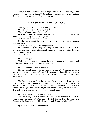M: Quite right. The beginningless begins forever. In the same way, I give eternally, because I have nothing. To be nothing, to have nothing, to keep nothing for oneself is the greatest gift, the highest generosity.

# 28. All Suffering is Born of Desire

M: Very well. What about desires? Do you have any?

Q: Yes, they come, short and superficial.

M: And what do you do about them?

Q: What can I do? They come, they go. l look at them. Sometimes I see my body and my mind engaged in fulfilling them.

M: Whose desires are being fulfilled?

Q: They are a part of the world in which I live. They are just as trees and clouds are there.

M: Are they not a sign of some imperfection?

Q: Why should they be? They are as they are, and I am as I am. How can the appearance and disappearance of desires affect me? Of course, they affect the shape and content of the mind.

M: Very well.

Q: What is happiness?

M: Harmony between the inner and the outer is happiness. On the other hand, self-identification with the outer causes is suffering.

Q: What is the real cause of suffering?

M: Self-identification with the limited (vyaktitva). Sensations as such, however strong, do not cause suffering. It is the mind bewildered by wrong ideas, addicted to thinking: 'I am this' 'I am that', that fears loss and craves gain and suffers when frustrated.

M: The concrete need not be the real, the conceived need not be false. Perceptions based on sensations and shaped by memory imply a perceiver, whose nature you never cared to examine. Give it your full attention, examine it with loving care and you will discover heights and depths of being which you did not dream of, engrossed as you are in your puny image of yourself.

Q: Why is there so much suffering in love?

M: All suffering is born of desire. True love is never frustrated. How can the sense of unity be frustrated? What can be frustrated is the desire for expression. Such desire is of the mind. As with all things mental, frustration is inevitable.

Q: There is so much sex without love.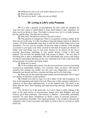M: Without love all is evil. Life itself without love is evil.

Q: What can make me love?

M: You are love itself -- when you are not afraid.

# 29. Living is Life's only Purpose

M: It is only a question of incompletion. He who could not complete his Yoga for some reason is called failed in Yoga. Such failure is only temporary, for there can be no defeat in Yoga. This battle is always won, for it is a battle between the true and the false. The false has no chance.

Q: Who fails? The person (*vyakti*) or the self (*vyakta*)?

M: The question is wrongly put. There is no question of failure, neither in the short run nor in the long. It is like travelling a long and arduous road in an unknown country. Of all the innumerable steps there is only the last which brings you to your destination. Yet you will not consider all previous steps as failures. Each brought you nearer to your goal, even when you had to turn back to by-pass an obstacle. In reality each step brings you to your goal, because to be always on the move, learning, discovering, unfolding, is your eternal destiny. Living is life's only purpose. The self does not identify itself with success or failure -- the very idea of becoming this or that is unthinkable. The self understands that success and failure are relative and related, that they are the very warp and weft of life. Learn from both and go beyond. If you have not learnt, repeat.

Q: What am I to learn?

M: To live without self-concern. For this you must know your own true being (swarupa) as indomitable, fearless, ever victorious. Once you know with absolute certainty that nothing can trouble you but your own imagination, you come to disregard your desires and fears, concepts and ideas and live by truth alone.

Q: What may be the reason that some people succeed and others fail in Yoga? Is it destiny or character, or just accident?

M: Nobody ever fails in *Yoga*. It is all a matter of the rate of progress. It is slow in the beginning and rapid in the end. When one is fully matured, realisation is explosive. It takes place spontaneously, or at the slightest hint. The quick is not better than the slow. Slow ripening and rapid flowering alternate. Both are natural and right.

Yet, all this is so in the mind only. As I see it, there is really nothing of the kind. In the great mirror of consciousness images arise and disappear and only memory gives them continuity. And memory is material -- destructible, perishable, transient. On such flimsy foundations we build a sense of personal existence - vague, intermittent, dreamlike. This vague persuasion: 'I-am-so-and-so' obscures the changeless state of pure awareness and makes us believe that we are born to suffer and to die.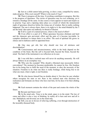Q: Just as a child cannot help growing, so does a man, compelled by nature, make progress. Why exert oneself? Where is the need of Yoga?

M: There is progress all the time. Everything contributes to progress. But this is the progress of ignorance. The circles of ignorance may be ever widening, yet it remains a bondage all the same. In due course a Guru appears to teach and inspire us to practise Yoga and a ripening takes place as a result of which the immemorial night of ignorance dissolves before the rising sun of wisdom. But in reality nothing happened. The sun is always there, there is no night to it; the mind blinded by the 'I am the body' idea spins out endlessly its thread of illusion.

Q: If all is a part of a natural process, where is the need of effort?

M: Even effort is a part of it. When ignorance becomes obstinate and hard and the character gets perverted, effort and the pain of it become inevitable. In complete obedience to nature there is no effort. The seed of spiritual life grows in silence and in darkness until its appointed hour.

Q: One may get old, but why should one lose all alertness and discrimination?

M: Consciousness and unconsciousness, while in the body depend on the condition of the brain. But the self is beyond both, beyond the brain, beyond the mind. The fault of the instrument is no reflection on its user.

Q: I was told that a realised man will never do anything unseemly. He will always behave in an exemplary way.

M: Who sets the example? Why should a liberated man necessarily follow conventions? The moment he becomes predictable, he cannot be free. His freedom lies in his being free to fulfil the need of the moment, to obey the necessity of the situation. Freedom to do what one likes is really bondage, while being free to do what one must, what is right, is real freedom.

M: He who knows himself has no doubts about it. Nor does he care whether others recognise his state or not. Rare is the realised man who discloses his realisation and fortunate are those who have met him, for he does it for their abiding welfare.

M: Each moment contains the whole of the past and creates the whole of the future.

Q: But past and future exist?

M: In the mind only. Time is in the mind, space is in the mind. The law of cause and effect is also a way of thinking. In reality all is here and now and all is one. Multiplicity and diversity are in the mind only.

Q: Still, you are in favour of relieving suffering, even through destruction of the incurably diseased body.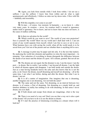M: Again, you look from outside while I look from within. I do not see a sufferer, I am the sufferer. I know him from within and do what is right spontaneously and effortlessly. I follow no rules nor lay down rules. I flow with life -- faithfully and irresistibly.

Q: Will this stupidity ever come to an end?

M: In man -- of course. Any moment. In humanity -- as we know it -- after very many years. In creation -- never, for creation itself is rooted in ignorance; matter itself is ignorance. Not to know, and not to know that one does not know, is the cause of endless suffering.

Q: Is there no salvation for the world?

M: Which world do you want to save? The world of your own projection? Save it yourself. My world? Show me my world and I shall deal with it. I am not aware of any world separate from myself, which I am free to save or not to save. What business have you with saving the world, when all the world needs is to be saved from you? Get out of the picture and see whether there is anything left to save.

Q: A message in print may be paper and ink only. It is the text that matters. By analysing the world into elements and qualities we miss the most important -- its meaning. Your reduction of everything to dream disregards the difference between the dream of an insect and the dream of a poet. All is dream, granted. But not all are equal.

M: The dreams are not equal, but the dreamer is one. I am the insect. I am the poet -- in dream. But in reality I am neither. I am beyond all dreams. I am the light in which all dreams appear and disappear. I am both inside and outside the dream. Just as a man having headache knows the ache and also knows that he is not the ache, so do I know the dream, myself dreaming and myself not dreaming -- all at the same time. I am what I am before, during and after the dream. But what I see in dream, l am not.

Q: It is all a matter of imagination. One imagines that one is dreaming, another imagines one is not dreaming. Are not both the same?

M: The same and not the same. Not dreaming, as an interval between two dreams, is of course, a Part of dreaming. Not dreaming as a steady hold on, and timeless abidance in reality has nothing to do with dreaming. In that sense I never dream, nor ever shall.

Q: If both dream and escape from dream are imaginings, what is the way out?

M: There is no need of a way out! Don't you see that a way out is also a part of the dream? All you have to do is to see the dream as dream.

Q: If I start the practice of dismissing everything as a dream where will it lead me?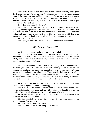M: Wherever it leads you, it will be a dream. The very idea of going beyond the dream is illusory. Why go anywhere? Just realise that you are dreaming a dream you call the world, and stop looking for ways out. The dream is not your problem. Your problem is that you like one part of your dream and not another. Love all, or none of it, and stop complaining. When you have seen the dream as a dream, you have done all that needs be done.

Q: Is dreaming caused by thinking?

M: Everything is a play of ideas. In the state free from ideation (nirvikalpa samadhi) nothing is perceived. The root idea is: 'I am'. It shatters the state of pure consciousness and is followed by the innumerable sensations and perceptions, feeling and ideas which in their totality constitute God and His world. The 'I am' remains as the witness, but it is by the will of God that everything happens.

Q: Why not by my will?

M: Again you have split yourself -- into God and witness. Both are one.

#### 30. You are Free NOW

Q: Theory may be misleading and earnestness -- blind.

M: Your sincerity will guide you. Devotion to the goal of freedom and perfection will make you abandon all theories and systems and live by wisdom, intelligence and active love. Theories may be good as starting points, but must be abandoned, the sooner -- the better.

M: Whatever name you give it: will, or steady purpose, or onepointedness of the mind, you come back to earnestness, sincerity, honesty. When you are in dead earnest, you bend every incident, every second of your life to your purpose. You do not waste time and energy on other things. You are totally dedicated, call it will, or love, or plain honesty. We are complex beings, at war within and without. We contradict ourselves all the time, undoing today the work of yesterday. No wonder we are stuck. A little of integrity would make a lot of difference.

Q: The fact is that I do not feel free to desire what I think I should, and when I seem to desire rightly, I do not act accordingly.

M: It is all due to weakness of the mind and disintegration of the brain. Collect and strengthen your mind and you will find that your thoughts and feelings, words and actions will align themselves in the direction of your will.

Q: Again a counsel of perfection! To integrate and strengthen the mind is not an easy task! How does one begin?

M: You can start only from where you are. You are here and now, you cannot get out of here and now.

Q: But what can I do here and now?

M: You can be aware of your being -- here and now.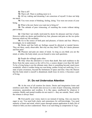Q: That is all?

M: That is all. There is nothing more to it.

Q: All my waking and dreaming I am conscious of myself. It does not help me much.

M: You were aware of thinking, feeling, doing. You were not aware of your being.

Q: What is the new factor you want me to bring in?

M: The attitude of pure witnessing, of watching the events without taking part in them.

Q: I find that I am totally motivated by desire for pleasure and fear of pain. However noble my desire and justified my fear, pleasure and pain are the two poles between which my life oscillates.

M: Go to the source of both pain and pleasure, of desire and fear. Observe, investigate, try to understand.

Q: Desire and fear both are feelings caused by physical or mental factors. They are there, easily observable. But why are they there? Why do l desire pleasure and fear pain?

M: Pleasure and pain are states of mind. As long as you think you are the mind, or rather, the body-mind, you are bound to raise such questions.

Q: People die willingly quite often.

M: Only when the alternative is worse than death. But such readiness to die flows from the same source as the will to live, a source deeper even than life itself. To be a living being is not the ultimate state; there is something beyond, much more wonderful, which is neither being nor non-being, neither living nor notliving. It is a state of pure awareness, beyond the limitations of space and time. Once the illusion that the body-mind is oneself is abandoned, death loses its terror, it becomes a part of living.

# 31. Do not Undervalue Attention

M: At the root of all creation lies desire. Desire and imagination foster and reinforce each other. The fourth state *(turiva)* is a state of pure witnessing, detached awareness, passionless and wordless. It is like space, unaffected by whatever it contains. Bodily and mental troubles do not reach it -- they are outside, 'there', while the witness is always 'here'.

M: First purify your vision, learn to see instead of staring. Also you must be eager to see. You need both clarity and earnestness for self-knowledge. You need maturity of heart and mind, which comes through earnest application in daily life of whatever little you have understood. There is no such thing as compromise in *Yoga*.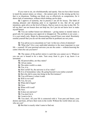If you want to sin, sin wholeheartedly and openly. Sins too have their lessons to teach the earnest sinner, as virtues -- the earnest saint. It is the mixing up the two that is so disastrous. Nothing can block you so effectively as compromise, for it shows lack of earnestness, without which nothing can be done.

Q: I approve of austerity, but in practice I am all for luxury. The habit of chasing pleasure and shunning pain is so ingrained in me, that all my good intentions, quite alive on the level of theory, find no roots in my day-to-day life. To tell me that I am not honest does not help me, for I just do not know how to make myself honest.

M: You are neither honest nor dishonest -- giving names to mental states is good only for expressing your approval or disapproval. The problem is not yours - it is your mind's only. Begin by disassociating yourself from your mind. Resolutely remind yourself that you are not the mind and that its problems are not yours.

Q: You advise us to concentrate on 'I am'. Is this too a form of attention?

M: What else? Give your undivided attention to the most important in your life -- yourself. Of your personal universe you are the centre -- without knowing the centre what else can you know?

M: The nature of the perfect mirror is such that you cannot see it. Whatever you can see is bound to be a stain. Turn away from it, give it up, know it as unwanted.

Q: All perceivables, are they stains?

M: All are stains.

Q: The entire world is a stain.

M: Yes, it is.

Q: How awful! So, the universe is of no value?

M: It is of tremendous value. By going beyond it you realise yourself.

Q: But why did it come into being in the first instance?

M: You will know it when it ends.

Q: Will it ever end?

M: Yes, for you.

Q: When did it begin?

M: Now.

Q: When will it end?

M: Now.

Q: It does not end now?

M: You don't let it.

Q: I want to let it.

M: You don't. All your life is connected with it. Your past and future, your desires and fears, all have their roots in the world. Without the world where are you, who are you?

Q: But that is exactly what I came to find out.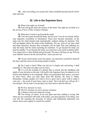M: . And I am telling you exactly this: find a foothold beyond and all will be clear and easy.

# 32. Life is the Supreme Guru

Q: What is the right use of mind?

M: Fear and greed cause the misuse of the mind. The right use of mind is in the service of love, of life, of truth, of beauty.

Q: What does it mean to go beyond the mind.

M: You have gone beyond the body, haven't you? You do not closely follow your digestion, circulation or elimination. These have become automatic. In the same way the mind should work automatically, without calling for attention. This will not happen unless the mind works faultlessly. We are, most of our time mind and body-conscious, because they constantly call for help. Pain and suffering are only the body and the mind screaming for attention. To go beyond the body you must be healthy: To go beyond the mind, you must have your mind in perfect order. You cannot leave a mess behind and go beyond. The mess will bog you up. 'Pick up your rubbish' seems to be the universal law. And a just law too.

**M.:** If you want to know your true nature, you must have yourself in mind all the time, until the secret of your being stands revealed.

Q: Do I need a Guru? What you tell me is simple and convincing. I shall remember it. This does not make you my Guru.

M: It is not the worship of a person that is crucial, but the steadiness and depth of your devotion to the task. Life itself is the Supreme Guru; be attentive to its lessons and obedient to its commands. When you personalise their source, you have an outer Guru; when you take them from life directly, the Guru is within. Remember, wonder, ponder, live with it, love it, grow into it, grow with it, make it your own -- the word of your Guru, outer or inner. Put in all and you will get all. I was doing it. All my time I was giving to my Guru and to what he told me.

Q: We live, because we must.

- M: We live, because we crave sensory existence.
- Q: A thing so universal cannot be wrong.

M: Not wrong, of course. In its own place and time nothing is wrong. But when you are concerned with truth, with reality, you must question every thing, your very life. By asserting the necessity of sensory and intellectual experience you narrow down your enquiry to search for comfort.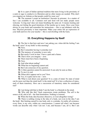Q: It is a part of Indian spiritual tradition that mere living in the proximity of a saint or sage is conducive to liberation and no other means are needed. Why don't you organise an Ashram so that people could live near you?

M: The moment I create an institution I become its prisoner. As a matter of fact I am available to all. Common roof and food will not make people more welcome. 'Living near' does not mean breathing the same air. It means trusting and obeying, not letting the good intentions of the teacher go to waste. Have your Guru always in your heart and remember his instructions -- this is real abidance with the true. Physical proximity is least important. Make your entire life an expression of your faith and love for your teacher -- this is real dwelling with the Guru.

### 33. Everything Happens by Itself

Q: The fact is that here and now I am asking you: when did the feeling 'I am the body' arise? At my birth? or this morning?

M: Now.

Q: But I remember having it yesterday too!

M: The memory of yesterday is now only.

Q: But surely I exist in time. I have a past and a future.

M: That is how you imagine -- now.

Q: There must have been a beginning.

M: Now.

Q: And what about ending?

M: What has no beginning cannot end.

Q: But I am conscious of my question.

M: A false question cannot be answered. It can only be seen as false.

Q: To me it is real.

M: When did it appear real to you? Now.

Q: Yes, it is quite real to me -- now.

M: What is real about your question? It is a state of mind. No state of mind can be more real than the mind itself. Is the mind real? It is but a collection of states, each of them transitory. How can a succession of transitory states be considered real?

Q: I am being told that to think 'I am the body' is a blemish in the mind.

M: Why talk like this? Such expressions create problems. The self is the source of all, and of all -- the final destination. Nothing is external.

Q: When the body idea becomes obsessive, is it not altogether wrong?

M: There is nothing wrong in the idea of a body, nor even in the idea 'I am the body'. But limiting oneself to one body only is a mistake. In reality all existence, every form, is my own, within my consciousness. I cannot tell what I am because words can describe only what I am not. I am, and because I am, all is. But I am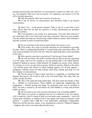beyond consciousness and, therefore, in consciousness I cannot say what I am. Yet, I am. The question 'Who am I' has no answer. No experience can answer it, for the self is beyond experience.

Q: Still, the question 'Who am I' must be of some use.

M: It has no answer in consciousness and, therefore, helps to go beyond consciousness.

Q: Here I am -- in the present moment. What is real in it, and what is not? Now, please don't tell me that my question is wrong. Questioning my questions leads me nowhere.

M: Your question is not wrong. It is unnecessary. You said: 'Here and now I am'. Stop there, this is real. Don't turn a fact into a question. There lies your mistake. You are neither knowing nor not-knowing, neither mind nor matter; don't attempt to describe yourself in terms of mind and matter.

Q: Let us come back to the man in need of help. He comes to you.

M: If he comes, he is sure to get help. Because he was destined to get help, he came. There is nothing fanciful about it. I cannot help some and refuse others. All who come are helped, for such is the law. Only the shape help takes varies according to the need.

Q: Why must he come here to get advice? Can't he get it from within?

M: He will not listen. His mind is turned outward. But in fact all experience is in the mind, and even his coming to me and getting help is all within himself. Instead of finding an answer within himself, he imagines an answer from without. To me there is no me, no man and no giving. All this is merely a flicker in the mind. I am infinite peace and silence in which nothing appears, for all that appears - disappears. Nobody comes for help, nobody offers help, nobody gets help. It is all but a display in consciousness.

Q: Yet the power to help is there and there is somebody or something that displays that power, call it God or Self or the Universal Mind. The name does not matter, but the fact does.

M: This is the stand the body-mind takes. The pure mind sees things as they are -- bubbles in consciousness. These bubbles are appearing, disappearing and reappearing -- without having real being. No particular cause can be ascribed to them, for each is caused by all and affects all. Each bubble is a body and all these bodies are mine.

Q: Do you mean to say, that you have the power to do everything rightly?

M: There is no power as separate from me. It is inherent in my very nature. Call it creativity. Out of a lump of gold you can make many ornaments -- each will remain gold. Similarly, in whatever role I may appear and whatever function I may perform -- I remain what I aM: the 'I am' immovable, unshakable, independent. What you call the universe, nature, is my spontaneous creativity. Whatever happens -- happens. But such is my nature that all ends in joy.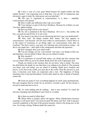Q: I have a case of a boy gone blind because his stupid mother fed him methyl alcohol. I am requesting you to help him. You are full of compassion and, obviously, eager to help. By what power can you help him?

M: His case is registered in consciousness. It is there -- indelibly. Consciousness will operate.

Q: Does it make any difference that I ask you to help?

M: Your asking is a part of the boy's blindness. Because he is blind, you ask. You have added nothing.

Q: But your help will be a new factor?

M: No, all is contained in the boy's blindness. All is in it -- the mother, the boy, you and me and all else. It is one event.

Q: You mean to say that even our discussing the boy's case was predestined?

M: How else? All things contain their future. The boy appears in consciousness. I am beyond. I do not issue orders to consciousness. I know that it is in the nature of awareness to set things right. Let consciousness look after its creations! The boy's sorrow, your pity, my listening and consciousness acting -- all this is one single fact -- don't split it into components and then ask questions.

Q: How strangely does your mind work?

M: You are strange, not me. I am normal. I am sane. I see things as they are, and therefore l am not afraid of them. But you are afraid of reality.

Q: Why should l?

M: It is ignorance of yourself that makes you afraid and also unaware that you are afraid. Don't try not to be afraid. Break down the wall of ignorance first.

People are afraid to die, because they do not know what is death. The *jnani* has died before his death, he saw that there was nothing to be afraid of. The moment you know your real being, you are afraid of nothing. Death gives freedom and power. To be free in the world, you must die to the world. Then the universe is your own, it becomes your body, an expression and a tool. The happiness of being absolutely free is beyond description. On the other hand, he who is afraid of freedom cannot die.

M: From my point of view everything happens by itself, quite spontaneously. But man imagines that he works for an incentive, towards a goal. He has always a reward in mind and strives for it.

M.: To want nothing and do nothing -- that is true creation! To watch the universe emerging and subsiding in one's heart is a wonder.

Q: Is there no need of effort then?

M: When effort is needed, effort will appear. When effortlessness becomes essential, it will assert itself. You need not push life about. Just flow with it and give yourself completely to the task of the present moment, which is the dying now to the now. For living is dying. Without death life cannot be.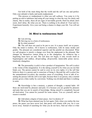Get hold of the main thing that the world and the self are one and perfect. Only your attitude is faulty and needs readjustment.

This process or readjustment is what you call sadhana. You come to it by putting an end to indolence and using all your energy to clear the way for clarity and charity. But in reality, these all are signs of inevitable growth. Don't be afraid, don't resist, don't delay. Be what you are. There is nothing to be afraid of. Trust and try. Experiment honestly. Give your real being a chance to shape your life. You will not regret.

## 34. Mind is restlessness Itself

Q: I am striving.

M: Striving too is a form of restlessness.

Q: So what remains?

M: The self does not need to be put to rest. It is peace itself, not at peace. Only the mind is restless. All it knows is restlessness, with its many modes and grades. The pleasant are considered superior and the painful are discounted. What we call progress is merely a change over from the unpleasant to the pleasant. But changes by themselves cannot bring us to the changeless, for whatever has a beginning must have an end. The real does not begin; it only reveals itself as beginningless and endless, all-pervading, all-powerful, immovable prime mover, timelessly changeless.

**M:** The personality (*vyakti*) is but a product of imagination. The self (*vyakta*) is the victim of this imagination. It is the taking yourself to be what you are not that binds you. The person cannot be said to exist on its own rights; it is the self that believes there is a person and is conscious of being it. Beyond the self (*vyakta*) lies the unmanifested (avyakta), the causeless cause of everything. Even to talk of reuniting the person with the self is not right, because there is no person, only a mental picture given a false reality by conviction. Nothing was divided and there is nothing to unite.

M: Knowledge is but a memory, a pattern of thought, a mental habit. All these are motivated by pleasure and pain. It is because you are goaded by pleasure and pain that you are in search of knowledge. Being oneself is completely beyond all motivation. You cannot be yourself for some reason. You *are* yourself, and no reason is needed.

Q: I did attain a degree of inner peace. Am I to destroy it?

M: What has been attained may be lost again. Only when you realise the true peace, the peace you have never lost, that peace will remain with you, for it was never away. Instead of searching for what you do not have, find out what is it that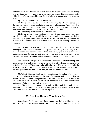you have never lost? That which is there before the beginning and after the ending of everything; that to which there is no birth, nor death. That immovable state, which is not affected by the birth and death of a body or a mind, that state you must perceive.

Q: What are the means to such perception?

M: In life nothing can be had without overcoming obstacles. The obstacles to the clear perception of one's true being are desire for pleasure and fear of pain. It is the pleasure-pain motivation that stands in the way. The very freedom from all motivation, the state in which no desire arises is the natural state.

Q: Such giving up of desires, does it need time?

M: If you leave it to time, millions of years will be needed. Giving up desire after desire is a lengthy process with the end never in sight. Leave alone your desires and fears, give your entire attention to the subject, to him who is behind the experience of desire and fear. Ask: 'who desires?' Let each desire bring you back to yourself.

M: The desire to find the self will be surely fulfilled, provided you want nothing else. But you must be honest with yourself and really want nothing else. If in the meantime you want many other things and are engaged in their pursuit, your main purpose may be delayed until you grow wiser and cease being torn between contradictory urges. Go within, without swerving, without ever looking outward.

M: Whatever work you have undertaken -- complete it. Do not take up new tasks. unless it is called for by a concrete situation of suffering and relief from suffering. Find yourself first, and endless blessings will follow. Nothing profits the world as much as the abandoning of profits. A man who no longer thinks in terms of loss and gain is the truly non-violent man, for he is beyond all conflict.

M: What is birth and death but the beginning and the ending of a stream of events in consciousness? Because of the idea of separation and limitation they are painful. Momentary relief from pain we call pleasure -- and we build castles in the air hoping for endless pleasure which we call happiness. It is all misunderstanding and misuse. Wake up, go beyond, live really.

(…) Have your being outside this body of birth and death and all your problems will be solved. They exist because you believe yourself born to die. Undeceive yourself and be free. You are not a person.

### 35. Greatest Guru is Your Inner Self

Questioner: On all sides I hear that freedom from desires and inclinations is the first condition of self-realisation. But I find the condition impossible of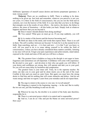fulfilment. Ignorance of oneself causes desires and desires perpetuate ignorance. A truly vicious circle!

Maharaj: There are no conditions to fulfil. There is nothing to be done, nothing to be given up. Just look and remember, whatever you perceive is not you, nor yours. It is there in the field of consciousness, but you are not the field and its contents, nor even the knower of the field. It is your idea that you have to do things that entangle you in the results of your efforts -- the motive, the desire, the failure to achieve, the sense of frustration -- all this holds you back. Simply look at whatever happens and know that you are beyond it.

Q: Does it mean I should abstain from doing anything?

M: You cannot! What goes on must go on. If you stop suddenly, you will crash.

Q: Is it a matter of the known and the knower becoming one?

M: Both are ideas in the mind, and words that express them. There is no self in them. The self is neither, between nor beyond. To look for it on the mental level is futile. Stop searching, and see -- it is here and now -- it is that 'I am' you know so well. All you need to do is to cease taking yourself to be within the field of consciousness. Unless you have already considered these matters carefully, listening to me once will not do. Forget your past experiences and achievements, stand naked, exposed to the winds and rains of life and you will have a chance.

M.: The greatest Guru is helpless as long as the disciple is not eager to learn. Eagerness and earnestness are all-important. Confidence will come with experience. Be devoted to your goal -- and devotion to him who can guide you will follow. If your desire and confidence are strong, they will operate and take you to your goal, for you will not cause delay by hesitation and compromise.

The greatest Guru is your inner self. Truly, he is the supreme teacher. He alone can take you to your goal and he alone meets you at the end of the road. Confide in him and you need no outer Guru. But again you must have the strong desire to find him and do nothing that will create obstacles and delays. And do not waste energy and time on regrets. Learn from your mistakes and do not repeat them.

Q: The urge to return to the source is very rare. Is it at all natural?

M: Outgoing is natural in the beginning, ingoing -- in the end. But in reality the two are one, just like breathing in and out are one.

Q: Whoever he may be, the dweller is in control of the body and, therefore, responsible for it.

M: There is a universal power which is in control and is responsible.

Q: And so, I can do as I like and put the blame on some universal power? How easy!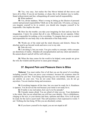M: Yes, very easy. Just realise the One Mover behind all that moves and leave all to Him. If you do not hesitate, or cheat, this is the shortest way to reality. Stand without desire and fear, relinquishing all control and all responsibility.

Q: What madness!

M: Yes, divine madness. What is wrong in letting go the illusion of personal control and personal responsibility? Both are in the mind only. Of course, as long as you imagine yourself to be in control, you should also imagine yourself to be responsible. One implies the other.

M: Here lies the trouble: you take your imagining for facts and my facts for imagination. I know for certain that all is one. Differences do not separate. Either you are responsible for nothing, or for everything. To imagine that you are in control and responsible for one body only is the aberration of the body-mind.

M: Words are of the mind and the mind obscures and distorts. Hence the absolute need to go beyond words and move over to my side.

Q: Take me over.

M: I am doing it, but you resist. You give reality to concepts, while concepts are distortions of reality. Abandon all conceptualisation and stay silent and attentive. Be earnest about it and all will be well with you.

M: When the time comes for the world to be helped, some people are given the will, the wisdom and the power to cause great changes.

## 37. Beyond Pain and Pleasure there is Bliss

Maharaj: You must realise first of all that you are the proof of everything, including yourself. None can prove your existence, because his existence must be confirmed by you first. Your being and knowing you owe nobody. Remember, you are entirely on your own. You do not come from somewhere, you do not go anywhere. You are timeless being and awareness.

M: Everything happens all the time, but you must be ready for it. Readiness is ripeness. You do not see the real because your mind is not ready for it.

Q: If reality is my real nature, how can I ever be unready?

M: Unready means afraid. You are afraid of what you are. Your destination is the whole. But you are afraid that you will lose your identity. This is childishness, clinging to the toys, to your desires and fears, opinions and ideas. Give it all up and be ready for the real to assert itself. This self-assertion is best expressed in words: 'I am'. Nothing else has being. Of this you are absolutely certain.

M: If you know yourself to be stupid, you are not stupid at all!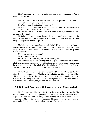M: Before pain was, you were. After pain had gone, you remained. Pain is transient, you are not.

M: All consciousness is limited and therefore painful. At the root of consciousness lies desire, the urge to experience.

Q: What is your objection to consciousness?

M: It is a burden. Body means burden. Sensations, desires, thoughts -- these are all burdens. All consciousness is of conflict.

Q: Reality is described as true being, pure consciousness, infinite bliss. What has pain to do with it?

M: Pain and pleasure happen, but pain is the price of pleasure, pleasure is the reward of pain. In life too you often please by hurting and hurt by pleasing. To know that pain and pleasure are one is peace.

M: Pain and pleasure are both *ananda* (bliss). Here I am sitting in front of you and telling you -- from my own immediate and unchanging experience -- pain and pleasure are the crests and valleys of the waves in the ocean of bliss. Deep down there is utter fullness.

Q: Is your experience constant?

M: It is timeless and changeless.

Q: All I know is desire for pleasure and fear of pain.

M: That is what you think about yourself. Stop it. If you cannot break a habit all at once, consider the familiar way of thinking and see its falseness. Questioning the habitual is the duty of the mind. What the mind created, the mind must destroy. Or realise that there is no desire outside the mind and stay out.

M: Without words, what is there to understand? The need for understanding arises from mis-understanding. What I say is true, but to you it is only a theory. How will you come to know that it is true? Listen, remember, ponder, visualise, experience. Also apply it in your daily life. Have patience with me and, above all have patience with yourself, for you are your only obstacle.

### 38. Spiritual Practice is Will Asserted and Re-asserted

M: The common things of life: I experience them just as you do. The difference lies in what I do not experience. I do not experience fear or greed, hate or anger. I ask nothing, refuse nothing, keep nothing. In these matters I do not compromise. Maybe this is the outstanding difference between us. I will not compromise, I am true to myself, while you are afraid of reality.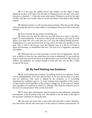M: It is the urge, the hidden motive that matters, not the shape it takes. Whatever he does, if he does it for the sake of finding his own real self, will surely bring him to himself. (…) Here the action only counts. Whatever you do for the sake of truth, will take you to truth. Only be earnest and honest. The shape it takes hardly matters.

M: Spiritual practice is will asserted and re-asserted. Who has not the daring will not accept the real even when offered. Unwillingness born out of fear is the only obstacle.

Q: Not everybody has the chance of meeting you.

M: Meet your own self. Be with your own self, listen to it, obey it, cherish it, keep it in mind ceaselessly. You need no other guide. As long as your urge for truth affects your daily life, all is well with you. Live your life without hurting anybody. Harmlessness is a most powerful form of Yoga and it will take you speedily to your goal. This is what I call nisarga yoga, the Natural yoga. It is the art of living in peace and harmony, in friendliness and love. The fruit of it is happiness, uncaused and endless.

M: What prevents you from knowing is not the lack of opportunity, but the lack of ability to focus in your mind what you want to understand. If you could but keep in mind what you do not know, it would reveal to you its secrets. But if you are shallow and impatient, not earnest enough to look and wait, you are like a child crying for the moon.

# 39. By Itself Nothing has Existence

M: By itself nothing has existence. Everything needs its own absence. To be, is to be distinguishable, to be here and not there, to be now and not then, to be thus and not otherwise. Like water is shaped by the container, so is everything determined by conditions (*gunas*). As water remains water regardless of the vessels, as light remains itself regardless of the colours it brings out, so does the real remain real, regardless of conditions in which it is reflected. Why keep the reflection only in the focus of consciousness? Why not the real itself?

M: To know that consciousness and its content are but reflections, changeful and transient, is the focussing of the real. The refusal to see the snake in the rope is the necessary condition for seeing the rope.

M: One must also know that a rope exists and looks like a snake. Similarly, one must know that the real exists and is of the nature of witness-consciousness. Of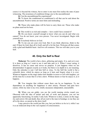course it is beyond the witness, but to enter it one must first realise the state of pure witnessing. The awareness of conditions brings one to the unconditioned.

Q: Can the unconditioned be experienced?

M: To know the conditioned as conditioned is all that can be said about the unconditioned. Positive terms are mere hints and misleading.

M: Those who make plans will be born to carry them out. Those who make no plans need not be born.

Q: This world is so rich and complex -- how could I have created it?

M: Do you know yourself enough to know what you can do and what you cannot? You do not know your own powers. You never investigated. Begin with yourself now.

Q: Everybody believes in God.

M: To me you are your own God. But if you think otherwise, think to the end. If there be God, then all is God's and all is for the best. Welcome all that comes with a glad and thankful heart. And love all creatures. This too will take you to your Self.

#### 40. Only the Self is Real

Maharaj: The world is but a show, glittering and empty. It is, and yet is not. It is there as long as I want to see it and take part in it. When I cease caring, it dissolves. It has no cause and serves no purpose. It just happens when we are absentminded. It appears exactly as it looks, but there is no depth in it, nor meaning. Only the onlooker is real. Call him Self or Atma. To the Self the world is but a colourful show, which he enjoys as long as it lasts and forgets when it is over. Whatever happens on the stage makes him shudder in terror or roll with laughter, yet all the time he is aware that it is but a show. Without desire or fear he enjoys it, as it happens.

M: You imagine that without cause there can be no happiness. To me dependence on anything for happiness is utter misery. Pleasure and pain have causes, while my state is my own, totally uncaused, independent, unassailable.

M: When you are giddy, you see the world running circles round you. Obsessed with the idea of means and end, of work and purpose, you see me apparently functioning. In reality I only look. Whatever is done, is done on the stage. Joy and sorrow life and death, they all are real to the man in bondage; to me they are all in the show, as unreal as the show itself.

I may perceive the world just like you, but you believe to be in it, while I see it as an iridescent drop in the vast expanse of consciousness.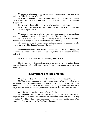Q: Let us say, the jnani is ill. He has caught some flu and every joint aches and burns. What is his state of mind?

M: Every sensation is contemplated in perfect equanimity. There is no desire for it, nor refusal. It is as it is and then he looks at it with a smile of affectionate detachment.

Q: He may be detached from his own suffering, but still it is there.

M: It is there, but it does not matter. Whatever state I am in, I see it as a state of mind to be accepted as it is.

Q: Let us say you are twenty-five years old. Your marriage is arranged and performed, and the household duties crowd upon you. How would you feel?

M: Just as I feel now. You keep on insisting that my inner state is moulded by outer events. It is just not so. Whatever happens, I remain. (…)

The mind is a form of consciousness, and consciousness is an aspect of life. Life creates everything but the Supreme is beyond all.

M: I am not afraid of death, because I am not afraid of life. I live a happy life and shall die a happy death. Misery is to be born, not to die. All depends how you look at it.

M: It is enough to know the 'I am' as reality and also love.

M: The gospel of self-realisation, once heard, will never be forgotten. Like a seed left in the ground, it will wait for the right season and sprout and grow into a mighty tree.

## 41. Develop the Witness Attitude

Q: Surely, the dissolution of the body is an important event even to a jnani.

M: There are no important events for a *jnani*, except when somebody reaches the highest goal. Then only his heart rejoices. All else is of no concern. The entire universe is his body, all life is his life. As in a city of lights, when one bulb burns out, it does not affect the network, so the death of a body does not affect the whole.

Q: Is the practice of silence as a sadhana effective?

M: Anything you do for the sake of enlightenment takes you nearer. Anything you do without remembering enlightenment puts you off. But why complicate? Just know that you are above and beyond all things and thoughts. What you want to be, you are it already. Just keep it in mind.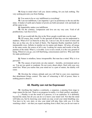M: Keep in mind what I tell you: desire nothing, for you lack nothing. The very seeking prevents you from finding.

Q: You seem to be so very indifferent to everything!

M: I am not indifferent, I am impartial. I give no preference to the me and the mine. A basket of earth and a basket of jewels are both unwanted. Life and death are all the same to me.

Q: Impartiality makes you indifferent.

M: On the contrary, compassion and love are my very core. Void of all predilections, I am free to love.

Q: If you would talk like this in the West, people would take you for mad.

M: Of course, they would! To the ignorant all that they can not understand is madness. What of it? Let them be as they are. I am as I am, for no merit of mine and they are as they are, for no fault of theirs. The Supreme Reality manifests itself in innumerable ways. Infinite in number are its names and shapes. All arise, all merge in the same ocean, the source of all is one. Looking for causes and results is but the pastime of the mind. What is, is lovable. Love is not a result, it is the very ground of being. Wherever you go, you will find being, consciousness and love. Why and what for make preferences?

Q: Nature is mindless, hence irresponsible. But man has a mind. Why is it so perverse?

M: The causes of perversity are also natural -- heredity, environment and so on. You are too quick to condemn. Do not worry about others. Deal with your own mind first. When you realise that your mind too is a part of nature, the duality will cease.

M: Develop the witness attitude and you will find in your own experience that detachment brings control. The state of witnessing is full of power, there is nothing passive about it.

# 42. Reality can not be Expressed

M: Anything that implies a continuity, a sequence, a passing from stage to stage cannot be the real. There is no progress in reality, it is final, perfect, unrelated.

(…) Reality is not the result of a process; it is an explosion. It is definitely beyond the mind, but all you can do is to know your mind well. Not that the mind will help you, but by knowing your mind you may avoid your mind disabling you. You have to be very alert, or else your mind will play false with you. It is like watching a thief -- not that you expect anything from a thief, but you do not want to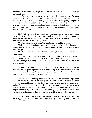be robbed. In the same way you give a lot of attention to the mind without expecting anything from it.

(…) We dream that we are awake, we dream that we are asleep. The three states are only varieties of the dream state. Treating everything as a dream liberates. As long as you give reality to dreams, you are their slave. By imagining that you are born as so-and-so, you become a slave to the so-and-so. The essence of slavery is to imagine yourself to be a process, to have past and future, to have history. In fact, we have no history, we are not a process, we do not develop, nor decay; also see all as a dream and stay out of it.

M: You live, you feel, you think. By giving attention to your living, feeling and thinking, you free yourself from them and go beyond them. Your personality dissolves and only the witness remains. Then you go beyond the witness. Do not ask how it happens. Just search within yourself.

Q: What makes the difference between the person and the witness?

M: Both are modes of consciousness. In one you desire and fear, in the other you are unaffected by pleasure and pain and are not ruffled by events. You let them come and go.

Q: How does one get established in the higher state, the state of pure witnessing?

M: Consciousness does not shine by itself. It shines by a light beyond it. Having seen the dreamlike quality of consciousness, look for the light in which it appears, which gives it being. There is the content of consciousness as well as the awareness of it.

M: Forget the known, but remember that you are the knower. Don't be all the time immersed in your experiences. Remember that you are beyond the experience, ever unborn and deathless. In remembering it, the quality of pure knowledge will emerge, the light of unconditional awareness.

M: But the very longing and search for reality is the movement, operation, action of reality. All you can do is to grasp the central point, that reality is not an event and does not happen and whatever happens, whatever comes and goes, is not reality. See the event as event only, the transient as transient, experience as mere experience and you have done all you can. Then you are vulnerable to reality, no longer armoured against it, as you were when you gave reality to events and experiences. But as soon as there is some like or dislike, you have drawn a screen.

M: All happens as it needs, yet nothing happens. I do what seems to be necessary, but at the same time I know that nothing is necessary, that life itself is only a make-belief.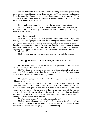M: The three states rotate as usual -- there is waking and sleeping and waking again, but they do not happen to me. They just happen. To me nothing ever happens. There is something changeless, motionless, immovable, rocklike, unassailable; a solid mass of pure being-consciousness-bliss. I am never out of it. Nothing can take me out of it, no torture, no calamity.

Q: If I understand you rightly, this state did not come by cultivation.

M: There was no coming. It was so -- always. There was discovery and it was sudden. Just as at birth you discover the world suddenly, as suddenly I discovered my real being.

Q: Is there a way to it?

M: Everything can become a way, provided you are interested. Just puzzling over my words and trying to grasp their full meaning is a sadhana quite sufficient for breaking down the wall. Nothing troubles me. I offer no resistance to trouble - therefore it does not stay with me. On your side there is so much trouble. On mine there is no trouble at all. Come to my side. You are trouble-prone. I am immune. Anything may happen -- what is needed is sincere interest. Earnestness does it.

Q: Can I do it?

M: Of course. You are quite capable of crossing over. Only be sincere.

## 43. Ignorance can be Recognised, not Jnana

Q: There are many who strive for self-knowledge earnestly, but with scant results. What may be the cause of it?

M: They have not investigated the sources of knowledge sufficiently, their sensations, feelings and thoughts they do not know well enough. This may be one cause of delay. The other: some desires may still be alive.

Q: But can a Guru give realisation without words, without trust, just like this, without any preparation?

M: Yes, one can, but where is the taker? You see, I was so attuned to my Guru, so completely trusting him. There was so little of resistance in me, that it all happened easily and quickly. But not everybody is so fortunate. Laziness and restlessness often stand in the way and until they are seen and removed, the progress is slow. All those who have realised on the spot, by mere touch, look or thought, have been ripe for it. But such are very few. The majority needs some time for ripening. Sadhana is accelerated ripening.

Q: What makes one ripe? What is the ripening factor?

M: Earnestness of course, one must be really anxious. After all, the realised man is the most earnest man. Whatever he does, he does it completely, without limitations and reservations. Integrity will take you to reality.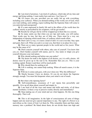Q: I am tired of promises. I am tired of sadhanas, which take all my time and energy and bring nothing. I want reality here and now. Can I have it?

M: Of course you can, provided you are really fed up with everything, including your sadhanas. When you demand nothing of the world, nor of God, when you want nothing, seek nothing, expect nothing then the Supreme State will come to you uninvited and unexpected!

Q: If a man engrossed in family life and in the affairs of the world does his sadhana strictly as prescribed by his scriptures, will he get results?

M: Results he will get, but he will be wrapped up in them like in a cocoon.

Q: So many saints say that when you are ripe and ready, you will realise. Their words may be true, but they are of little use. There must be a way out, independent of ripening which needs time, of sadhana which needs effort.

M: Don't call it a way; it is more a kind of skill. It is not even that. Stay open and quiet, that is all. What you seek is so near you, that there is no place for a way.

Q: There are so many ignorant people in the world and so few jnanis. What may be the cause of it?

M: Don't concern yourself with others, take care of yourself. You know that you are. Don't burden yourself with names, just be. Any name or shape you give yourself obscures your real nature.

Q: Why should seeking end before one can realise?

M: The desire for truth is the highest of all desires, yet, it is still a desire. All desires must be given up to the real to be. Remember that you are. This is your working capital. Rotate it and there will be much profit.

Q: Why should there be seeking at all.

M: Life is seeking, one cannot help seeking. When all search ceases, it is the Supreme State.

Q: With me it comes and goes, with you it does not. Why this difference?

M: Maybe because I have no desires. Or you do not desire the Supreme strongly enough. You must feel desperate when your mind is out of touch.

Q: But what is the ripening factor?

M: Self-remembrance, awareness of 'l am' ripens him powerfully and speedily. Give up all ideas about yourself and simply be.

Q: I am tired of all the ways and means and skills and tricks, of all these mental acrobatics. Is there a way to perceive reality directly and immediately?

M: Stop making use of your mind and see what happens. Do this one thing thoroughly. That is all.

M: This is all imagination. In the light of consciousness all sorts of things happen and one need not give special importance to any. The sight of a flower is as marvellous as the vision of God. Let them be. Why remember them and then make memory into a problem? Be bland about them; do not divide them into high and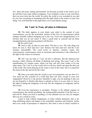low, inner and outer, lasting and transient. Go beyond, go back to the source, go to the self that is the same whatever happens. Your weakness is due to your conviction that you were born into the world. In reality the world is ever recreated in you and by you. See everything as emanating from the light which is the source of your own being. You will find that in that light there is love and infinite energy.

## 44. 'I am' is True, all else is Inference

M: The body appears in your mind, your mind is the content of your consciousness; you are the motionless witness of the river of consciousness which changes eternally without changing you in any way. Your own changelessness is so obvious that you do not notice it. Have a good look at yourself and all these misapprehensions and misconceptions will dissolve.

Q: We call it God.

M: God is only an idea in your mind. The fact is you. The only thing you know for sure is: 'here and now I am'. Remove the 'here and now' and the 'I am' remains, unassailable. The word exists in memory, memory comes into consciousness; consciousness exists in awareness and awareness is the reflection of the light on the waters of existence.

M: All I can say truly is: 'I am', all else is inference. But the inference has become a habit. Destroy all habits of thinking and seeing. The sense 'I am' is the manifestation of a deeper cause, which you may call self, God, reality or by any other name. The 'I am' is in the world; but it is the key which can open the door out of the world. The moon dancing on the water is seen in the water, but it is caused by the moon in the sky and not by the water.

M: Once you realise that the world is your own projection, you are free of it. You need not free yourself of a world that does not exist, except in your own imagination! However is the picture, beautiful or ugly, you are painting it and you are not bound by it. Realise that there is nobody to force it on you, that it is due to the habit of taking the imaginary to be real. See the imaginary as imaginary and be free of fear.

M: Even the experiencer is secondary. Primary is the infinite expanse of consciousness, the eternal possibility, the immeasurable potential of all that was, is, and will be. When you look at anything, it is the ultimate you see, but you imagine that you see a cloud or a tree.

Learn to look without imagination, to listen without distortion: that is all. Stop attributing names and shapes to the essentially nameless and formless, realise that every mode of perception is subjective, that what is seen or heard, touched or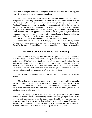smelt, felt or thought, expected or imagined, is in the mind and not in reality, and you will experience peace and freedom from fear.

M: [After being questioned about the different approaches and paths to enlightenment:] You may feel attracted to reality at one time and repelled from the false at another; these are only moods which alternate; both are needed for perfect freedom. You may go one way or another -- but each time it will be the right way at the moment; just go whole-heartedly, don't waste time on doubting or hesitating. Many kinds of food are needed to make the child grow, but the act of eating is the same. Theoretically -- all approaches are good. In practice, and at a given moment, you proceed by one road only. Sooner or later you are bound to discover that if you really want to find, you must dig at one place only -- within.

Q: Surely there is something valid and valuable in every approach.

M: In each case the value lies in bringing you to the need of seeking within. Playing with various approaches may be due to resistance to going within, to the fear of having to abandon the illusion of being something or somebody in particular.

## 45. What Comes and Goes has no Being

M: The person merely appears to be, like the space within the pot appears to have the shape and volume and smell of the pot. See that you are not what you believe yourself to be. Fight with all the strength at your disposal against the idea that you are nameable and describable. You are not. Refuse to think of yourself in terms of this or that. There is no other way out of misery, which you have created for yourself through blind acceptance without investigation. Suffering is a call for enquiry, all pain needs investigation. Don't be too lazy to think.

M: To work in the world is hard, to refrain from all unnecessary work is even harder.

M: As long as we imagine ourselves to be separate personalities, one quite apart from another, we cannot grasp reality which is essentially impersonal. First we must know ourselves as witnesses only, dimensionless and timeless centres of observation, and then realise that immense ocean of pure awareness, which is both mind and matter and beyond both.

M: Your being a person is due to the illusion of space and time; you imagine yourself to be at a certain point occupying a certain volume; your personality is due to your self-identification with the body. Your thoughts and feelings exist in succession, they have their span in time and make you imagine yourself, because of memory, as having duration. In reality time and space exist in you; you do not exist in them. They are modes of perception, but they are not the only ones.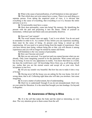Q: What is the cause of personification, of self-limitation in time and space?

M: That which does not exist cannot have a cause. There is no such thing as a separate person. Even taking the empirical point of view, it is obvious that everything is the cause of everything, that everything is as it is, because the entire universe is as it is.

Q: Yet personality must have a cause.

M: How does personality, come into being? By memory. By identifying the present with the past and projecting it into the future. Think of yourself as momentary, without past and future and your personality dissolves.

Q: Does not 'I am' remain?

M: The word 'remain' does not apply. 'I am' is ever afresh. You do not need to remember in order to be. As a matter of fact, before you can experience anything, there must be the sense of being. At present your being is mixed up with experiencing. All you need is to unravel being from the tangle of experiences. Once you have known pure being, without being this or that, you will discern it among experiences and you will no longer be misled by names and forms.

Self-limitation is the very essence of personality.

Q: How can I become universal?

M: But you are universal. You need not and you cannot become what you are already. Only cease imagining yourself to be the particular. What comes and goes has no being. It owes its very appearance to reality. You know that there is a world, but does the world know you? All knowledge flows from you, as all being and all joy. realise that you are the eternal source and accept all as your own. Such acceptance is true love.

Q: All you say sounds very beautiful. But how has one to make it into a way of living?

M: Having never left the house you are asking for the way home. Get rid of wrong ideas, that is all. Collecting right ideas also will take you nowhere. Just cease imagining.

Q: It is not a matter of achievement, but of understanding.

M: Don't try to understand! Enough if you do not misunderstand. Don't rely on your mind for liberation. It is the mind that brought you into bondage. Go beyond it altogether.

### 46. Awareness of Being is Bliss

**M.:** It is the self that makes the body and the mind so interesting, so very dear. The very attention given to them comes from the self.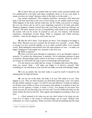M: To know that you are neither body nor mind, watch yourself steadily and live unaffected by your body and mind, completely aloof, as if you were dead. It means you have no vested<sup>1</sup> interests, either in the body or in the mind.  $(...)$ 

Just remain unaffected. This complete aloofness, unconcern with mind and body is the best proof that at the core of your being you are neither mind nor body. What happens to the body and the mind may not be within your power to change, but you can always put an end to your imagining yourself to be body and mind. Whatever happens, remind yourself that only your body and mind are affected, not yourself. The more earnest you are at remembering what needs to be remembered, the sooner will you be aware of yourself as you are, for memory will become experience. Earnestness reveals being. What is imagined and willed becomes actuality -- here lies the danger as well as the way out.

M: But the self is there. Your desires are there. Your longing to be happy is there. Why? Because you love yourself. By all means love yourself -- wisely. What is wrong is to love yourself stupidly, so as to make yourself suffer. Love yourself wisely. Both indulgence and austerity have the same purpose in view -- to make you happy. Indulgence is the stupid way, austerity is the wise way.

Q: What is austerity?

M: Once you have gone through an experience, not to go through it again is austerity. To eschew the unnecessary is austerity. Not to anticipate pleasure or pain Is austerity. Having things under control at all times is austerity. Desire by itself is not wrong. It is life itself, the urge to grow in knowledge and experience.

It is the choices you make that are wrong. To imagine that some little thing – food, sex, power, fame -- will make you happy is to deceive yourself. Only something as vast and deep as your real self can make you truly and lastingly happy.

M: Live an orderly life, but don't make it a goal by itself. It should be the starting point for high adventure.

M: you are not in the body, the body is in you! The mind is in you. They happen to you. They are there because you find them interesting. Your very nature has the infinite capacity to enjoy. It is full of zest and affection. It sheds its radiance on all that comes within its focus of awareness and nothing is excluded. It does not know evil nor ugliness, it hopes, it trusts, it loves. You people do not know how much you miss by not knowing your own true self. You are neither the body nor the mind, neither the fuel nor the fire. They appear and disappear according to their own laws.

(…) Don't pretend to be what you are not, don't refuse to be what you are. Your love of others is the result of self-knowledge, not its cause. Without selfrealisation, no virtue is genuine. When you know beyond all doubting that the same

<sup>&</sup>lt;u>.</u>  $<sup>1</sup> Vested = revestido$ ; (jur.) adquirido.</sup>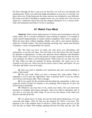life flows through all that is and you are that life, you will love all naturally and spontaneously. When you realise the depth and fullness of your love of yourself, you know that every living being and the entire universe are included in your affection. But when you look at anything as separate from you, you cannot love it for you are afraid of it. Alienation causes fear and fear deepens alienation. It is a vicious circle. Only self-realisation can break it. Go for it resolutely.

### 47. Watch Your Mind

Maharaj: What is done under pressure of society and circumstances does not matter much, for it is mostly mechanical, mere reacting to impacts. It is enough to watch oneself dispassionately to isolate oneself completely from what is going on. What has been done without minding, blindly, may add to one's karma (destiny), otherwise it hardly matters. The Guru demands one thing only; clarity and intensity of purpose, a sense of responsibility for oneself.

M.: The Guru you have in mind, one who gives you information and instructions, is not the real Guru. The real Guru is he who knows the real, beyond the glamour of appearances. To him your questions about obedience and discipline do not make sense, for in his eyes the person you take yourself to be does not exist, your questions are about a non-existing person. What exists for you does not exist for him. What you take for granted, he denies absolutely. He wants you to see yourself as he sees you. Then you will not need a Guru to obey and follow, for you will obey and follow your own reality.

Q: Does one need to abandon one's profession and one's social standing in order to find reality?

M: Do your work. When you have a moment free, look within. What is important is not to miss the opportunity when it presents itself. If you are earnest you will use your leisure fully. That is enough.

Q: In my search for the essential and discarding the unessential, is there any scope for creative living? For instance, I love painting. Will it help me if I give my leisure hours to painting?

M: Whatever you may have to do, watch your mind. Also you must have moments of complete inner peace and quiet, when your mind is absolutely still. If you miss it, you miss the entire thing. If you do not, the silence of the mind will dissolve and absorb all else.

M: An infant knows its body, but not the body-based distinctions. It is just conscious and happy. After all, that was the purpose for which it was born. The pleasure to be is the simplest form of self-love, which later grows into love of the self. Be like an infant with nothing standing between the body and the self. The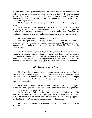constant noise of the psychic life is absent. In deep silence the self contemplates the body. It is like the white paper on which nothing is written yet. Be like that infant, instead of trying to be this or that, be happy to be. You will be a fully awakened witness of the field of consciousness. But there should be no feelings and ideas to stand between you and the field.

Q: To be content with mere being seems to be a most selfish way of passing time.

M: A most worthy way of being selfish! By all means be selfish by foregoing everything but the Self. When you love the Self and nothing else, you go beyond the selfish and the unselfish. All distinctions lose their meaning. Love of one and love of all merge together in love, pure and simple, addressed to none, denied to none.

Q: Does my pursuing a vocation deny my earnestness?

M: I told you already. As long as you allow yourself an abundance of moments of peace, you can safely practice your most honourable profession. These moments of inner quiet will burn out all obstacles without fail. Don't doubt its efficacy. Try it.

M: Be interested in yourself beyond all experience, be with yourself, love yourself; the ultimate security is found only in self-knowledge. The main thing is earnestness. Be honest with yourself and nothing will betray you. Virtues and powers are mere tokens for children to play with. They are useful in the world, but do not take you out of it. To go beyond, you need alert immobility, quiet attention.

### 48. Awareness is Free

M: Desire, fear, trouble, joy, they cannot appear unless you are there to appear to. Yet, whatever happens, points to your existence as a perceiving centre. Disregard the pointers and be aware of what they are pointing to. It is quite simple, but it needs be done. What matters is the persistence with which you keep on returning to yourself.

Q: I seem to have a clear idea of what needs be done, but I find myself getting tired and depressed and seeking human company and thus wasting time that should be given to solitude and meditation.

M: Do what you feel like doing. Don't bully yourself. Violence will make you hard and rigid. Do not fight with what you take to be obstacles on your way. Just be interested in them, watch them, observe, enquire. Let anything happen - good or bad. But don't let yourself be submerged by what happens.

Q: What is the purpose in reminding oneself all the time that one is the watcher?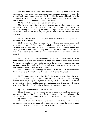M: The mind must learn that beyond the moving mind there is the background of awareness, which does not change. The mind must come to know the true self and respect it and cease covering it up, like the moon which obscures the sun during solar eclipse. Just realise that nothing observable, or experienceable is you, or binds you. Take no notice of what is not yourself.

Q: To do what you tell me I must be ceaselessly aware.

M: To be aware is to be awake. Unaware means asleep. You are aware anyhow, you need not try to be. What you need is to be aware of being aware. Be aware deliberately and consciously, broaden and deepen the field of awareness. You are always conscious of the mind, but you are not aware of yourself as being conscious.

M: All you are conscious of is your mind; awareness is the cognisance of consciousness as a whole.

M: Don't say: 'everybody is conscious'. Say: 'there is consciousness', in which everything appears and disappears. Our minds are just waves on the ocean of consciousness. As waves they come and go. As ocean they are infinite and eternal. Know yourself as the ocean of being, the womb of all existence. These are all metaphors of course; the reality is beyond description. You can know it only by being it.

M: While the mind is centred in the body and consciousness is centred in the mind, awareness is free. The body has its urges and mind its pains and pleasures. Awareness is unattached and unshaken. It is lucid, silent, peaceful, alert and unafraid, without desire and fear. Meditate on it as your true being and try to be it in your daily life, and you shall realise it in its fullness.

Mind is interested in what happens, while awareness is interested in the mind itself. The child is after the toy, but the mother watches the child, not the toy.

M: The same power that makes the fire burn and the water flow, the seeds sprout and the trees grow, makes me answer your questions. There is nothing personal about me, though the language and the style may appear personal. A person is a set pattern of desires and thoughts and resulting actions; there is no such pattern in my case. There is nothing I desire or fear -- how can there be a pattern?

Q: What is meditation and what are its uses?

M: As long as you are a beginner certain formalised meditations, or prayers may be good for you. But for a seeker for reality there is only one meditation -- the rigorous refusal to harbour thoughts. To be free from thoughts is itself meditation.

Q: How is it done?

M: You begin by letting thoughts flow and watching them. The very observation slows down the mind till it stops altogether. Once the mind is quiet, keep it quiet. Don't get bored with peace, be in it, go deeper into it.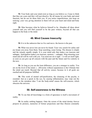M: Your body and your mind exist as long as you believe so. Cease to think that they are yours and they will just dissolve. By all means let your body and mind function, but do not let them limit you. If you notice imperfections, just keep on noticing: your very giving attention to them will set your heart and mind and body right.

M: Man becomes what he believes himself to be. Abandon all ideas about yourself and you will find yourself to be the pure witness, beyond all that can happen to the body or the mind.

#### 49. Mind Causes Insecurity

M: It is in the unknown that we live and move. the known is the past.

M: What was never lost can never be found. Your very search for safety and joy keeps you away from them. Stop searching, cease losing. The disease is simple and the remedy equally simple. It is your mind only that makes you insecure and unhappy. Anticipation makes you insecure, memory -- unhappy. Stop misusing your mind and all will be well with you. You need not set it right -- it will set itself right, as soon as you give up all concern with the past and the future and live entirely in the now.

M: As long as you see the least difference, you are a stranger to reality. You are on the level of the mind. (…)Diversity without separateness is the Ultimate that the mind can touch. Beyond that all activity ceases, because in it all goals are reached and all purposes fulfilled.

M: This work of mental self-purification, the cleansing of the psyche, is essential. Just as a speck in the eye, by causing inflammation, may wipe out the world, so the mistaken idea: 'I am the body-mind' causes the self-concern, which obscures the universe.

#### 50. Self-awareness is the Witness

M: To see that all knowledge is a form of ignorance is itself a movement of reality.

M: In reality nothing happens. Onto the screen of the mind destiny forever projects its pictures, memories of former projections and thus illusion constantly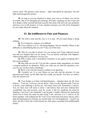renews itself. The pictures come and go -- light intercepted by ignorance. See the light and disregard the picture.

M: As long as you pay attention to ideas, your own or of others, you will be in trouble. But if you disregard all teachings, all books, anything out into words and dive deeply within yourself and find yourself, this alone will solve all your problems and leave you in full mastery of every situation, because you will not be dominated by your ideas about the situation.

# 51. Be Indifferent to Pain and Pleasure

M: The Self is near and the way to it is easy. All you need doing is doing nothing.

Q: Yet I found my sadhana very difficult.

M: Your *sadhana* is to be. The doing happens. Just be watchful. Where is the difficulty in remembering that you are? Your *are* all the time.

M: Why do you talk of action? Are you acting ever? Some unknown power acts and you imagine that you are acting. You are merely watching what happens, without being able to influence it in any way.

Q: Why is there such a tremendous resistance in me against accepting that I just can do nothing?

M: But what can you do? You are like a patient under anaesthetics on whom a surgeon performs an operation. When you wake up you find the operation over; can you say you have done something?

Q: But it is me who has chosen to submit to an operation.

M: Certainly not. It is your illness on one side and the pressure of your physician and family on the other that have made you decide. You have no choice, only the illusion of it.

M: Your burden is of false self-identifications -- abandon them all. My Guru told me -- 'Trust me. I tell you; you are divine. Take it as the absolute truth. Your joy is divine, your suffering is divine too. All comes from God. Remember it always. You are God, your will alone is done'. I did believe him and soon realised how wonderfully true and accurate were his words. I did not condition my mind by thinking: 'I am God, I am wonderful, I am beyond'. I simply followed his instruction which was to focus the mind on pure being 'I am', and stay in it. I used to sit for hours together, with nothing but the 'I am' in my mind and soon peace and joy and a deep all-embracing love became my normal state. In it all disappeared -- myself, my Guru, the life I lived, the world around me. Only peace remained and unfathomable silence.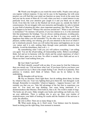M: Watch your thoughts as you watch the street traffic. People come and go; you register without response. It may not be easy in the beginning, but with some practice you will find that your mind can function on many levels at the same time and you can be aware of them all. It is only when you have a vested interest in any particular level, that your attention gets caught in it and you black out on other levels. Even then the work on the blacked out levels goes on, outside the field of consciousness. Do not struggle with your memories and thoughts; try only to include in your field of attention the other, more important questions, like 'Who am l?' 'How did I happen to be born?' 'Whence this universe around me?'. 'What is real and what is momentary?' No memory will persist, if you lose interest in it, it is the emotional link that perpetuates the bondage. You are always seeking pleasure, avoiding pain, always after happiness and peace. Don't you see that it is your very search for happiness that makes you feel miserable? Try the other way: indifferent to pain and pleasure, neither asking, nor refusing, give all your attention to the level on which 'I am' is timelessly present. Soon you will realise that peace and happiness are in your very nature and it is only seeking them through some particular channels, that disturbs. Avoid the disturbance, that is all. (...)

By remembering what I told you you will achieve everything. I am telling you again: You are the all-pervading, all transcending reality. Behave accordingly: think, feel and act in harmony with the whole and the actual experience of what I say will dawn upon you in no time. No effort is needed. Have faith and act on it. Please see that I want nothing from you.

#### Q: Can I think 'I am God'?

M: Don't identify yourself with an idea. If you mean by God the Unknown, then you merely say: 'I do not know what I am'. If you know God as you know your self, you need not say it. Best is the simple feeling 'I am'. Dwell on it patiently. Here patience is wisdom; don't think of failure. There can be no failure in this undertaking.

Q: My thoughts will not let me.

M: Pay no attention. Don't fight them. Just do nothing about them, let them be, whatever they are. Your very fighting them gives them life. Just disregard. Look through. Remember to remember: 'whatever happens -- happens because I am'. All reminds you that you are. Take full advantage of the fact that to experience you must be. You need not stop thinking. Just cease being interested. It is disinterestedness that liberates. Don't hold on, that is all. The world is made of rings. The hooks are all yours. Make straight your hooks and nothing can hold you. Give up your addictions. There is nothing else to give up. Stop your routine of acquisitiveness, your habit of looking for results and the freedom of the universe is yours. Be effortless.

Q: Life is effort. There are so many things to do.

M: What needs doing, do it. Don't resist. Your balance must be dynamic, based on doing just the right thing, from moment to moment.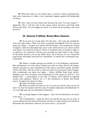M: When the mind is in its natural state, it reverts to silence spontaneously after every experience or, rather, every experience happens against the background of silence.

M: Now, what you have learnt here becomes the seed. You may forget it - apparently. But it will live and in due season sprout and grow and bring forth flowers and fruits. All will happen by itself. You need not do anything, only don't prevent it.

### 53. Desires Fulfilled, Breed More Desires

M: If you just try to keep quiet, all will come -- the work, the strength for work, the right motive. Must you know everything beforehand? Don't be anxious about your future -- be quiet now and all will fall in place. The unexpected is bound to happen, while the anticipated may never come. Don't tell me you cannot control your nature. You need not control it. Throw it overboard. Have no nature to fight, or to submit to. No experience will hurt you, provided you don't make it into a habit. Of the entire universe you are the subtle cause. All is because you are. Grasp this point firmly and deeply and dwell on it repeatedly. To realise this as absolutely true, is liberation.

M: Nature is neither pleasant nor painful. It is all intelligence and beauty. Pain and pleasure are in the mind. Change your scale of values and all will change. Pleasure and pain are mere disturbances of the senses; treat them equally and there will be only bliss. And the world is, what you make it; by all means make it happy. Only contentment can make you happy -- desires fulfilled breed more desires. Keeping away from all desires and contentment in what comes by itself is a very fruitful state -- a precondition to the state of fullness. Don't distrust its apparent sterility and emptiness. Believe me, it is the satisfaction of desires that breeds misery. Freedom from desires is bliss.

Q: There are things we need.

M: What you need will come to you, if you do not ask for what you do not need. Yet only few people reach this state of complete dispassion and detachment. It is a very high state, the very threshold of liberation.

M: Let things happen as they happen -- they will sort themselves out nicely in the end.  $(\ldots)$ 

This is detachment -- when the old is over and the new has not yet come. If you are afraid, the state may be distressing; but there is really nothing to be afraid of. Remember the instruction: whatever you come across -- go beyond.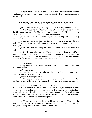M: If you desire to be free, neglect not the nearest step to freedom. It is like climbing a mountain: not a step can be missed. One step less -- and the summit is not reached.

## 54. Body and Mind are Symptoms of Ignorance

Q: If the reasons are imaginary, why should the suffering be inevitable?

M: It is always the false that makes you suffer, the false desires and fears, the false values and ideas, the false relationships between people. Abandon the false and you are free of pain; truth makes happy -- truth liberates.

Q: The truth is that I am a mind imprisoned in a body and this is a very unhappy truth.

M: You are neither the body nor in the body -- there is no such thing as body. You have grievously misunderstood yourself; to understand rightly - investigate.

Q: But I was born as a body, in a body and shall die with the body, as a body.

M: This is your misconception. Enquire, investigate, doubt yourself and others. To find truth, you must not cling to your convictions; if you are sure of the immediate, you will never reach the ultimate. Your idea that you were born and that you will die is absurd: both logic and experience contradict it.

Q: You smoke?

M: My body kept a few habits which may as well continue till it dies. There is no harm in them.

Q: You eat meat?

M: I was born among meat-eating people and my children are eating meat. I eat very little -- and make no fuss.

Q: Meat-eating implies killing.

M: Obviously. I make no claims of consistency. You think absolute consistency is possible; prove it by example. Don't preach what you do not practise.

M: Now, divest yourself of the idea that you are the body with the help of the contrary idea that you are not the body. It is also an idea, no doubt; treat it like something to be abandoned when its work is done. The idea that I am not the body gives reality to the body, when in fact, there is no such thing as body, it is but a state of mind. You can have as many bodies and as diverse as you like; just remember steadily what you want and reject the incompatibles.

M: Without awareness, the body would not last a second. There is in the body a current of energy, affection and intelligence, which guides, maintains and energises the body. Discover that current and stay with it.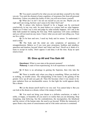M: You assert yourself to be what you are not and deny yourself to be what you are. You omit the element of pure cognition, of awareness free from all personal distortions. Unless you admit the reality of chit, you will never know yourself.

Q: What am I to do? I do not see myself as you see me. Maybe you are right and I am wrong, but how can I cease to be what I feel I am?

M: A prince who believes himself to be a beggar can be convinced conclusively in one way only: he must behave as a prince and see what happens. Behave as if what I say is true and judge by what actually happens. All I ask is the little faith needed for making the first step. With experience will come confidence and you will not need me any more. I know what you are and I am telling you. Trust me for a while.

Q: To be here and now, I need my body and its senses. To understand, I need a mind.

M: The body and the mind are only symptoms of ignorance, of misapprehension. Behave as if you were pure awareness, bodiless and mindless, spaceless and timeless, beyond 'where' and 'when' and 'how'. Dwell on it, think of it, learn to accept its reality. Don't oppose it and deny it all the time. Keep an open mind at least.

### 55. Give up All and You Gain All

Questioner: What is your state at the present moment? Maharaj: A state of non-experiencing. In it all experience is included.

Q: If there is no advantage in gaining the Supreme, then why take the trouble?

M: There is trouble only when you cling to something. When you hold on to nothing, no trouble arises. The relinquishing of the lesser is the gaining of the greater. Give up all and you gain all. Then life becomes what it was meant to be: pure radiation from an inexhaustible source. In that light the world appears dimly like a dream.

M: Let the dream unroll itself to its very end. You cannot help it. But you can look at the dream as a dream, refuse it the stamp of reality.

M: You need not bring your dream to a definite conclusion, or make it noble, or happy, or beautiful; all you need is to realise that you are dreaming. Stop imagining, stop believing. See the contradictions, the incongruities, the falsehood and the sorrow of the human state, the need to go beyond. Within the immensity of space floats a tiny atom of consciousness and in it the entire universe is contained.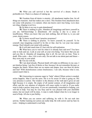M: What you call survival is but the survival of a dream. Death is preferable to it. There is a chance of waking up.

M: Freedom from all desire is eternity. All attachment implies fear, for all things are transient. And fear makes one a slave. This freedom from attachment does not come with practice; it is natural, when one knows one's true being. Love does not cling; clinging is not love.

Q: So there is no way to gain detachment?

M: There is nothing to gain. Abandon all imaginings and know yourself as you are. Self-knowledge is detachment. All craving is due to a sense of insufficiency. When you know that you lack nothing, that all there is, is you and yours, desire ceases.

Q: To know myself must I practise awareness?

M: There is nothing to practise. To know yourself, be yourself. To be yourself, stop imagining yourself to be this or that. Just be. Let your true nature emerge. Don't disturb your mind with seeking.

Q: It will take much time if I Just wait for self-realisation.

M: What have you to wait for when it is already here and now? You have only to look and see. Look at your self, at your own being. You know that you are and you like it. Abandon all imagining, that is all. Do not rely on time. Time is death. Who waits -- dies. Life is now only. Do not talk to me about past and future - they exist only in your mind.

Q: You too will die.

M: I am dead already. Physical death will make no difference in my case. I am timeless being. I am free of desire or fear, because I do not remember the past, or imagine the future. Where there are no names and shapes, how can there be desire and fear? With desirelessness comes timelessness. I am safe, because what is not, cannot touch what is.

M: [Answering to someone eager to "help" others] Where action is needed, action happens. Man is not the actor. His is to be aware of what is going on. His very presence is action. The window is the absence of the wall and it gives air and light because it is empty. Be empty of all mental content, of all imagination and effort, and the very absence of obstacles will cause reality to rush in. If you really want to help a person, keep away. If you are emotionally committed to helping, you will fail to help. You may be very busy and be very pleased with your charitable nature, but not much will be done. A man is really helped when he is no longer in need of help. All else is just futility.

M: When you see sorrow and suffering, be with it. Do not rush into activity. Neither learning nor action can really help. Be with sorrow and lay bare its roots -- helping to understand is real help.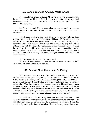#### 56. Consciousness Arising, World Arises

M: To be, I need no past or future. All experience is born of imagination; I do not imagine, so no birth or death happens to me. Only those who think themselves born can think themselves re-born. You are accusing me of having been born -- I plead not guilty!

M: There is no such thing as unconsciousness, for unconsciousness is not experienceable. We infer unconsciousness when there is a lapse in memory or communication.

M: Of course we live in one world. Only I see it as it is, while you don't. You see yourself in the world, while I see the world in myself. To you, you get born and die, while to me, the world appears and disappears. Our world is real, but your view of it is not. There is no wall between us, except the one built by you. There is nothing wrong with the senses, it is your imagination that misleads you. It covers up the world as it is, with what you imagine it to be -- something existing independently of you and yet closely following your inherited, or acquired patterns. There is a deep contradiction in your attitude, which you do not see and which is the cause of sorrow.

Q: The seer and the seen: are they one or two?

M: There is only seeing; both the seer and the seen are contained in it. Don't create differences where there are none.

### 57. Beyond Mind there is no Suffering

**M:** I see as you see, hear as you hear, taste as you taste, eat as you eat. I also feel thirst and hunger and expect my food to be served on time. When starved or sick, my body and mind go weak. All this I perceive quite clearly, but somehow I am not in it, I feel myself as if floating over it, aloof and detached. Even not aloof and detached. There is aloofness and detachment as there is thirst and hunger; there is also the awareness of it all and a sense of Immense distance, as if the body and the mind and all that happens to them were somewhere far out on the horizon. (…) The feeling: 'I am not this or that, nor is anything mine' is so strong in me that as soon as a thing or a thought appears, there comes at once the sense 'this I am not'.

M: Look, my thumb touches my forefinger. Both touch and are touched. When my attention; is on the thumb, the thumb is the feeler and the forefinger -- the self. Shift the focus of attention and the relationship is reversed. I find that somehow, by shifting the focus of attention, I become the very thing I look at and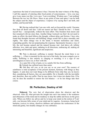experience the kind of consciousness it has; I become the inner witness of the thing. I call this capacity of entering other focal points of consciousness -- love; you may give it any name you like. Love says: 'I am everything'. Wisdom says: 'I am nothing' Between the two my life flows. Since at any point of time and space I can be both the subject and the object of experience, I express it by saying that I am both, and neither, and beyond both.

M: Having realised that I am one with, and yet beyond the world, I became free from all desire and fear. I did not reason out that I should be free -- I found myself free -- unexpectedly, without the least effort. This freedom from desire and fear remained with me since then. Another thing I noticed was that I do not need to make an effort; the deed follows the thought, without delay and friction. I have also found that thoughts become self-fulfilling; things would fall in place smoothly and rightly. The main change was in the mind; it became motionless and silent, responding quickly, but not perpetuating the response. Spontaneity became a way of life, the real became natural and the natural became real. And above all, infinite affection, love, dark and quiet, radiating in all directions, embracing all, making all interesting and beautiful, significant and auspicious.

M: Pain is physical; suffering is mental. Beyond the mind there is no suffering. (…) Pain is essential for the survival of the body, but none compels you to suffer. Suffering is due entirely to clinging or resisting; it is a sign of our unwillingness to move on, to flow with life.

As a sane life is free of pain, so is a saintly life free from suffering.

Q: Nobody has suffered more than saints.

M: Did they tell you, or do you say so on your own? The essence of saintliness is total acceptance of the present moment, harmony with things as they happen. A saint does not want things to be different from what they are; he knows that, considering all factors, they are unavoidable. He is friendly with the inevitable and, therefore, does not suffer. Pain he may know, but it does not shatter him. If he can, he does the needful to restore the lost balance -- or he lets things take their course.

### 58. Perfection, Destiny of All

Maharaj: The very fact of observation alters the observer and the observed. After all, what prevents the insight into one's true nature is the weakness and obtuseness of the mind and its tendency to skip the subtle and focus on the gross only. When you follow my advice and try to keep your mind on the notion of 'I am' only, you become fully aware of your mind and its vagaries. Awareness, being lucid harmony *(sattva)* in action, dissolves dullness and quietens the restlessness of the mind and gently, but steadily changes its very substance.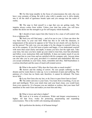M: For this keep steadily in the focus of consciousness the only clue you have: your certainty of being. Be with it, play with it, ponder over it, delve deeply into it, till the shell of ignorance breaks open and you emerge into the realm of reality.

M: The urge to find oneself is a sign that you are getting ready. The impulse always comes from within. Unless your time has come, you will have neither the desire nor the strength to go for self-enquiry whole-heartedly.

Q: I should at least expect him [the Guru] to be a man of self-control who lives a righteous life.

**M:** Such you will find many -- and of no use to you. A Guru can show the way back home, to your real Self. What has this to do with the character, or temperament of the person he appears to be? Does he not clearly tell you that he is not the person? The only way you can judge is by the change in yourself when you are in his company. If you feel more at peace and happy, if you understand yourself with more than usual clarity and depth, it means you have met the right man. Take your time, but once you have made up your mind to trust him, trust him absolutely and follow every instruction fully and faithfully. It does not matter much if you do not accept him as your Guru and are satisfied with his company only. Satsang alone can also take you to your goal, provided it is unmixed and undisturbed. But once you accept somebody as your Guru, listen, remember and obey. Half-heartedness is a serious drawback and the cause of much self-created sorrow.

Q: What is the motive? Why does the Guru take so much trouble?

M: Sorrow and the ending of sorrow. He sees people suffering in their dreams and he wants them to wake up. Love is intolerant of pain and suffering. The patience of a Guru has no limits and, therefore, it cannot be defeated. The Guru never fails.

Q: Is my first Guru also my last, or do I have to pass from Guru to Guru?

M: The entire universe is your Guru. You learn from everything, if you are alert and intelligent. Were your mind clear and your heart clean, you would learn from every passer-by. It is because you are indolent or restless, that your inner Self manifests as the outer Guru and makes you trust him and obey.

Q: What is lower and what is higher?

M: Look at it in terms of awareness. Wider and deeper consciousness is higher. All that lives, works for protecting, perpetuating and expanding consciousness. This is the world's sole meaning and purpose.

Q: Is perfection the destiny of all human beings?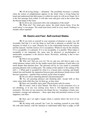M: Of all living beings -- ultimately. The possibility becomes a certainty when the notion of enlightenment appears in the mind. Once a living being has heard and understood that deliverance is within his reach, he will never forget, for it is the first message from within. It will take roots and grow and in due course take the blessed shape of the Guru.

Q: So all we are concerned with is the redemption of the mind?

M: What else? The mind goes astray, the mind returns home. Even the word 'astray' is not proper. The mind must know itself in every mood. Nothing is a mistake unless repeated.

## 59. Desire and Fear: Self-centred States

M: If you look at yourself in your moments of pleasure or pain, you will invariably find that it is not the thing in itself that is pleasant or painful, but the situation of which it is a part. Pleasure lies in the relationship between the enjoyer and the enjoyed. And the essence of it is acceptance. Whatever may be the situation, if it is acceptable, it is pleasant. If it is not acceptable, it is painful. What makes it acceptable is not important; the cause may be physical, or psychological, or untraceable; acceptance is the decisive factor. Reversely, suffering is due to nonacceptance.

Q: Pain is not acceptable.

M: Why not? Did you ever try? Do try and you will find in pain a joy which pleasure cannot yield, for the simple reason that acceptance of pain takes you much deeper than pleasure does. The personal self by its very nature is constantly pursuing pleasure and avoiding pain. The ending of this pattern is the ending of the self. (…) When pain is accepted for what it is, a lesson and a warning, and deeply looked into and heeded, the separation between pain and pleasure breaks down, both become experience -- painful when resisted, joyful when accepted.

Q: Do you advise shunning pleasure and pursuing pain?

M: No, nor pursuing pleasure and shunning pain. Accept both as they come, enjoy both while they last, let them go, as they must.

Q: How can I possibly enjoy pain? Physical pain calls for action.

M: Of course. And so does Mental. The bliss is in the awareness of it, in not shrinking, or in any way turning away from it. All happiness comes from awareness. The more we are conscious, the deeper the joy. Acceptance of pain, nonresistance, courage and endurance -- these open deep and perennial sources of real happiness, true bliss.

Q: How can I set right a tangle which is entirely below the level of my consciousness?

M: By being with yourself, the 'I am'; by watching yourself in your daily life with alert interest, with the intention to understand rather than to judge, in full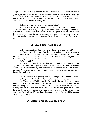acceptance of whatever may emerge, because it is there, you encourage the deep to come to the surface and enrich your life and consciousness with its captive energies. This is the great work of awareness; it removes obstacles and releases energies by understanding the nature of life and mind. Intelligence is the door to freedom and alert attention is the mother of intelligence.

Q: Is there no such thing as permanent perfection?

M: Yes, there is, but it includes all imperfection. It is the perfection of our self-nature which makes everything possible, perceivable, interesting. It knows no suffering, for it neither likes nor dislikes; neither accepts nor rejects. Creation and destruction are the two poles between which it weaves its ever-changing pattern. Be free from predilections and preferences and the mind with its burden of sorrow will be no more.

### 60. Live Facts, not Fancies

Q: Do you mean to say that between good and evil there is no wall?

M: There is no wall, because there is no good and no evil. In every concrete situation there is only the necessary and the unnecessary. The needful is right, the needless is wrong. (…)The needful is good and the needless is evil. In your world the pleasant is good and the painful is evil.

Q: Who decides?

M: The situation decides. Every situation is a challenge which demands the right response. When the response is right, the challenge is met and the problem ceases. If the response is wrong, the challenge is not met and the problem remains unsolved. Your unsolved problems -- that is what constitutes your karma. Solve them rightly and be free.

M: The end is in the beginning. You end where you start -- in the Absolute.

Q: Why all this trouble then? To come back to where I started?

M: Whose trouble? Which trouble? Do you pity the seed that is to grow and multiply till it becomes a mighty forest? Do you kill an infant to save him from the bother of living? What is wrong with life, ever more life? Remove the obstacles to growing and all your personal, social, economic and political problems will just dissolve. The universe is perfect as a whole and the part's striving for perfection is a way of joy. Willingly sacrifice the imperfect to the perfect and there will be no more talk about good and evil.

## 61. Matter is Consciousness Itself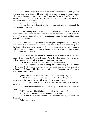M: Without imagination there is no world. Your conviction that you are conscious of a world is the world. The world you perceive is made of consciousness; what you call matter is consciousness Itself. You are the space *(akash)* in which it moves, the time in which it lasts, the love that gives it life. Cut off imagination and attachment and what remains?

Q: The world remains. I remain.

M: Yes. But how different it is when you can see it as it is, not through the screen of desire and fear.

M: Everything moves according to its nature. Where is the need of a policeman? Every action creates a reaction, which balances and neutralises the action. Everything happens, but there is a continuous cancelling out, and in the end it is as if nothing happened.

M: There is only imagination. The intelligence and power are all used up in your imagination. It has absorbed you so completely that you just cannot grasp how far from reality you have wandered. No doubt imagination is richly creative. Universe within universe are built on it. Yet they are all in space and time, past and future, which just do not exist.

M: What you call realization is a natural thing. When you are ready, your Guru will be waiting. Sadhana is effortless. When the relationship with your teacher is right you grow. Above all, trust him. He cannot mislead you.

Q: Even when he asks me to do something patently wrong?

M: Do it. A *Sanyasi* had been asked by his Guru to marry. He obeyed and suffered bitterly. But his four children were all saints and seers, the greatest in Maharashtra. Be happy with whatever comes from your Guru and you will grow to perfection without striving.

Q: Sir, have you any wants or wishes. Can I do anything for you?

M: What can you give me that I do not have? Material things are needed for contentment. But I am contented with myself. What else do I need?

Q: Surely, when you are hungry you need food and when sick you need medicine.

M: Hunger brings the food and illness brings the medicine. It is all nature's work.

Q: lf I bring something I believe you need, will you accept it?

M: The love that made you offer will make me accept.

M: Let him, by all means. Let him spend a fortune, employ hundreds, feed thousands.

Q: Is it not a desire?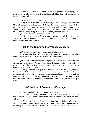M: Not at all. I am only asking him to do it properly, not stingily, halfheartedly. He is fulfilling his own desire, not mine. Let him do it well and be famous among men and gods.

Q: How am I to go into samadhi?

**M:** If you are in the right state, whatever you see will put you into *samadhi*. After all, *samadhi* is nothing unusual. When the mind is intensely interested, it becomes one with the object of interest -- the seer and the seen become one in seeing, the hearer and the heard become one in hearing, the lover and the loved become one in loving. Every experience can be the ground for samadhi.

Q: Are you always in a state of samadhi?

M: Of course not. Samadhi is a state of mind, after all. I am beyond all experience, even of samadhi. I am the great devourer and destroyer: whatever I touch dissolves into void (akash).

### 62. In the Supreme the Witness Appears

Q: One has to remember not to remember. What a task!

M: It cannot be done, of course. It must happen. But it does happen when you truly see the need of it. Again, earnestness is the golden key.

Q: How is it that here my mind is engaged in high topics and finds dwelling on them easy and pleasant. When I return home I find myself forgetting all l have learnt here, worrying and fretting, unable to remember my real nature even for a moment. What may be the cause?

M: It is your childishness you are returning to. You are not fully grown up; there are levels left undeveloped because unattended. Just give full attention to what in you is crude and primitive, unreasonable and unkind, altogether childish, and you will ripen. It is the maturity of heart and mind that is essential. It comes effortlessly when the main obstacle is removed -- inattention, unawareness. In awareness you grow.

## 63. Notion of Doership is Bondage

M: There is only life. There is nobody who lives a life.

Q: That we understand, yet constantly we make attempts to live our lives instead of just living. Making plans for the future seems to be an inveterate habit with us.

M: Whether you plan or don't, life goes on. But in life itself a little whorl arises in the mind, which indulges in fantasies and imagines itself dominating and controlling life. Life itself is desireless. But the false self wants to continue --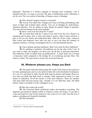pleasantly. Therefore it is always engaged in ensuring one's continuity. Life is unafraid and free. As long as you have the idea of influencing events, liberation is not for you: The very notion of doership, of being a cause, is bondage.

Q: Why should I imagine myself so wretched?

M: You do it by habit only. Change your ways of feeling and thinking, take stock of them and examine them closely. You are in bondage by inadvertence. Attention liberates. You are taking so many things for granted. Begin to question. The most obvious things are the most doubtful.

Q: How is one to be free from the 'I'-sense?

M: You must deal with the 'I'-sense if you want to be free of it. Watch it in operation and at peace, how it starts and when it ceases, what it wants and how it gets it, till you see clearly and understand fully. After all, all the Yogas, whatever their source and character, have only one aim: to save you from the calamity of separate existence, of being a meaningless dot in a vast and beautiful picture.

Q: I have definite spiritual ambitions. Must I not work for their fulfilment?

M: No ambition is spiritual. All ambitions are for the sake of the 'I am'. If you want to make real progress you must give up all idea of personal attainment. The ambitions of the so-called Yogis are preposterous<sup>2</sup>. A man's desire for a woman is innocence itself compared to the lusting for an everlasting personal bliss. The mind is a cheat. The more pious it seems, the worse the betrayal.

## 64. Whatever pleases you, Keeps you Back

M: The point when the mind accepts the words of the Guru as true and lives by them spontaneously and in every detail of daily life is the threshold of realisation. In a way it is salvation by faith, but the faith must be intense and lasting. However, you must not think that faith itself is enough. Faith expressed in action is a sure means to realisation. Of all the means it is the most effective. There are teachers who deny faith and trust reason only. Actually it is not faith they deny, but blind beliefs. Faith is not blind. It is the willingness to try.

Q: But who creates the world?

M: The Universal Mind (chidakash) makes and unmakes everything. The Supreme (paramakash) imparts reality to whatever comes into being. To say that it is the universal love may be the nearest we can come to it in words. Just like love it makes everything real, beautiful, desirable.

Q: Why desirable?

<sup>&</sup>lt;u>.</u> 2 Preposterous = Absurdo, ridículo, despropositado.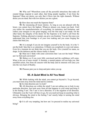M: Why not? Wherefrom come all the powerful attractions that make all created things respond to each other, that bring people together, if not from the Supreme? Shun not desire; see only that it flows into the right channels. Without desire you are dead. But with low desires you are a ghost.

Q: How does one reach the Supreme State?

M: By renouncing all lesser desires. As long as you are pleased with the lesser, you cannot have the highest. Whatever pleases you, keeps you back. Until you realise the unsatisfactoriness of everything, its transiency and limitation, and collect your energies in one great longing, even the first step is not made. On the other hand, the integrity of the desire for the Supreme is by itself a call from the Supreme. Nothing, physical or mental, can give you freedom. You are free once you understand that your bondage is of your own making and you cease forging the chains that bind you.

M: It is enough if you do not imagine yourself to be the body. It is the 'Iam-the-body' idea that is so calamitous. It blinds you completely to your real nature. Even for a moment do not think that you are the body. Give yourself no name, no shape. In the darkness and the silence reality is found.

Q: Must not I think with some conviction that I am not the body? Where am I to find such conviction?

M: Behave as if you were fully convinced and the confidence will come. What is the use of mere words? A formula, a mental pattern will not help you. But unselfish action, free from all concern with the body and its interests will carry you into the very heart of Reality.

M: Pleasure puts you to sleep and pain wakes you up.

# 65. A Quiet Mind is All You Need

M: While looking with the mind, you cannot go beyond it. To go beyond, you must look away from the mind and its contents.

Q: In what direction am I to look?

M: All directions are within the mind! I am not asking you to look in any particular direction. Just look away from all that happens in your mind and bring it to the feeling 'I am'. The 'I am' is not a direction. It is the negation of all direction. Ultimately even the 'I am' will have to go, for you need not keep on asserting what is obvious. Bringing the mind to the feeling 'I am' merely helps in turning the mind away from everything else.

Q: It is all very tempting, but how am I to proceed to realise my universal being?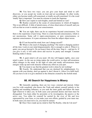M: You have two ways: you can give your heart and mind to selfdiscovery, or you accept my words on trust and act accordingly. In other words, either you become totally self-concerned, or totally un-self-concerned. It is the word 'totally' that is important. You must be extreme to reach the Supreme.

Q: How can I aspire to such heights, small and limited as I am?

M: Realise yourself as the ocean of consciousness in which all happens. This is not difficult. A little of attentiveness, of close observation of oneself, and you will see that no event is outside your consciousness.

M: You are right, there can be no experience beyond consciousness. Yet there is the experience of just being. There is a state beyond consciousness, which is not unconscious. Some call it super-consciousness, or pure consciousness, or supreme consciousness. It is pure awareness free from the subject object nexus.

Q: If I am beyond the mind, how can I change myself?

M: Where is the need of changing anything? The mind is changing anyhow all the time. Look at your mind dispassionately; this is enough to calm it. When it is quiet, you can go beyond it. Do not keep it busy all the time. Stop it -- and just be. If you give it rest, it will settle down and recover its purity and strength. Constant thinking makes it decay.

M: A quiet mind is all you need. All else will happen rightly, once your mind is quiet. As the sun on rising makes the world active, so does self-awareness affect changes in the mind. In the light of calm and steady self-awareness inner energies wake up and work miracles without any effort on your part.

Q: You mean to say that the greatest work is done by not working?

M: Exactly. Do understand that you are destined for enlightenment. Cooperate with your destiny, don't go against it, don't thwart it. Allow it to fulfil itself. All you have to do is to give attention to the obstacles created by the foolish mind.

## 66. All Search for Happiness is Misery

M: Generally speaking, there are two ways: external and internal. Either you live with somebody who knows the Truth and submit yourself entirely to his guiding and moulding influence, or you seek the inner guide and follow the inner light wherever it takes you. In both cases your personal desires and fears must be disregarded. You learn either by proximity or by investigation, the passive or the active way. You either let yourself be carried by the river of life and love represented by your Guru, or you make your own efforts, guided by your inner star. In both cases you must move on, you must be earnest.

Q: Once I have made up my mind to find The Reality, what do I do next?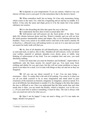M: It depends on your temperament. If you are earnest, whatever way you choose will take you to your goal. It is the earnestness that is the decisive factor.

M: What contradicts itself, has no being. Or it has only momentary being, which comes to the same. For, what has a beginning and an end has no middle. It is hollow. It has only the name and shape given to it by the mind, but it has neither substance nor essence.

M: It is the discarding the false that opens the way to the true.

Q: I understand, but how does it look in actual daily life?

M: Self-interest and self-concern are the focal points of the false. Your daily life vibrates between desire and fear. Watch it intently and you will see how the mind assumes innumerable names and shapes, like a river foaming between the boulders. Trace every action to its selfish motive and look at the motive intently till it dissolves. (..)Discard every self-seeking motive as soon as it is seen and you need not search for truth; truth will find you.

M: So, first of all abandon all self-identification, stop thinking of yourself as such-and-such, so-and-so, this or that. Abandon all self-concern, worry not about your welfare, material or spiritual, abandon every desire, gross or subtle, stop thinking of achievement of any kind. You are complete here and now, you need absolutely nothing.

It does not mean that you must be brainless and foolhardy<sup>3</sup>, improvident or indifferent; only the basic anxiety for oneself must go. You need some food, clothing and shelter for you and yours, but this will not create problems as long as greed is not taken for a need. Live in tune with things as they are and not as they are imagined.

M: All you can say about yourself is: 'I am.' You are pure being - awareness -- bliss. To realise that is the end of all seeking. You come to it when you see all you think yourself to be as mere imagination and stand aloof in pure awareness of the transient as transient, imaginary as imaginary, unreal as unreal. It is not at all difficult, but detachment is needed. It is the clinging to the false that makes the true so difficult to see. Once you understand that the false needs time and what needs time is false, you are nearer the Reality, which is timeless, ever in the now. (...) If you need time to achieve something, it must be false. The real is always with you; you need not wait to be what you are.

Q: Must I not be happy? I may not need a thing, yet if it can make me happy, should I not grasp it?

<sup>&</sup>lt;u>.</u>  $3$  Foolhardy = imprudente, temerário.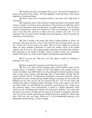M: Nothing can make you happier than you are. All search for happiness is misery and leads to more misery. The only happiness worth the name is the natural happiness of conscious being.

Q: Don't I need a lot of experience before I can reach such a high level of awareness?

M: Experience leaves only memories behind and adds to the burden which is heavy enough. You need no more experiences. The past ones are sufficient. And if you feel you need more, look into the hearts of people around you. You will find a variety of experiences which you would not be able to go through in a thousand years. Learn from the sorrows of others and save yourself your own. It is not experience that you need, but the freedom from all experience. Don't be greedy for experience; you need none.

M: Life is worthy of the name only when it reflects Reality in action. No university will teach you how to live so that when the time of dying comes, you can say: I lived well I do not need to live again. Most of us die wishing we could live again. So many mistakes committed, so much left undone. Most of the people vegetate, but do not live. They merely gather experience and enrich their memory. But experience is the denial of Reality, which is neither sensory nor conceptual, neither of the body, nor of the mind, though it includes and transcends both.

M: If you ask me: 'Who are you?' My answer would be: 'Nothing in particular. Yet, I am.'

Q: Does it mean that I must give up all idea of an active life?

M: Not at all. There will be marriage, there will be children, there will be earning money to maintain a family; all this will happen in the natural course of events, for destiny must fulfil itself; you will go through it without resistance, facing tasks as they come, attentive and thorough, both in small things and big. But the general attitude will be of affectionate detachment, enormous goodwill, without expectation of return, constant giving without asking. In marriage you are neither the husband nor the wife; you are the love between the two. You are the clarity and kindness that makes everything orderly and happy. It may seem vague to you, but if you think a little, you will find that the mystical is most practical, for it makes your life creatively happy. Your consciousness is raised to a higher dimension, from which you see everything much clearer and with greater intensity. You realise that the person you became at birth and will cease to be at death is temporary and false. You are not the sensual, emotional and intellectual person, gripped by desires and fears. Find out your real being. What am l? is the fundamental question of all philosophy and psychology. Go into it deeply.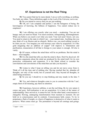# 67. Experience is not the Real Thing

M: You cannot find me by mere denial. I am as well everything, as nothing. Nor both, nor either. These definitions apply to the Lord of the Universe, not to me.

Q: Do you intend to convey that you are just nothing.

M: Oh, no! I am complete and perfect. I am the beingness of being, the knowingness of knowing, the fullness of happiness. You cannot reduce me to emptiness!

M: I am offering you exactly what you need -- awakening. You are not hungry and you need no bread. You need cessation, relinquishing, disentanglement. What you believe you need is not what you need. Your real need I know, not you. You need to return to the state in which I am -- your natural state. Anything else you may think of is an illusion and an obstacle. Believe me, you need nothing except to be what you are. You imagine you will increase your value by acquisition. It is like gold imagining that an addition of copper<sup>4</sup> will improve it. Elimination and purification, renunciation of all that is foreign to your nature is enough. All else is vanity.

Q: Of course, without the mind there will be no problems. But the mind is there -- most tangibly.

M: It is the mind that tells you that the mind is there. Don't be deceived. All the endless arguments about the mind are produced by the mind itself, for its own protection, continuation and expansion. It is the blank refusal to consider the convolutions and convulsions of the mind that can take you beyond it.

M: Listen to what I keep on telling you and do not move away from it. Think of it all the time and of nothing else. Having reached that far, abandon all thoughts, not only of the world, but of yourself also. Stay beyond all thoughts, in silent being-awareness.

Q: So you say I should try to stop thinking and stay steady in the idea: 'I am'.

M: Yes, and whatever thoughts come to you in connection with the 'I am', empty them of all meaning, pay them no attention.

M: Experience, however sublime, is not the real thing. By its very nature it comes and goes. Self-realisation is not an acquisition. It is more of the nature of understanding. Once arrived at, it cannot be lost. On the other hand, consciousness is changeful, flowing, undergoing transformation from moment to moment. Do not hold on to consciousness and its contents. Consciousness held, ceases. To try to perpetuate a flash of insight, or a burst of happiness is destructive of what it wants to preserve. What comes must go. The permanent is beyond all comings and goings.

<sup>&</sup>lt;u>.</u>  $4$  Copper = cobre.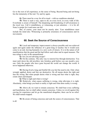Go to the root of all experience, to the sense of being. Beyond being and not-being lies the immensity of the real. Try and try again.

Q: There must be a way for all to tread -- with no conditions attached.

M: There is such a way, open to all, on every level, in every walk of life. Everybody is aware of himself. The deepening and broadening of self-awareness is the royal way. Call it mindfulness, or witnessing, or just attention -- it is for all. None is unripe for it and none can fail.

But, of course, your must not be merely alert. Your mindfulness must include the mind also. Witnessing is primarily awareness of consciousness and its movements.

# 68. Seek the Source of Consciousness

M: Local and temporary improvement is always possible and was achieved again and again under the influence of a great king or teacher; but it would soon come to an end, leaving humanity in a new cycle of misery. It is in the nature of all manifestation that the good and the bad follow each other and in equal measure. The true refuge is only in the unmanifested.

Q: Are you not advising escape?

M: On the contrary. The only way to renewal lies through destruction. You must melt down the old jewellery into formless gold before you can mould a new one. Only the people who have gone beyond the world can change the world. It never happened otherwise.

M: Having lived a long and fruitful life you feel the need to die. Only when wrongly applied, desire and fear are destructive. By all means desire the right and fear the wrong. But when people desire what is wrong and fear what is right, they create chaos and despair.

Q: What is right and what is wrong?

M: Relatively, what causes suffering is wrong, what alleviates it is right. Absolutely, what brings you back to reality is right and what dims reality is wrong.

M: Above all, we want to remain conscious. We shall bear every suffering and humiliation, but we shall rather remain conscious. Unless we revolt against this craving for experience and let go the manifested altogether, there can be no relief. We shall remain trapped.

M: Be aware of being conscious and seek the source of consciousness. That is all.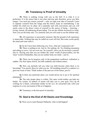#### 69. Transiency is Proof of Unreality

M: There is nothing wrong with you as the Self. It is what it is to perfection. It is the mirror that is not clear and true and, therefore, gives you false images. You need not correct yourself -- only set right your idea of yourself. Learn to separate yourself from the image and the mirror, keep on remembering: I am neither the mind nor its ideas: do it patiently and with convictions and you will surely come to the direct vision of yourself as the source of being -- knowing - loving, eternal, all-embracing all-pervading. You are the infinite focussed in a body. Now you see the body only. Try earnestly and you will come to see the infinite only.

M: All experience is necessarily transient. But the ground of all experience is immovable. Nothing that may be called an event will last. But some events purify the mind and some stain it.

Q: So far I have been following you. Now, what am I expected to do?

M: There is nothing to do. Just be. Do nothing. Be. No climbing mountains and sitting in caves. I do not even say: 'be yourself', since you do not know yourself. Just be. Having seen that you are neither the 'outer' world of perceivables, nor the 'inner' world of thinkables, that you are neither body nor mind -- just be.

M: There can be progress only in the preparation *(sadhana)*. realisation is sudden. The fruit ripens slowly, but falls suddenly and without return.

M: How can anybody tell you what you shall become when there is no becoming? You merely discover what you are. All moulding oneself to a pattern is a grievous waste of time. Think neither of the past nor of the future, just be.

Q: Is there any particular place you would advise me to go to for spiritual attainment?

M: The only proper place is within. The outer world neither can help nor hinder. No system, no pattern of action will take you to your goal. Give up all working for a future, concentrate totally on the *now*, be concerned only with your response to every movement of life as it happens.

M: Transiency is the best proof of unreality.

## 70. God is the End of All Desire and Knowledge

Q: Were you to meet Ramana Maharshi, what would happen?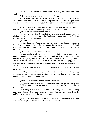M: Probably we would feel quite happy. We may even exchange a few words.

Q: But would he recognise you as a liberated man?

M: Of course. As a man recognises a man, so a jnani recognises a jnani. You cannot appreciate what you have not experienced. You are what you think yourself to be, but you cannot think yourself to be what you have not experienced.

M: All desires must be given up, because by desiring you take the shape of your desires. When no desires remain, you revert to your natural state.

Q: How am I to practice desirelessness?

M: No need of practice. No need of any acts of renunciation. Just turn your mind away, that is all. Desire is merely the fixation of the mind on an idea. Get it out of its groove by denying it attention.

Q: That is all?

M: Yes, that is all. Whatever may be the desire or fear, don't dwell upon it. Try and see for yourself. Here and there you may forget, it does not matter. Go back to your attempts till the brushing away of every desire and fear, of every reaction becomes automatic.

Q: How can one live without emotions?

M: You can have all the emotions you want, but beware of reactions, of induced emotions. Be entirely self-determined and ruled from within, not from without. Merely giving up a thing to secure a better one is not true relinquishment. Give it up because you see its valuelessness. As you keep on giving up, you will find that you grow spontaneously in intelligence and power and inexhaustible love and joy.

Q: Why so much insistence on relinquishing all desires and fears? Are they not natural?

M: They are not. They are entirely mind-made. You have to give up everything to know that you need nothing, not even your body. Your needs are unreal and your efforts are meaningless.

Q: Did not karma compel me to become what I am?

M: Nothing compels. You are as you believe yourself to be. Stop believing.

Q: Here you are sitting on your seat and talking to me. What compels you is your karma.

M: Nothing compels me. I do what needs doing. But you do so many unnecessary things. It is your refusal to examine that creates *karma*. It is the indifference to your own suffering that perpetuates it.

Q: We were told about karma and reincarnation, evolution and Yoga, masters and disciples. What are we to do with all this knowledge?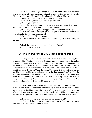M: Leave it all behind you. Forget it. Go forth, unburdened with ideas and beliefs. Abandon all verbal structures, all relative truth, all tangible objectives. The Absolute can be reached by absolute devotion only. Don't be half-hearted.

Q: I must begin with some absolute truth. Is there any?

M: Yes, there is, the feeling: 'I am'. Begin with that.

Q: Nothing else is true?

M: All else is neither true nor false. It seems real when it appears, it disappears when it is denied. A transient thing is a mystery.

Q: If the shape of things is mere appearance, what are they in reality?

M: In reality there is only perception. The perceiver and the perceived are conceptual, the fact of perceiving is actual.

Q: Where does the Absolute come in?

M: The Absolute is the birthplace of Perceiving. It makes perception possible.

Q: In all the universe is there one single thing of value?

M: Yes, the power of love.

# 71. In Self-awareness you Learn about Yourself

M: The person is merely the result of a misunderstanding. In reality, there is no such thing. Feelings, thoughts and actions race before the watcher in endless succession, leaving traces in the brain and creating an illusion of continuity. A reflection of the watcher in the mind creates the sense of 'I' and the person acquires an apparently independent existence. In reality there is no person, only the watcher identifying himself with the 'I' and the 'mine'. The teacher tells the watcher: you are not this, there is nothing of yours in this, except the little point of 'I am', which is the bridge between the watcher and his dream. 'I am this, I am that' is dream, while pure 'I am' has the stamp of reality on it. You have tasted so many things -- all came to naught. Only the sense 'I am' persisted -- unchanged. Stay with the changeless among the changeful, until you are able to go beyond.

M: Break the bonds of memory and self-identification and the shell will break by itself. There is a centre that imparts reality to whatever it perceives. All you need is to understand that you are the source of reality, that you give reality instead of getting it, that you need no support and no confirmation. Things are as they are, because you accept them as they are. Stop accepting them and they will dissolve.

Q: If all things come to an end, why did they appear at all?

M: Creation is in the very nature of consciousness. Consciousness causes appearances. Reality is beyond consciousness.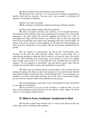Q: But why did the body consciousness come into being?

M: Don't ask 'why', ask 'how'. It is in the nature of creative imagination to identify itself with its creations. You can stop it any moment by switching off attention. Or through investigation.

> Q: How can I clear my mind? M: By watching it relentlessly. Inattention obscures, attention clarifies.

Q: Why do the Indian teachers advocate inactivity?

M: Most of people's activities are valueless, if not outright destructive. Dominated by desire and fear, they can do nothing good. Ceasing to do evil precedes beginning to do good. Hence the need for stopping all activities for a time, to investigate one's urges and their motives, see all that is false in one's life, purge the mind of all evil and then only restart work, beginning with one's obvious duties. Of course, if you have a chance to help somebody, by all means do it and promptly too, don't keep him waiting till you are perfect. But do not become a professional dogooder.

M: All changes in consciousness are due to the 'I-am-the-body' idea. Divested of this idea the mind becomes steady. There is pure being, free of experiencing anything in particular. But to realise it you must do what your teacher tells you. Mere listening, even memorizing, is not enough. If you do not struggle hard to apply every word of it in your daily life, don't complain that you made no progress. All real progress is irreversible. Ups and downs merely show that the teaching has not been taken to heart and translated into action fully.

M: When you are infected with the 'I-am-the-body' virus; a whole universe springs into being. But when you have had enough of it, you cherish some fanciful ideas about liberation and pursue lines of action totally futile. You concentrate, you meditate, you torture your mind and body, you do all sorts of unnecessary things, but you miss the essential which is the elimination of the person.

Q: In the beginning we may have to pray and meditate for some time before we are ready for self-enquiry.

M: If you believe so, go on. To me, all delay is a waste of time. You can skip all the preparation and go directly for the ultimate search within. Of all the Yogas it is the simplest and the shortest.

## 72. What is Pure, Unalloyed, Unattached is Real

M: Just like a wheel turns round an axle, so must you be always at the axle in the centre and not whirling at the periphery.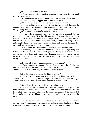Q: How do I go about it in practice?

M: Whenever a thought or emotion of desire or fear comes to your mind, just turn away from it.

Q: By suppressing my thoughts and feelings I shall provoke a reaction.

M: I am not talking of suppression. Just refuse attention.

Q: Must I not use effort to arrest the movements of the mind?

M: It has nothing to do with effort. Just turn away, look between the thoughts, rather than at the thoughts. When you happen to walk in a crowd, you do not fight every man you meet -- you just find your way between.

Q: How long will it take me to get free of the mind?

M: It may take a thousand years, but really no time is required. All you need is to be in dead earnest. Here the will is the deed. If you are sincere, you have it. After all, it is a matter of attitude. Nothing stops you from being a jnani here and now, except fear. You are afraid of being impersonal, of impersonal being. It is all quite simple. Turn away from your desires and fears and from the thoughts they create and you are at once in your natural state.

Q: No question of reconditioning, changing, or eliminating the mind?

M: Absolutely none. Leave your mind alone, that is all. Don't go along with it. After all, there is no such thing as mind apart from thoughts which come and go obeying their own laws, not yours. They dominate you only because you are interested in them. It is exactly as Christ said 'Resist not evil'. By resisting evil you merely strengthen it.

Q: Do you call it *vairagya*, relinquishment, renunciation?

M: There is nothing to renounce. Enough if you stop acquiring. To give you must have, and to have you must take. Better don't take. It is simpler than to practice renunciation, which leads to a dangerous form of 'spiritual' pride.

Q: Can the witness be without the things to witness?

M: There is always something to witness. If not a thing, then its absence. Witnessing is natural and no problem. The problem is excessive interest, leading to self-identification. Whatever you are engrossed in you take to be real.

Q: Is the 'I am' the witness? Is the witness real or unreal?

M: The witness that is enmeshed in what he perceives is the person; the witness who stands aloof, unmoved and untouched, is the watch-tower of the real, the point at which awareness, inherent in the unmanifested, contacts the manifested. There can be no universe without the witness, there can be no witness without the universe.

M: A glowing ember, moved round and round quickly enough, appears as a glowing circle. When the movement ceases, the ember remains. Similarly, the 'I am' in movement creates the world. The 'I am' at peace becomes the Absolute.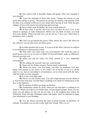Q: The world is full of desirable things and people. How can I imagine it non-existent?

M: Leave the desirable to those who desire. Change the current of your desire from taking to giving. The passion for giving, for sharing, will naturally wash the idea of an external world out of your mind, and of giving as well. Only the pure radiance of love will remain, beyond giving and receiving.

Q: In love there must be duality, the lover and the beloved.

M: In love there is not the one even, how can there be two? Love is the refusal to separate, to make distinctions. Before you can think of unity, you must first create duality. When you truly love, you do not say: 'I love you'; where there is mentation, there is duality.

M: Can't you go beyond the *gunas*? Why choose the *sattva*? Be what you are, wherever you are and worry not about gunas.

Q: In India spiritual life is easy. It is not so in the West. One has to conform to environment to a much greater extent.

M: Why don't you create your own environment? The world has only as much power over you as you give it. Rebel. Go beyond duality, make no difference between east and west.

Q: What can one do when one finds oneself in a very unspiritual environment?

M: Do nothing. Be yourself. Stay out. Look beyond.

Q: There may be clashes at home. Parents rarely understand.

M: When you know your true being, you have no problems. You may please your parents or not, marry or not, make a lot of money or not; it is all the same to you. Just act according to circumstances, yet in close touch with the facts, with the reality in every situation.

Q: Is it not a very high state?

M: Oh no, it is the normal state. You call it high because you are afraid of it. First be free from fear. See that there is nothing to be afraid of. Fearlessness is the door to the Supreme.

Q: No amount of effort can make me fearless.

M: Fearlessness comes by itself, when you see that there is nothing to be afraid of. When you walk in a crowded street, you just bypass people. Some you see, some you just glance at, but you do not stop. It is the stopping that creates the bottleneck. Keep moving! Disregard names and shapes, don't be attached to them; your attachment is your bondage.

Q: You are always stressing the need of going beyond, of aloofness, of solitude. You hardly ever use the words 'right' and 'wrong'. Why is it so?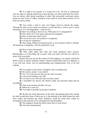M: It is right to be oneself, it is wrong not to be. All else is conditional. You are eager to separate right from wrong, because you need some basis for action. You are always after doing something or other. But, personally motivated action, based on some scale of values, aiming at some result is worse than inaction, for its fruits are always bitter.

M: You create a God to your own Image, however dismal the image. Through the film of your mind you project a world and also a God to give it cause and purpose. It is all imagination -- step out of it.

Q: Here I am sitting in front of you. What part of it is imagination?

M: The whole of it. Even space and time are imagined.

Q: Does it mean that I don't exist?

M: I too do not exist. All existence is imaginary.

Q: Is being too imaginary?

M: Pure being, filling all and beyond all, is not existence which is limited. All limitation is imaginary, only the unlimited is real.

Q: How to deal with people?

M: Why make plans and what for? Such questions show anxiety. Relationship is a living thing. Be at peace with your inner self and you will be at peace with everybody.

Realise that you are not the master of what happens, you cannot control the future except in purely technical matters. Human relationship cannot be planned, it is too rich and varied. Just be understanding and compassionate, free of all self seeking.

M: You cannot avoid action. It happens, like everything else.

Q: My actions, surely, I can control.

M: Try. You will soon see that you do what you must.

Q: I can act according to my will.

M: You know your will only after you have acted.

Q: I remember my desires, the choices made, the decisions taken and act accordingly.

M: Then your memory decides, not you.

Q: Where do I come in?

M: You make it possible by giving it attention.

M: Be like the chick that pecks at the shell. Speculating about life outside the shell would have been of little use to it, but pecking at the shell breaks the shell from within and liberates the chick. Similarly, break the mind from within by investigation and exposure of its contradictions and absurdities.

Q: The longing to break the shell, where does it come from?

M: From the unmanifested.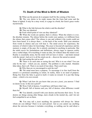#### 73. Death of the Mind is Birth of Wisdom

Q: What can the person do to prepare itself for the coming of the Guru.

M: The very desire to be ready means that the Guru had come and the flame is lighted. It may be a stray word, or a page in a book; the Guru's grace works mysteriously.

Q: What is the link between the relative and the absolute?

M: They are identical.

Q: From which point of view are they identical?

M: When the words are spoken, there is silence. When the relative is over, the absolute remains. The silence before the words were spoken, is it different from the silence that comes after? The silence is one and without it the words could not have been heard. It is always there -- at the back of the words. Shift your attention from words to silence and you will hear it. The mind craves for experience, the memory of which it takes for knowledge. The *jnani* is beyond all experience and his memory is empty of the past. He is entirely unrelated to anything in particular. But the mind craves for formulations and definitions, always eager to squeeze reality into a verbal shape. Of everything it wants an idea, for without ideas the mind is not. Reality is essentially alone, but the mind will not leave it alone -- and deals instead with the unreal. And yet it is all the mind can do -- discover the unreal as unreal.

Q: And seeing the real as real?

M: There is no such state as seeing the real. Who is to see what? You can only be the real -- which you are, anyhow. The problem is only mental. Abandon false ideas, that is all. There is no need of true ideas. There aren't any.

Q: Why then are we encouraged to seek the real?

M: The mind must have a purpose. To encourage it to free itself from the unreal it is promised something in return. In reality, there is no need of purpose. Being free from the false is good in itself, it wants no reward. It is just like being clean -- which is its own reward.

Q: When I ask how do you know that you are a jnani, you answer: 'I find no desire in me. Is this not a proof?'

M: Were I full of desires, I would have still been what I am.

Q: Myself, full of desires and you, full of desires; what difference would there be?

M: You identify yourself with your desires and become their slave. To me desires are things among other things, mere clouds in the mental sky, and I do not feel compelled to act on them.

M: You may tell a *jnani* anything; his question will always be: 'about whom are you talking? There is no such person'. Just as you cannot say anything about the universe because it includes everything, so nothing can be said about a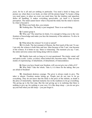jnani, for he is all and yet nothing in particular. You need a hook to hang your picture on; when there is no hook, on what will the picture hang? To locate a thing you need space, to place an event you need time; but the timeless and spaceless defies all handling. It makes everything perceivable, yet itself it is beyond perception. The mind cannot know what is beyond the mind, but the mind is known by what is beyond it.

Q: When your body dies, you remain.

M: Nothing dies. The body is just imagined. There is no such thing.

Q: I cannot grasp it.

M: Who can? The mind has its limits. It is enough to bring you to the very frontiers of knowledge and make you face the immensity of the unknown. To dive in it is up to you.

Q: What about the witness? Is it real or unreal?

M: It is both. The last remnant of illusion, the first touch of the real. To say: I am only the witness is both false and true: false because of the 'I am', true because of the witness. It is better to say: 'there is witnessing'. The moment you say: 'I am', the entire universe comes into being along with its creator.

M: Duality lasts only as long as it is not questioned. The trinity: mind, self and spirit (vyakti, vyakta, avyakta), when looked into, becomes unity. These are only modes of experiencing: of attachment, of detachment, of transcendence.

Q: Since you have found your freedom, will you not give me a little of it?

M: Why little? Take the whole. Take it, it is there for the taking. But you are afraid of freedom!

M: Attachment destroys courage. The giver is always ready to give. The taker is absent. Freedom means letting go. People just do not care to let go everything. They do not know that the finite is the price of the infinite, as death is the price of immortality. Spiritual maturity lies in the readiness to let go everything. The giving up is the first step. But the real giving up is in realising that there is nothing to give up, for nothing is your own. It is like deep sleep -- you do not give up your bed when you fall sleep -- you just forget it.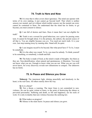#### 74. Truth is Here and Now

M: It is true that it often covers sheer ignorance. The mind can operate with terms of its own making, it just cannot go beyond itself. That which is neither sensory nor mental, and yet without which neither sensory nor the mental can exist, cannot be contained in them. Do understand that the mind has its limits; to go beyond, you must consent to silence.

Q: I am full of desires and fears. Does it mean that I am not eligible for truth?

M: Truth is not a reward for good behaviour, nor a prize for passing some tests. It cannot be brought about. It is the primary, the unborn, the ancient source of all that is. You are eligible because you are. You need not merit truth. It is your own. Just stop running away by running after. Stand still, be quiet.

**Q:** I can imagine myself to be beyond. But what proof have 1? To be, I must be somebody.

M: It is the other way round. To be, you must be nobody. To think yourself to be something, or somebody, is death and hell.

**M:** The body is made of food, as the mind is made of thoughts. See them as they are. Non-identification, when natural and spontaneous, is liberation. You need not know what you are. Enough to know what you are not. What you are you will never know, for every discovery reveals new dimensions to conquer. The unknown has no limits.

## 75. In Peace and Silence you Grow

Maharaj: The innermost light, shining peacefully and timelessly in the heart, is the real Guru. All others merely show the way.

Q: Is it a threat?

M: Not a threat, a warning. The inner Guru is not committed to nonviolence. He can be quite violent at times, to the point of destroying the obtuse or perverted personality. Suffering and death, as life and happiness, are his tools of work. It is only in duality that non-violence becomes the unifying law.

Q: What makes us progress?

M: Silence is the main factor. In peace and silence you grow.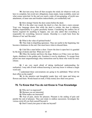M: Just turn away from all that occupies the mind; do whatever work you have to complete, but avoid new obligations; keep empty, keep available, resist not what comes uninvited. In the end you reach a state of non-grasping, of joyful nonattachment, of inner ease and freedom indescribable, yet wonderfully real.

Q: How strange! Surely the doer comes before the deed.

M: It is the other way round; the deed is a fact, the doer a mere concept. Your very language shows that while the deed is certain, the doer is dubious; shifting responsibility is a game peculiarly human. Considering the endless list of factors required for anything to happen, one can only admit that everything is responsible for everything, however remote. Doership is a myth born from the illusion of 'me' and 'the mine'.

Q: What is the value of spiritual books?

M: They help in dispelling ignorance. They are useful in the beginning, but become a hindrance in the end. One must know when to discard them.

Q: I feel like a man before a door. I know the door is open but it is guarded by the dogs of desire and fear. What am I to do?

M: Obey the teacher and brave the dogs. Behave as if they were not there. Again, obedience is the golden rule. Freedom is won by obedience. To escape from prison one must unquestioningly obey instructions sent by those who work for one's release.

Q: I am very much afraid of taking intellectual understanding for realisation. I may talk of truth without knowing it, and may know it without a single word said.

I understand these conversations are going to be published. What will be their effect on the reader?

M: In the attentive and thoughtful reader they will ripen and bring out flowers and fruits. Words based on truth, if fully tested, have their own power.

# 76. To Know that You do not Know is True Knowledge

Q: Why am I so engrossed?

M: Because you are interested.

Q: What makes me interested?

M: Fear of pain, desire for pleasure. Pleasant is the ending of pain and painful the end of pleasure. They just rotate in endless succession. Investigate the vicious circle till you find yourself beyond it.

Q: Don't I need your grace to take me beyond?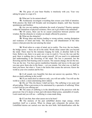M: The grace of your Inner Reality is timelessly with you. Your very asking for grace is a sign of it.

Q: What am I to be earnest about?

M: Assiduously investigate everything that crosses your field of attention. With practice the field will broaden and investigation deepen, until they become spontaneous and limitless.

Q: Are you not making realisation the result of practice? Practice operates within the limitations of physical existence. How can it give birth to the unlimited?

M: Of course, there can be no causal connection between practice and wisdom. But the obstacles to wisdom are deeply affected by practice.

Q: What are the obstacles?

M: Wrong ideas and desires leading to wrong actions, causing dissipation and weakness of mind and body. The discovery and abandonment of the false remove what prevents the real entering the mind.

M: Word refers to a state of mind, not to reality. The river, the two banks, the bridge across -- these are all in the mind. Words alone cannot take you beyond the mind. There must be the immense longing for truth, or absolute faith in the Guru. Believe me, there is no goal, nor a way to reach it. You are the way and the goal, there is nothing else to reach except yourself. All you need is to understand and understanding is the flowering of the mind. The tree is perennial, but the flowering and the fruit bearing come in season. The seasons change, but not the tree. You are the tree. You have grown numberless branches and leaves in the past and you may grow them also in the future -- yet you remain. Not what was, or shall be, must you know, but what is. Yours is the desire that creates the universe. Know the world as your own creation and be free.

Q: It all sounds very beautiful, but does not answer my question. Why is there so much suffering in the world?

M: If you stand aloof as observer only, you will not suffer. You will see the world as a show. a most entertaining show indeed.

Q: Oh, no! This lila theory I shall not have. The suffering is too acute and all-pervading. What a perversion to be entertained by a spectacle of suffering! What a cruel God are you offering me!

M: The cause of suffering is in the identification of the perceiver with the perceived. Out of it desire is born and with desire blind action, unmindful of results. Look round and you will see -- suffering is a man-made thing.

Q: If I am that, then what causes me to be born?

M: The memory of the past unfulfilled desires traps energy, which manifests itself as a person. When its charge gets exhausted, the person dies. Unfulfilled desires are carried over into the next birth. Self-identification with the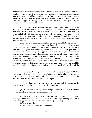body creates ever fresh desires and there is no end to them, unless this mechanism of bondage is clearly seen. It is clarity that is liberating, for you cannot abandon desire, unless its causes and effects are clearly seen. I do not say that the same person is reborn. It dies and dies for good. But its memories remain and their desires and fears. They supply the energy for a new person. The real takes no part in it, but makes it possible by giving it the light.

M: Your thoughts and feelings, words and actions may also be a part of the event; you watch all unconcerned in the full light of clarity and understanding. You understand precisely what is going on, because it does not affect you. It may seem to be an attitude of cold aloofness, but it is not really so. Once you are in it, you will find that you love what you see, whatever may be its nature. This choiceless love is the touchstone of awareness. If it is not there, you are merely interested -- for some personal reasons.

Q: As long as there are pain and pleasure, one is bound to be interested.

M: And as long as one is conscious, there will be pain and pleasure. You cannot fight pain and pleasure on the level of consciousness. To go beyond them you must go beyond consciousness, which is possible only when you look at consciousness as something that happens to you and not in you, as something external, alien, superimposed. Then, suddenly you are free of consciousness, really alone, with nothing to intrude. And that is your true state. Consciousness is an itching rash that makes you scratch. Of course, you cannot step out of consciousness for the very idea of stepping out is in consciousness. But if you learn to look at your consciousness as a sort of fever, personal and private, in which you are enclosed like a chick in its shell, out of this very attitude will come the crisis which will break the shell.

M: Must one suffer only for one's own sins? Are we really separate? In this vast ocean of life we suffer for the sins of others, and make others suffer for our sins. Of course, the law of balance rules Supreme and accounts are squared in the end. But while life lasts, we affect each other deeply.

M: At the back of every experience is the Self and its interest in the experience. Call it desire, call it love -- words do not matter.

Q: On the screen of my mind images follow each other in endless succession. There is nothing permanent about me.

M: Have a better look at yourself. The screen is there -- it does not change. The light shines steadily. Only the film in between keeps moving and causes pictures to appear. You may call the film -- destiny (prarabdha).

Q: What creates destiny?

M: Ignorance is the cause of inevitability.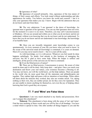#### Q: Ignorance of what?

M: Ignorance of yourself primarily. Also, ignorance of the true nature of things, of their causes and effects. You look round without understanding and take appearances for reality. You believe you know the world and yourself -- but it is only your ignorance that makes you say: I know. Begin with the admission that you do not know and start from there.

M: The very admission: 'I am ignorant' is the dawn of knowledge. An ignorant man is ignorant of his ignorance. You can say that ignorance does not exist, for the moment it is seen it is no more. Therefore, you may call it unconsciousness or blindness. All you see around and within you is what you do not know and do not understand, without even knowing that you do not know and do not understand. To know that you do not know and do not understand is true knowledge, the knowledge of an humble heart.

M: Once you are inwardly integrated, outer knowledge comes to you spontaneously. At every moment of your life you know what you need to know. In the ocean of the universal mind all knowledge is contained; it is yours on demand. Most of it you may never need to know -- but it is yours all the same.

As with knowledge, so it is with power. Whatever you feel needs be done happens unfailingly. No doubt, God attends to this business of managing the universe; but He is glad to have some help. When the helper is selfless and intelligent, all the powers of the universe are for him to command.

Q: Even the blind powers of nature?

M: There are no blind powers. Consciousness is power. Be aware of what needs be done and it will be done. Only keep alert -- and quiet. Once you reach your destination and Know your real nature, your existence becomes a blessing to all. You may not know, nor will the world know, yet the help radiates. There are people in the world who do more good than all the statesmen and philanthropists put together. They radiate light and peace with no intention or knowledge. When others tell them about the miracles they worked, they also are wonder struck. Yet, taking nothing as their own, they are neither proud, nor do they crave for reputation. They are just unable to desire anything for themselves, not even the joy of helping others knowing that God is good they are at peace.

#### 77. 'I' and 'Mine' are False Ideas

Questioner: I am very much attached to my family and possessions. How can I conquer this attachment?

Maharaj: This attachment is born along with the sense of 'me' and 'mine'. Find the true meaning of these words and you will be free of all bondage. You have a mind which is spread in time. One after another all things happen to you and the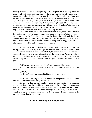memory remains. There is nothing wrong in it. The problem arises only when the memory of past pains and pleasures -- which are essential to all organic life - remains as a reflex, dominating behaviour. This reflex takes the shape of 'I' and uses the body and the mind for its purposes, which are invariably in search for pleasure or flight from pain. When you recognise the 'I' as it is, a bundle of desires and fears, and the sense of 'mine', as embracing all things and people needed for the purpose of avoiding pain and securing pleasure, you will see that the 'I' and the 'mine' are false ideas, having no foundation in reality. Created by the mind, they rule their creator as long as it takes them to be true; when questioned, they dissolve.

The 'I' and 'mine', having no existence in themselves, need a support which they find in the body. The body becomes their point of reference. When you talk of 'my' husband and 'my' children, you mean the body's husband and the body's children. Give up the idea of being the body and face the question: Who am l? At once a process will be set in motion which will bring back reality, or, rather, will take the mind to reality. Only, you must not be afraid.

M: Talking is not my hobby. Sometimes I talk, sometimes I do not. My talking, or not talking, is a part of a given situation and does not depend on me. When there is a situation in which I have to talk, I hear myself talking. In some other situation I may not hear myself talking. It is all the same to me. Whether I talk or not, the light and love of being what I am are not affected, nor are they under my control. They are, and I know they are. There is a glad awareness, but nobody who is glad.

Q: How can you say you do nothing? Are you not talking to me?

M: I do not have the feeling that I am talking. There is talking going on, that is all.

Q: I talk.

M: Do you? You hear yourself talking and you say: I talk.

M: All this is not very difficult to understand and practice, but you must be interested. Without interest nothing can be done.

Having seen that you are a bundle of memories held together by attachment, step out and look from the outside. You may perceive for the first time something which is not memory. You cease to be a Mr-so-and-so, busy about his own affairs. You are at last at peace. You realise that nothing was ever wrong with the world - you alone were wrong and now it is all over. Never again will you be caught in the meshes of desire born of ignorance.

## 78. All Knowledge is Ignorance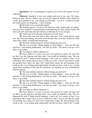**Questioner:** Are we permitted to request you to tell us the manner of your realisation?

Maharaj: Somehow it was very simple and easy in my case. My Guru, before he died, told me: Believe me, you are the Supreme Reality. Don't doubt my words, don't disbelieve me. I am telling you the truth -- act on it. I could not forget his words and by not forgetting -- I have realised.

Q: But what were you actually doing?

M: Nothing special. I lived my life, plied my trade, looked after my family, and every free moment I would spend just remembering my Guru and his words. He died soon after and I had only the memory to fall back on. It was enough.

Q: It must have been the grace and power of your Guru.

M: His words were true and so they came true. True words always come true. My Guru did nothing; his words acted because they were true. Whatever I did, came from within, un-asked and unexpected.

Q: The Guru started a process without taking any part in it?

M: Put it as you like. Things happen as they happen -- who can tell why and how? I did nothing deliberately. All came by itself -- the desire to let go, to be alone, to go within.

Q: You made no efforts whatsoever?

M: None. Believe it or not, I was not even anxious to realise. He only told me that I am the Supreme and then died. I just could not disbelieve him. The rest happened by itself. I found myself changing -- that is all. As a matter of fact, I was astonished. But a desire arose in me to verify his words. I was so sure that he could not possibly have told a lie, that I felt I shall either realise the full meaning of his words or die. I was feeling quite determined, but did not know what to do. I would spend hours thinking of him and his assurance, not arguing, but just remembering what he told me.

Q: The Guru started a process without taking any part in it?

M: Put it as you like. Things happen as they happen -- who can tell why and how? I did nothing deliberately. All came by itself -- the desire to let go, to be alone, to go within.

Q: The Guru started a process without taking any part in it?

M: Put it as you like. Things happen as they happen -- who can tell why and how? I did nothing deliberately. All came by itself -- the desire to let go, to be alone, to go within.

Q: You made no efforts whatsoever?

M: None. Believe it or not, I was not even anxious to realise. He only told me that I am the Supreme and then died. I just could not disbelieve him. The rest happened by itself. I found myself changing -- that is all. As a matter of fact, I was astonished. But a desire arose in me to verify his words. I was so sure that he, could not possibly have told a lie, that I felt I shall either realise the full meaning of his words or die. I was feeling quite determined, but did not know what to do. I would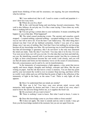spend hours thinking of him and his assurance, not arguing, but just remembering what he told me.

M: I was undeceived, that is all. I used to create a world and populate it - now I don't do it any more.

Q: Where do you live, then?

M: In the void beyond being and non-being, beyond consciousness. This void is also fullness; do not pity me. It is like a man saying: 'I have done my work, there is nothing left to do'.

Q: You are giving a certain date to your realisation. It means something did happen to you at that date. What happened?

M: The mind ceased producing events. The ancient and ceaseless search stopped -- l wanted nothing, expected nothing -- accepted nothing as my own. There was no 'me' left to strive for. Even the bare 'I am' faded away. The other thing that I noticed was that I lost all my habitual certainties. Earlier I was sure of so many things, now I am sure of nothing. But I feel that I have lost nothing by not knowing, because all my knowledge was false. My not knowing was in itself knowledge of the fact that all knowledge is ignorance, that 'I do not know' is the only true statement the mind can make. Take the idea 'I was born'. You may take it to be true. It is not. You were never born, nor will you ever die. It is the idea that was born and shall die, not you. By identifying yourself with it you became mortal. Just like in a cinema all is light, so does consciousness become the vast world. Look closely, and you will see that all names and forms are but transitory waves on the ocean of consciousness, that only consciousness can be said to be, not its transformations.

In the immensity of consciousness a light appears, a tiny point that moves rapidly and traces shapes, thoughts and feelings, concepts and ideas, like the pen writing on paper. And the ink that leaves a trace is memory. You are that tiny point and by your movement the world is ever re-created. Stop moving, and there will be no world. Look within and you will find that the point of light is the reflection of the immensity of light in the body, as the sense 'I am'. There is only light, all else appears.

Q: Have I to understand that our minds are similar?

M: How can it be? You have your own private mind, woven with memories, held together by desires and fears. I have no mind of my own; what I need to know the universe brings before me, as it supplies the food I eat.

Q: Do you know all you want to know?

M: There is nothing I want to know. But what I need to know, I come to know.

Q: Does this knowledge come to you from within or from outside?

M: It does not apply. My inner is outside and my outer is inside. I may get from you the knowledge needed at the moment, but you are not apart from me.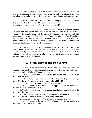M: Consciousness is pure in the beginning and pure in the end; in between it gets contaminated by imagination which is at the root of creation. At all times consciousness remains the same. To know it as it is is realisation and timeless peace.

M: When awareness is turned on itself, the feeling is of not knowing. When it is turned outward, the knowables come into being. To say: 'I know myself' is a contradiction in terms for what is 'known' cannot be 'myself'.

M: To know that the known cannot be me nor mine, is liberation enough. Freedom from self-identification with a set of memories and habits, the state of wonder at the infinite reaches of the being, its inexhaustible creativity and total transcendence, the absolute fearlessness born from the realisation of the illusoriness and transiency of every mode of consciousness -- flow from a deep and inexhaustible source. To know the source as source and appearance as appearance, and oneself as the source only is self-realisation.

M: The state of detached awareness is the witness-consciousness, the 'mirror-mind'. It rises and sets with its object and thus it is not quite the real. Whatever its object, it remains the same, hence it is also real. It partakes of both the real and the unreal and is therefore a bridge between the two. (…)To say 'not me, not mine' is the task of the witness.

## 79. Person, Witness and the Supreme

M: A quiet mind, undistorted by desires and fears, free from ideas and opinions, clear on all the levels, is needed to reflect the reality. Be clear and quiet - alert and detached, all else will happen by itself.

Q: You had to make your mind clear and quiet before you could realise the truth. How did you do it?

M: I did nothing. It just happened. I lived my life, attending to my family's needs. Nor did my Guru do it. It just happened, as he said it will.

Q: Things do not just happen. There must be a cause for everything.

M: All that happens is the cause of all that happens. Causes are numberless; the idea of a sole cause is an illusion.

Q: You had to make your mind clear and quiet before you could realise the truth. How did you do it?

M: I did nothing. It just happened. I lived my life, attending to my family's needs. Nor did my Guru do it. It just happened, as he said it will.

Q: Things do not just happen. There must be a cause for everything.

M: All that happens is the cause of all that happens. Causes are numberless; the idea of a sole cause is an illusion.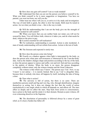Q: How does one gain self-control? I am so weak-minded!

M: Understand first that you are not the person you believe yourself to be. What you think yourself to be is mere suggestion or imagination. You have no parents, you were not born, nor will you die.

Either trust me when I tell you so, or arrive to it by study and investigation. The way of total faith is quick, the other is slow but steady. Both must be tested in action. Act on what you think is true -- this is the way to truth.

Q: Will the understanding that I am not the body give me the strength of character needed for self-control?

M: When you know that you are neither body nor mind, you will not be swayed by them. You will follow truth, wherever it takes you, and do what needs be done, whatever the price to pay.

Q: Is action essential for self-realisation?

M: For realisation, understanding is essential. Action is only incidental. A man of steady understanding will not refrain from action. Action is the test of truth.

M: The foreseen and expected is rarely true.

Q: How does the person come into being?

M: Exactly as a shadow appears when light is intercepted by the body, so does the person arise when pure self-awareness is obstructed by the 'I-am-the-body' idea. And as the shadow changes shape and position according to the lay of the land, so does the person appear to rejoice and suffer, rest and toil, find and lose according to the pattern of destiny. When the body is no more, the person disappears completely without return, only the witness remains and the Great Unknown.

The witness is that which says 'I know'. The person says 'I do'. Now, to say 'I know' is not untrue -- it is merely limited. But to say 'I do' is altogether false, because there is nobody who does; all happens by itself, including the idea of being a doer.

Q: Then what is action?

M: The universe is full of action, but there is no actor. There are numberless persons small and big and very big, who, through identification, imagine themselves as acting, but it does not change the fact that the world of action (mahadakash) is one single whole in which all depends on, and affects all. The stars affect us deeply and we affect the stars. Step back from action to consciousness, leave action to the body and the mind; it is their domain. Remain as pure witness, till even witnessing dissolves in the Supreme.

M: The dissolution of personality is followed always by a sense of great relief, as if a heavy burden has fallen off.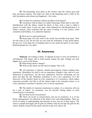M: The personality gives place to the witness, then the witness goes and pure awareness remains. The cloth was white in the beginning and is white in the end; the patterns and colours just happened -- for a time.

Q: Can there be awareness without an object of awareness?

M: Awareness with an object we called witnessing. When there is also selfidentification with the object, caused by desire or fear, such a state is called a person. In reality there is only one state; when distorted by self-identification it is called a person, when coloured with the sense of being, it is the witness; when colourless and limitless, it is called the Supreme.

Q: How am I to reach perfection?

M: Keep quiet. Do your work in the world, but inwardly keep quiet. Then all will come to you. Do not rely on your work for realisation. It may profit others, but not you. Your hope lies in keeping silent in your mind and quiet in your heart. Realised people are very quiet.

#### 80. Awareness

Maharaj: All waiting is futile. To depend on time to solve our problems is self-delusion. The future, left to itself merely repeats the past. Change can only happen now, never in the future.

Q: What brings about a change?

M: With crystal clarity see the need of change. This is all.

M: All experience is illusory, limited and temporal. Expect nothing from experience. Realisation by itself is not an experience, though it may lead to a new dimension of experiences. Yet the new experiences, however interesting, are not more real than the old. Definitely realisation is not a new experience. It is the discovery of the timeless factor in every experience. It is awareness, which makes experience possible. Just like in all the colours light is the colourless factor, so in every experience awareness is present, yet it is not an experience.

M: The totality of conscious experiences is nature. As a conscious self you are a part of nature. As awareness, you are beyond. Seeing nature as mere consciousness is awareness.

Q: Are there levels of awareness?

M: There are levels in consciousness, but not in awareness. It is of one block, homogeneous. Its reflection in the mind is love and understanding. There are levels of clarity in understanding and intensity in love, but not in their source. The source is simple and single, but its gifts are infinite. Only do not take the gifts for the source. Realise yourself as the source and not as the river; that is all.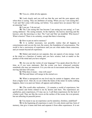M: You *are*, while all else appears.

M: Look closely and you will see that the seer and the seen appear only when there is seeing. They are attributes of seeing. When you say 'I am seeing this', 'I am' and 'this' come with seeing, not before. You cannot have an unseen 'this' nor an unseeing 'I am'.

Q: I can say: 'I do not see'.

M: The 'I am seeing this' has become 'l am seeing my not seeing', or 'I am seeing darkness'. The seeing remains. In the triplicity: the known, knowing and the knower, only the knowing is a fact. The 'I am' and 'this' are doubtful. Who knows? What is known? There is no certainty, except that there is knowing.

Q: How to put an end to memory?

M: It is neither necessary, nor possible. realise that all happens in consciousness and you are the root, the source, the foundation of consciousness. The world is but a succession of experiences and you are what makes them conscious, and yet remain beyond all experience.

M: Matter and mind are not separate, they are aspects of one energy. Look at the mind as a function of matter and you have science; look at matter as the product of the mind and you have religion.

M: Are you not the victim of your language? You speak about the flow of time, as if you were stationary. But the events you have witnessed yesterday somebody else may see tomorrow. It is you who are in movement and not time. Stop moving and time will cease.

Q: What does it mean -- time will cease?

M: Past and future will merge in the eternal *now*.

M: What is unexpected on one level may be certain to happen, when seen from a higher level. After all, we are within the limits of the mind. In reality nothing happens, there is no past nor future; all appears and nothing is.

M: [The world after realization…] It remains a world of experiences, but not of names and forms related to me by desires and fears. The experiences are qualityless, pure experiences, if I may say so. I call them experiences for the lack of a better word. They are like the waves on the surface of the ocean, the ever-present, but not affecting its peaceful power.

Q: You mean to say an experience can be nameless, formless, undefined?

M: In the beginning all experience is such. It is only desire and fear, born of memory, that give it name and form and separate it from other experiences. It is not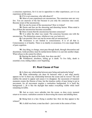a conscious experience, for it is not in opposition to other experiences, yet it is an experience all the same.

Q: If it is not conscious, why talk about it?

M: Most of your experiences are unconscious. The conscious ones are very few. You are unaware of the fact because to you only the conscious ones count. Become aware of the unconscious .

Q: Can one be aware of the unconscious? How is it done?

M: Desire and fear are the obscuring and distorting factors. When mind is free of them the unconscious becomes accessible.

Q: Does it mean that the unconscious becomes conscious?

M: It is rather the other way round. The conscious becomes one with the unconscious. The distinction ceases, whichever way you look at it.

Q: I am puzzled. How can one be aware and yet unconscious?

M: Awareness is not limited to consciousness. It is of all that is. Consciousness is of duality. There is no duality in awareness. It is one single block of pure cognition.

M: Any thing, to change, must pass through death, through obscuration and dissolution. Gold jewellery must be melted down before it is cast into another shape. What refuses to die cannot be reborn.

Q: Barring the death of the body, how does one die?

M: Withdrawal, aloofness, letting go is death. To live fully, death is essential; every ending makes a new beginning.

## 81. Root Cause of Fear

Q: Is there any relationship between pure being and particular being?

M: What relationship can there be between what is and what merely appears to be? Is there any relationship between the ocean and its waves? The real enables the unreal to appear and causes it to disappear. the succession of transient moments creates the illusion of time, but the timeless reality of pure being is not in movement, for all movement requires a motionless background. It is itself the background. (...)It is like the daylight that makes everything visible while itself remaining invisible.

M: Just as every wave subsides into the ocean, so does every moment return to its source. realisation consists in discovering the source and abiding there.

Q: Being born is a fact. Dying is another fact. How do they appear to the witness?

M: A child was born; a man has died -- just events in the course of time.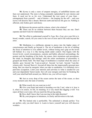M: *Karma* is only a store of unspent energies, of unfulfilled desires and fears not understood. The store is being constantly replenished by new desires and fears. It need not be so for ever. Understand the root cause of your fears – estrangement from yourself – and of desires -- the longing for the self –, and your karma will dissolve like a dream. Between earth and heaven life goes on. Nothing is affected, only bodies grow and decay.

Q: Between the person and the witness, what is the relation?

M: There can be no relation between them because they are one. Don't separate and don't look for relationship.

M: The effort to understand yourself is *Yoga*. Be a *Yogi*, give your life to it, brood, wonder, search, till you come to the root of error and to the truth beyond the error.

M: Meditation is a deliberate attempt to pierce into the higher states of consciousness and finally go beyond it. The art of meditation is the art of shifting the focus of attention to ever subtler levels, without losing one's grip on the levels left behind. In a way it is like having death under control. One begins with the lowest levels: social circumstances, customs and habits; physical surroundings, the posture and the breathing of the body, the senses, their sensations and perceptions; the mind, its thoughts and feelings; until the entire mechanism of personality is grasped and firmly held. The final stage of meditation is reached when the sense of identity goes beyond the 'I-am-so-and-so', beyond 'so-l-am', beyond 'I-am-thewitness-only', beyond 'there-is', beyond all ideas into the impersonally personal pure being. But you must be energetic when you take to meditation. It is definitely not a part-time occupation. Limit your interests and activities to what is needed for you and your dependents' barest needs. Save all your energies and time for breaking the wall your mind had built around you. Believe me, you will not regret.

M: Just as every drop of the ocean carries the taste of the ocean, so does every moment carry the taste of eternity.

Q: What exactly do you want me to do?

M: Give your heart and mind to brooding over the 'I am', what is it, how is it, what is its source, its life, its meaning. It is very much like digging a well. You reject all that is not water, till you reach the life-giving spring.

Q: How shall I know that I am moving in the right direction?

M: By your progress in intentness, in clarity and devotion to the task.

M: The limited only is perfectible. The unlimited is already perfect. You are perfect, only you don't know it. Learn to know yourself and you will discover wonders.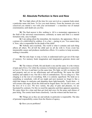## 82. Absolute Perfection is Here and Now

M: You fight others all the time for your survival as a separate body-mind, a particular name and form. To live you must destroy. From the moment you were conceived you started a war with your environment -- a merciless war of mutual extermination, until death sets you free.

M: The final answer is this: nothing is. All is a momentary appearance in the field of the universal consciousness; continuity as name and form is a mental formation only, easy to dispel.

Q: I am asking about the immediate, the transitory, the appearance. Here is a picture of a child killed by soldiers. It is a fact -- staring at you. You cannot deny it. Now, who is responsible for the death of the child?

M: Nobody and everybody. The world is what it contains and each thing affects all others. We all kill the child and we all die with it. Every event has innumerable causes and produces numberless effects. It is useless to keep accounts, nothing is traceable.

M: Our only hope: to stop, to look, to understand and to get out of the traps of memory. For memory feeds imagination and imagination generates desire and fear.

M: The witness of birth, life and death is one and the same. It is the witness of pain and of love. For while the existence in limitation and separation is sorrowful, we love it. We love it and hate it at the same time. We fight, we kill, we destroy life and property and yet we are affectionate and self-sacrificing. We nurse the child tenderly and orphan it too. Our life is full of contradictions. Yet we cling to it. This clinging is at the root of everything. Still, it is entirely superficial. We hold on to something or somebody, with all our might and next moment we forget it; like a child that shapes its mud-pies and abandons them light-heartedly. Touch them -- it will scream with anger, divert the child and he forgets them. For our life is *now*, and the love of it is now. We love variety, the play of pain and pleasure, we are fascinated by contrasts. For this we need the opposites and their apparent separation. We enjoy them for a time and then get tired and crave for the peace and silence of pure being. The cosmic heart beats ceaselessly. I am the witness and the heart too.

M: Things are as they are and nobody in particular is responsible. The idea of personal responsibility comes from the illusion of agency.

Q: Have you no problems?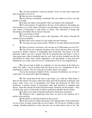M: I do have problems. I told you already. To be, to exist with a name and form is painful, yet I love it.

Q: But you love everything!

M: In existence everything is contained. My very nature is to love; even the painful is lovable.

Q: It does not make it less painful. Why not remain in the unlimited?

M: It is the instinct of exploration, the love of the unknown, that brings me into existence. It is in the nature of being to see adventure in becoming, as it is in the very nature of becoming to seek peace in being. This alteration of being and becoming is inevitable; but my home is beyond.

Q: Is your home in God?

it.

M: To love and worship a god is also ignorance. My home is beyond all notions, however sublime.

Q: But God is not a notion! It is the reality beyond existence.

M: You may use any word you like. Whatever you may think of am beyond

Q: Once you know your home, why not stay in it? What takes you out of it?

M: Out of love for corporate existence one is born and once born, one gets involved in destiny. Destiny is inseparable from becoming. The desire to be the particular makes you into a person with all its personal past and future. Look at some great man, what a wonderful man he was! And yet how troubled was his life and limited its fruits. How utterly dependent is the personality of man and how indifferent is its world. And yet we love it and protect it for its very insignificance.

M: I do not look at death as a calamity as I do not rejoice at the birth of a child. The child is out for trouble while the dead is out of it. Attachment to life is attachment to sorrow. We love what gives us pain. Such is our nature.

For me the moment of death will be a moment of jubilation, not of fear. I cried when I was born and I shall die laughing.

M: The world had all the time to get better, yet it did not. What hope is there for the future? Of course, there have been and will be periods of harmony and peace, when sattva was in ascendance, but things get destroyed by their own perfection. A perfect society is necessarily static and, therefore, it stagnates and decays. From the summit all roads lead downwards. Societies are like people -- they are born, they grow to some point of relative perfection and then decay and die.

Q: Is there not a state of absolute perfection which does not decay?

M: Whatever has a beginning must have an end. In the timeless all is perfect, here and now.

Q: But shall we reach the timeless in due course?

M: In due course we shall come back to the starting point. Time cannot take us out of time, as space cannot take us out of space. All you get by waiting is more waiting. Absolute perfection is here and now, not in some future, near or far. The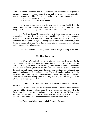secret is in action -- here and now. It is your behaviour that blinds you to yourself. Disregard whatever you think yourself to be and act as if you were absolutely perfect -- whatever your idea of perfection may be. All you need is courage.

Q: Where do I find such courage?

M: In yourself, of course. Look within.

M: Behave as best you know, do what you think you should. Don't be afraid of mistakes; you can always correct them, only intentions matter. The shape things take is not within your power; the motives of your actions are.

M: What can it gain? Nothing whatsoever. But it is in the nature of love to express itself, to affirm itself, to overcome difficulties. Once you have understood that the world is love in action, you will look at it quite differently. But first your attitude to suffering must change. Suffering is primarily a call for attention, which itself is a movement of love. More than happiness, love wants growth, the widening and deepening of consciousness and being.

M: Our indifference to our neighbour's sorrow brings suffering to our door.

# 83. The True Guru

M: Words of a realised man never miss their purpose. They wait for the right conditions to arise which may take some time, and this is natural, for there is a season for sowing and a season for harvesting. But the word of a Guru is a seed that cannot perish. Of course, the Guru must be a real one, who is beyond the body and the mind, beyond consciousness itself, beyond space and time, beyond duality and unity, beyond understanding and description. The good people who have read a lot and have a lot to say, may teach you many useful things, but they are not the real Gurus whose words invariably come true. They also may tell you that you are the ultimate reality itself, but what of it?

Q: [About Gurus] How can I make out whom to follow and whom to mistrust?

M: Mistrust all, until you are convinced. The true Guru will never humiliate you, nor will he estrange you from yourself. He will constantly bring you back to the fact of your inherent perfection and encourage you to seek within. He knows you need nothing, not even him, and is never tired of reminding you. But the self appointed Guru is more concerned with himself than with his disciples.

M: The knower is but a state of mind. The real is beyond.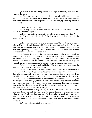Q: If there is no such thing as the knowledge of the real, then how do I reach it [the real]?

M: You need not reach out for what is already with you. Your very reaching out makes you miss it. Give up the idea that you have not found it and just let it come into the focus of direct perception, here and now, by removing all that is of the mind.

Q: Does the witness remain?

M: As long as there is consciousness, its witness is also there. The two appear and disappear together.

Q: If the witness too is transient, why is he given so much importance?

M: Just to break the spell of the known, the illusion that only the perceivable is real.

Q: Sir, I am an humble seeker, wandering from Guru to Guru in search of release. My mind is sick, burning with desire, frozen with fear. My days flit by, red with pain, grey with boredom. My age is advancing, my health decaying, my future dark and frightening. At this rate I shall live in sorrow and die in despair. Is there any hope for me? Or have I come too late?

M: Nothing is wrong with you, but the ideas you have of yourself are altogether wrong. It is not you who desires, fears and suffers, it is the person built on the foundation of your body by circumstances and influences. You are not that person. This must be clearly established in your mind and never lost sight of. Normally, it needs a prolonged sadhana, years of austerities and meditation.

Q: My mind is weak and vacillating. I have neither the strength nor the tenacity for sadhana. My case, is hopeless.

M: In a way yours is a most hopeful case. There is an alternative to sadhana, which is trust. If you cannot have the conviction born from fruitful search, then take advantage of my discovery, which I am so eager to share with you. I can see with the utmost clarity that you have never been, nor are, nor will be estranged from realty, that you are the fullness of perfection here and now and that nothing can deprive you of your heritage, of what you are. You are in no way different from me, only you do not know it. You do not know what you are and therefore you imagine your self to be what you are not. Hence desires and fear and overwhelming despair. And meaningless activity in order to escape.

Just trust me and live by trusting me. I shall not mislead you. You are the Supreme Reality beyond the world and its creator, beyond consciousness and its witness, beyond all assertions and denials. Remember it, think of it, act on it. Abandon all sense of separation, see yourself in all and act accordingly. With action bliss will come and, with bliss, conviction. (...)Just catch hold of what I told you and live by it.

Q: You are telling me to live by memory?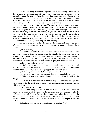M: You are living by memory anyhow. I am merely asking you to replace the old memories by the memory of what I told you. As you were acting on your old memories, act on the new one. Don't be afraid. For some time there is bound to be a conflict between the old and the new, but if you put yourself resolutely on the side of the new, the strife will soon come to an end and you will realise the effortless state of being oneself, of not being deceived by desires and fears born of illusion.

M: I do not ask you to trust me. Trust my words and remember them, I want your happiness, not mine. Distrust those who put a distance between you and your true being and offer themselves as a go-between. I do nothing of the kind. I do not even make any promises. I merely say: if you trust my words and put them to test, you will for yourself discover how absolutely true they are. If you ask for a proof before you venture, I can only say: I am the proof. I did trust my teacher's words and kept them in my mind and I did find that he was right, that I was, am and shall be the Infinite Reality, embracing all, transcending all.

As you say, you have neither the time nor the energy for lengthy practices. I offer you an alternative. Accept my words on trust and live anew, or live and die in sorrow.

Q: It seems too good to be true.

M: Don't be misled by the simplicity of the advice. '\very few are those who have the courage to trust the innocent and the simple. To know that you are a prisoner of your mind, that you live in an imaginary world of your own creation is the dawn of wisdom. To want nothing of it, to be ready to abandon it entirely, is earnestness. Only such earnestness, born of true despair, will make you trust me.

Q: Have l not suffered enough?

M: Suffering has made you dull, unable to see its enormity. Your first task is to see the sorrow in you and around you; your next to long intensely for liberation. The very intensity of longing will guide you; you need no other guide.

Q: Suffering has made me dull, indifferent even to itself.

M: Maybe it is not sorrow but pleasure that made you dull. Investigate.

Q: Whatever may be the cause; I am dull. I have neither the will nor the energy.

M: Oh, no. You have enough for the first step. And each step will generate enough energy for the next. Energy comes with confidence and confidence comes with experience.

Q: Is it right to change Gurus?

M: Why not change? Gurus are like milestones? It is natural to move on from one to another. Each tells you the direction and the distance, while the sadguru, the eternal Guru, is the road itself. Once you realise that the road is the goal and that you are always on the road, not to reach a goal, but to enjoy its beauty and its wisdom, life ceases to be a task and becomes natural and simple, in itself an ecstasy.

Q: So, there is no need to worship, to pray, to practice Yoga?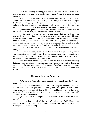M: A little of daily sweeping, washing and bathing can do no harm. Selfawareness tells you at every step what needs be done. When all is done, the mind remains quiet.

Now you are in the waking state, a person with name and shape, joys and sorrows. The person was not there before you were born, nor will be there after you die. Instead of struggling with the person to make it become what it is not, why not go beyond the waking state and leave the personal life altogether? It does not mean the extinction of the person; it means only seeing it in right perspective.

Q: One more question. You said that before I was born I was one with the pure being of reality; if so, who decided that I should be born?

M: In reality you were never born and never shall die. But now you imagine that you are, or have a body and you ask what has brought about this state. Within the limits of illusion the answer is: desire born from memory attracts you to a body and makes you think as one with it. But this is true only from the relative point of view. In fact, there is no body, nor a world to contain it; there is only a mental condition, a dream-like state, easy to dispel by questioning its reality.

Q: After you die, will you come again? If I live long enough, will I meet you again.

M: To you the body is real, to me there is none. I, as you see me, exist in your imagination only. Surely, you will see me again, if and when you need me. It does not affect me, as the Sun is not affected by sunrises and sunsets. Because it is not affected, it is certain to be there when needed.

You are bent on knowledge, I am not. I do not have that sense of insecurity that makes you crave to know. I am curious, like a child is curious. But there is no anxiety to make me seek refuge in knowledge. Therefore, I am not concerned whether I shall be reborn, or how long will the world last. These are questions born of fear.

# 84. Your Goal is Your Guru

Q: We are told that total surrender to the Guru is enough, that the Guru will do the rest.

M: Of course, when there is total surrender, complete relinquishment of all concern with one's past, presents and future, with one's physical and spiritual security and standing, a new life dawns, full of love and beauty; then the Guru is not important, for the disciple has broken the shell of self-defence. Complete selfsurrender by itself is liberation.

Q: When both the disciple and his teacher are inadequate, what will happen?

M: In the long run all will be well. After all, the real Self of both is not affected by the comedy they play for a time. They will sober up and ripen and shift to a higher level of relationship.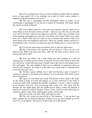Q: Is it by accident that I met you and by another accident shall we separate never to meet again? Or is my meeting you a part of some cosmic pattern, a fragment in the great drama of our lives?

M: The real is meaningful and the meaningful relates to reality. If our relationship is meaningful to you and me, it cannot be accidental. The future affects the present as much as the past.

M: Leave others alone for some time and examine yourself. There are so many things you do not know about yourself -- what are you, who are you, how did you come to be born, what are you doing now and why, where are you going, what is the meaning and purpose of your life, your death, your future? Have you a past, have you a future? How did you come to live in turmoil and sorrow, while your entire being strives for happiness and peace? These are weighty matters and have to be attended to first. You have no need, nor time for finding who is a jnani and who is not.

Q: You are not answering my question: how to find the right Guru?

M: But I did answer your question. Do not look for a Guru, do not even think of one. Make your goal your Guru. After all, the Guru is but a means to an end, not the end in itself.

M: Now, go within, into a state which you may compare to a state of waking sleep, in which you are aware of yourself, but not of the world. In that state you will know, without the least trace of doubt, that at the root of your being you are free and happy. The only trouble is that you are addicted to experience and you cherish your memories. In reality it is the other way round; what is remembered is never real; the real is now.

Q: All this I grasp verbally, but it does not become a part of myself. It remains as a picture in my mind to be looked at. Is it not the task of the Guru to give life to the picture?

M: Again, it is the other way round. The picture is alive; dead is the mind. As the mind is made of words and images, so is every reflection in the mind. It covers up reality with verbalisation and then complains. You say a Guru is needed, to do miracles with you. You are playing with words only. The Guru and the disciple are one single thing, like the candle and its flame. Unless the disciple is earnest, he cannot be called a disciple. Unless a Guru is all love and self-giving, he cannot be called a Guru. Only reality begets reality, not the false.

Q: I can see that I am false. Who will make me true?

M: The very words you said will do it. The sentence: 'I can see that I am false' contains all you need for liberation. Ponder over it, go into it deeply, go to the root of it; it will operate. The power is in the word, not in the person.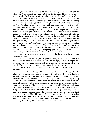Q: I do not grasp you fully. On one hand you say a Guru is needed; on the other -- the Guru can only give advice, but the effort is mine. Please state clearly - can one realise the Self without a Guru, or is the finding of a true Guru essential?

M: More essential is the finding of a true disciple. Believe me, a true disciple is very rare, for in no time he goes beyond the need for a Guru, by finding his own self. Don't waste your time on trying to make out whether the advice you get flows from knowledge only, or from valid experience! Just follow it faithfully. Life will bring you another Guru, if another one is needed. Or deprive you of all outer guidance and leave you to your own lights. It is very important to understand that it is the teaching that matters, not the person or the Guru. You get a letter that makes you laugh or cry. It is not the postman who does it. The Guru only tells you the good news about your real Self and shows you the way back to it. In a way the Guru is its messenger. There will be many messengers, but the message is one: be what you are. Or, you can put it differently: Until you realise yourself, you cannot know who is your real Guru. When you realise, you find that all the Gurus you had have contributed to your awakening. Your realisation is the proof that your Guru was real. Therefore, take him as he is, do what he tells you, with earnestness and zeal and trust your heart to warn you if anything goes wrong. If doubt sets in, don't fight it. Cling to what is doubtless and leave the doubtful alone.

Q: I have a Guru and I love him very much. But whether he is my true Guru I do not know.

M: Watch yourself. If you see yourself changing, growing, it means you have found the right man. He may be beautiful or ugly, pleasant or unpleasant, flattering you or scolding; nothing matters except the one crucial fact of inward growth. If you don't, well, he may be your friend, but not your Guru.

his reaction is: 'the man must be mad to teach such nonsense'. What am I to tell him?

M: Take him to himself. Show him, how little he knows himself, how he takes the most absurd statements about himself for holy truth. He is told that he is the body, was born, will die, has parents, duties, learns to like what others like and fear what others fear. Totally a creature of heredity and society, he lives by memory and acts by habits. Ignorant of himself and his true interests, he pursues false aims and is always frustrated. His life and death are meaningless and painful, and there seems to be no way out. Then tell him, there is a way out within his easy reach, not a conversion to another set of ideas, but a liberation from all ideas and patterns of living. Don't tell him about Gurus and disciples -- this way of thinking is not for him. His is an inner path, he is moved by an inner urge and guided by an inner light. Invite him to rebel and he will respond. Do not try to impress on him that so-and-so is a realised man and can be accepted as a Guru. As long as he does not trust himself, he cannot trust another. And confidence will come with experience.

Q: How strange! I cannot imagine life without a Guru.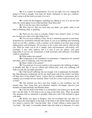M: It is a matter of temperament. You too are right. For you, singing the praises of God is enough. You need not desire realisation or take up a sadhana. God's name is all the food you need. Live on it.

M: I watch all that happens, including my talking to you. It is not me who talks, the words appear in my mind and then I hear them said.

Q: Is it not the case with everybody?

M: Who said no? But you insist that you think, you speak, while to me there is thinking, there is speaking.

Q: There are two cases to consider. Either I have found a Guru, or I have not. In each case what is the right thing to do?

M: You are never without a Guru, for he is timelessly present in your heart. Sometimes he externalises himself and comes to you as an uplifting and reforming factor in your life, a mother, a wife, a teacher; or he remains as an inner urge toward righteousness and perfection. All you have to do is obey him and do what he tells you. What he wants you to do is simple, learn self-awareness, self-control, selfsurrender. It may seem arduous, but it is easy if you are earnest. And quite impossible if you are not. Earnestness is both necessary and sufficient. Everything yields to earnestness.

Q: What makes one earnest?

M: Compassion is the foundation of earnestness. Compassion for yourself and others, born of suffering, your own and others.

Q: Must I suffer to be earnest?

M: You need not, if you are sensitive and respond to the suffering of others, as Buddha did. But if you are callous and without pity, your own suffering will make you ask the inevitable questions.

Q: I find myself suffering, but not enough. Life is unpleasant, but bearable. My little pleasures compensate me for my small pains and on the whole I am better off than most of the people I know. I know that my condition is precarious, that a calamity can overtake me any moment. Must I wait for a crisis to put me on my way to truth?

M: The moment you have seen how fragile is your condition, you are already alert. Now, keep alert, give attention, enquire, investigate, discover your mistakes of mind and body and abandon them.

Q: I feel my hold on the body is so strong that I just cannot give up the idea that I am the body. It will cling to me as long as the body lasts. There are people who maintain that no realisation is possible while alive and I feel inclined to agree with them.

M: Before you agree or disagree, why not investigate the very idea of a body? Does the mind appear in the body or the body in the mind? Surely there must be a mind to conceive the 'I-am-the-body' idea. A body without a mind cannot be 'my body'. 'My body' is invariably absent when the mind is in abeyance. It is also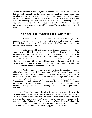absent when the mind is deeply engaged in thoughts and feelings. Once you realise that the body depends on the mind, and the mind on consciousness, and consciousness on awareness and not the other way round, your question about waiting for self-realisation till you die is answered. It is not that you must be free from 'I-am-the-body' idea first, and then realise the self. It is definitely the other way round -- you cling to the false, because you do not know the true. Earnestness, not perfection, is a precondition to self-realisation. Virtues and powers come with realisation, not before.

# 85. 'I am': The Foundation of all Experience

M: It is the full and correct knowledge of the known that takes you to the unknown. You cannot think of it in terms of uses and advantages; to be quite detached, beyond the reach of all self-concern, all selfish consideration, is an inescapable condition of liberation.

M: Of the unknowable only silence talks. The mind can talk only of what it knows. If you diligently investigate the knowable, it dissolves and only the unknowable remains. But with the first flicker of imagination and interest the unknowable is obscured and the known comes to the fore-front. The known, the changeable, is what you live with -- the unchangeable is of no use to you. It is only when you are satiated with the changeable and long for the unchangeable, that you are ready for the turning round and stepping into what can be described, when seen from the level of the mind, as emptiness and darkness.

M: Whatever may be the experience, true or false, the fact of an experience taking place cannot be denied. It is its own proof. Watch yourself closely and you will see that whatever be the content of consciousness, the witnessing of it does not depend on the content. Awareness is itself and does not change with the event. The event may be pleasant or unpleasant, minor or important – awareness is the same. Take note of the peculiar nature of pure awareness, its natural self-identity, without the least trace of self-consciousness, and go to the root of it and you will soon realise that awareness is your true nature and nothing you may be aware of, you can call your own.

M: When the content is viewed without likes and dislikes, the consciousness of it is awareness. But still there is a difference between awareness as reflected in consciousness and pure awareness beyond consciousness. Reflected awareness, the sense 'I am aware' is the witness, while pure awareness is the essence of reality. Reflection of the sun in a drop of water is the reflection of the sun, no doubt, but not the sun itself. Between awareness reflected in consciousness as the witness and pure awareness there is a gap, which the mind cannot cross.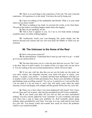M: There is no such thing as the experience of the real. The real is beyond experience. All experience is in the mind. You know the real by being real.

Q: I hear you talking of the unshakable and blissful. What is in your mind when you use these words?

M: There is nothing in my mind. As you hear the words, so do I hear them. The power that makes everything happen makes them also happen.

Q: But you are speaking, not me.

M: That is how it appears to you. As I see it, two body-minds exchange symbolic noises. In reality nothing happens.

M: Assiduously watch your ever-changing life, probe deeply into the motives beyond your actions and you will soon prick the bubble in which you are enclosed.

### 86. The Unknown is the Home of the Real

Q: How is the person removed?

M: By determination. Understand that it must go and wish it to go -- it shall go if you are earnest about it.

M: The door that locks you in, is also the door that lets you out. The 'I am' is the door. Stay at it until it opens. As a matter of fact, it is open, only you are not at it. You are waiting at the non-existent painted doors, which will never open.

M: If you stay with the idea that you are not the body nor the mind, not even their witness, but altogether beyond, your mind will grow in clarity, your desires -- in purity, your actions -- in charity and that inner distillation will take you to another world, a world of truth and fearless love. Resist your old habits of feeling and thinking; keep on telling yourself: 'No, not so, it cannot be so; I am not like this, I do not need it, I do not want it', and a day will surely come when the entire structure of error and despair will collapse and the ground will be free for a new life.

Q: There was a time when I was most displeased with myself. Now I have met my Guru and I am at peace, after having surrendered myself to him completely.

M: If you watch your daily life you will see that you have surrendered nothing. You have merely added the word 'surrender' to your vocabulary and made your Guru into a peg to hang your problems on. Real surrender means doing nothing, unless prompted by your Guru. You step, so to say, aside and let your Guru live your life. You merely watch and wonder how easily he solves the problems which to you seemed insoluble.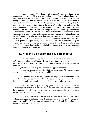M: Ask yourself: 'To whom it all happens?' Use everything as an opportunity to go within. Light your way by burning up obstacles in the intensity of awareness. When you happen to desire or fear, it is not the desire or fear that are wrong and must go, but the person who desires and fears. There is no point in fighting desires and fears which may be perfectly natural and justified; It is the person, who is swayed by them, that is the cause of mistakes, past and future. The person should be carefully examined and its falseness seen; then its power over you will end. After all, it subsides each time you go to sleep. In deep sleep you are not a self-conscious person, yet you are alive. When you are alive and conscious, but no longer self-conscious, you are not a person anymore. During the waking hours you are, as if, on the stage, playing a role, but what are you when the play is over? You are what you are; what you were before the play began you remain when it is over. Look at yourself as performing on the stage of life. The performance may be splendid or clumsy, but you are not in it, you merely watch it; with interest and sympathy, of course, but keeping in mind all the time that you are only watching while the play -- life -- is going on.

### 87. Keep the Mind Silent and You shall Discover

M: All that happens, happens in and to the mind, not to the source of the 'I am'. Once you realise that all happens by itself, (call it destiny, or the will of God or mere accident), you remain as witness only, understanding and enjoying, but not perturbed.

Q: Somehow I feel responsible for what happens around me.

M: You are responsible only for what you can change. All you can change is only your attitude. There lies your responsibility.

M: The mind shapes the language and the language shapes the mind. Both are tools, use them but don't misuse them. Words can bring you only unto their own limit; to go beyond, you must abandon them. Remain as the silent witness only.

M: All depends on you. It is by your consent that the world exists. Withdraw your belief in its reality and it will dissolve like a dream. Time can bring down mountains; much more you, who are the timeless source of time. For without memory and expectation there can be no time.

M: Don't be afraid of a world you yourself have created. Cease from looking for happiness and reality in a dream and you will wake up. You need not know 'why' and 'how', there is no end to questions. Abandon all desires, keep your mind silent and you shall discover.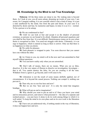### 88. Knowledge by the Mind is not True Knowledge

Maharaj: All the three states are sleep to me. My waking state is beyond them. As I look at you, you all seem asleep, dreaming up words of your own. I am aware, for I imagine nothing. It is not samadhi which is but a kind of sleep. It is just a state unaffected by the mind, free from the past and future. In your case it is distorted by desire and fear, by memories and hopes; in mine it is as it is -- normal. To be a person is to be asleep.

Q: We are condemned to fear?

M: Until we can look at fear and accept it as the shadow of personal existence, as persons we are bound to be afraid. Abandon all personal equations and you shall be free from fear. It is not difficult. Desirelessness comes on its own when desire is recognised as false. You need not struggle with desire. Ultimately, it is an urge to happiness, which is natural as long as there is sorrow. Only see that there is no happiness in what you desire.

Q: We settle for pleasure.

M: Each pleasure is wrapped in pain. You soon discover that you cannot have one without the other.

Q: As I listen to you, my mind is all in the now and I am astonished to find myself without questions.

M: You can know reality only when you are astonished.

M: Don't talk of means, there are no means. What you see as false, dissolves. It is the very nature of illusion to dissolve on investigation. Investigate - that is all. You cannot destroy the false, for you are creating it all the time. Withdraw from it, ignore it, go beyond, and it will cease to be.

M: Liberation is not the result of some means skilfully applied, nor of circumstances. It is beyond the causal process. Nothing can compel it, nothing can prevent it.

Q: Then why are we not free here and now?

M: But we are free 'here and now'. It is only the mind that imagines bondage.

Q: What will put an end to imagination?

**M:** Why should you want to put an end to it? Once you know your mind and its miraculous powers, and remove what poisoned it -- the idea of a separate and isolated person -- you just leave it alone to do its work among things to which it is well suited. To keep the mind in its own place and on its own work is the liberation of the mind.

Q: I have not yet understood why, if nothing stands in the way of liberation, it does not happen here and now.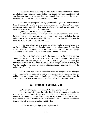M: Nothing stands in the way of your liberation and it can happen here and now, but for your being more interested in other things. And you cannot fight with your interests. You must go with them, see through them and watch them reveal themselves as mere errors of judgement and appreciation.

M: There are good people among your friends -- you can learn much from them. Running after saints is merely another game to play. Remember yourself instead, and watch your daily life relentlessly. Be earnest, and you shall not fail to break the bonds of inattention and imagination.

Q: Do you want me to struggle all alone?

M: You are never alone. There are powers and presences who serve you all the time most faithfully. You may or may not perceive them, nevertheless they are real and active. When you realise that all is in your mind and that you are beyond the mind, that you are truly alone; then all is you.

M: To lose entirely all interest in knowledge results in omniscience. It is but the gift of knowing what needs to be known, at the right moment, for error-free action. After all, knowledge is needed for action and if you act rightly, spontaneously, without bringing in the conscious, so much the better.

M: Do not try to know the truth, for knowledge by the mind is not true knowledge. But you can know what is not true -- which is enough to liberate you from the false. The idea that you know what is true is dangerous, for it keeps you imprisoned in the mind. It is when you do not know that you are free to investigate. And there can be no salvation without investigation, because non-investigation is the main cause of bondage.

**M:** I can see, beyond the least shadow of doubt, that you are not what you believe yourself to be. Logic or no logic, you cannot deny the obvious. You are nothing that you are conscious of. Apply yourself diligently to pulling apart the structure you have built in your mind. What the mind has done the mind must undo.

## 89. Progress in Spiritual Life

Q: Who are the people in this room? Are they your disciples?

M: Ask them. It is not on the verbal level that one becomes a disciple, but in the silent depths of one's being. You do not become a disciple by choice; it is more a matter of destiny than self-will. It does not matter much who is the teacher - they all wish you well. It is the disciple that matters -- his honesty and earnestness. The right disciple will always find the right teacher.

Q: What are the signs of progress in spiritual life?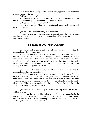M: Freedom from anxiety; a sense of ease and joy; deep peace within and abundant energy without.

Q: How did you get it?

M: I found it all in the holy presence of my Guru -- I did nothing on my own. He told me to be quiet -- and I did it -- as much as I could.

Q: Is your presence as powerful as his?

M: How am I to know? For me -- his is the only presence. If you are with me, you are with him.

Q: What is the course of training in self-awareness?

M: There is no need of training. Awareness is always with you. The same attention that you give to the outer, you turn to the inner. No new, or special kind of awareness is needed.

# 90. Surrender to Your Own Self

Q: Such realisation comes and goes with me. I have not yet reached the immutability of absolute completeness.

M: Well, as long as you believe so, you must go on with your sadhana, to disperse the false idea of not being complete. Sadhana removes the superimpositions. When you realise yourself as less than a point in space and time, something too small to be cut and too short-lived to be killed, then, and then only, all fear goes. When you are smaller than the point of a needle, then the needle cannot pierce you -- you pierce the needle!

Q: Such realisation comes and goes with me. I have not yet reached the immutability of absolute completeness.

M: Well, as long as you believe so, you must go on with your *sadhana*, to disperse the false idea of not being complete. Sadhana removes the superimpositions. When you realise yourself as less than a point in space and time, something too small to be cut and too short-lived to be killed, then, and then only, all fear goes. When you are smaller than the point of a needle, then the needle cannot pierce you -- you pierce the needle!

Q: I admit that now I want to go back and live a very active life, because I feel full of energy.

M: You can do what you like, as long as you do not take yourself to be the body and the mind. It is not so much a question of actual giving up the body and all that goes with it, as a clear understanding that you are not the body. A sense of aloofness, of emotional non-involvement.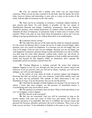M: You are married and a mother only when you are man-women conscious. When you do not take yourself to be the body, then the family life of the body, however intense and interesting, is seen only as a play on the screen of the mind, with the light of awareness as the only reality.

M: There can be no continuity in existence. Continuity implies identity in past, present and future. No such identity is possible, for the very means of identification fluctuate and change. Continuity, permanency, these are illusions created by memory, mere mental projections of a pattern where no pattern can be; Abandon all ideas of temporary or permanent, body or mind, man or women; what remains? What is the state of your mind when all separation is given up? I am not talking of giving up distinctions, for without them there is no manifestation.

Q: Is pleasure always wrong?

M: The right state and use of the body and the mind are intensely pleasant. It is the search for pleasure that is wrong. Do not try to make yourself happy, rather question your very search for happiness. It is because you are not happy that you want to be happy. Find out why you are unhappy. Because you are not happy you seek happiness in pleasure; pleasure brings in pain and therefore you call it worldly; you then long for some other pleasure, without pain, which you call divine. In reality, pleasure is but a respite from pain. Happiness is both worldly and unworldly, within and beyond all that happens. Make no distinction, don't separate the inseparable and do not alienate yourself from life.

M: Trusting Bhagavan is trusting yourself. Be aware that whatever happens, happens to you, by you, through you, that you are the creator, enjoyer and destroyer of all you perceive and you will not be afraid. Unafraid, you will not be unhappy, nor will you seek happiness.

In the mirror of your mind all kinds of pictures appear and disappear. Knowing that they are entirely your own creations, watch them silently come and go, be alert, but not perturbed. This attitude of silent observation is the very foundation of Yoga. You see the picture, but you are not the picture.

Q: I find that the thought of death frightens me because I do not want to be reborn. I know that none compels, yet the pressure of unsatisfied desires is overwhelming and I may not be able to resist.

M: The question of resistance does not arise. What is born and reborn is not you. Let it happen, watch it happen.

Q: Why then be at all concerned?

M: But you are concerned! And you will be concerned as long as the picture clashes with your own sense of truth, love and beauty. The desire for harmony and peace is in eradicable. But once it is fulfilled, the concern ceases and physical life becomes effortless and below the level of attention. Then, even in the body you are not born. To be embodied or bodyless is the same to you. You reach a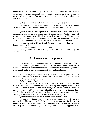point when nothing can happen to you. Without body, you cannot be killed; without possessions you cannot be robbed; without mind, you cannot be deceived. There is no point where a desire or fear can hook on. As long as no change can happen to you, what else matters?

Q: Well, God will look after me. I can leave everything to Him.

M: Even faith in God is only a stage on the way. Ultimately you abandon all, for you come to something so simple that there are no words to express it.

Q: Sir, wherever I go people take it to be their duty to find faults with me and goad me on. I am fed up with this spiritual fortune making. What is wrong with my present that it should be sacrificed to a future, however glorious? You say reality is in the now. I want it. I do not want to be eternally anxious about my stature and its future. I do not want to chase the more and the better. Let me love what I have.

M: You are quite right; do it. Only be honest -- just love what you love - don't strive and strain.

Q: This is what I call surrender to the Guru.

M: Why exteriorise? Surrender to your own self, of which everything is an expression.

## 91. Pleasure and Happiness

Q: [About suicide] Is it not obligatory to live out one's natural span of life?

M: Natural -- spontaneously -- easy -- yes. But disease and suffering are not natural. There is noble virtue in unshakable endurance of whatever comes, but there is also dignity in the refusal of meaningless torture and humiliation.

M: However powerful the Guru may be, he should not impose his will on the disciple. On the other hand, a disciple that distrusts and hesitates is bound to remain unfulfilled for no fault of his Guru.

Q: What happens then?

M: Life teaches, where all else fails. But the lessons of life take a long time to come. Much delay and trouble is saved by trusting and obeying. But such trust comes only when indifference and restlessness give place to clarity and peace. A man who keeps himself in low esteem, will not be able to trust himself, nor anybody else. […] When self-confidence and trust in the teacher come together, rapid and far-going changes in the disciple's character and life can take place.

Q: I may not want to change. My life is good enough as it is.

M: You say so because you have not seen how painful is the life you live. You are like a child sleeping with a lollypop in its mouth. You may feel happy for a moment by being totally self-centred, but it is enough to have a good look at human faces to perceive the universality of suffering. Even your own happiness is so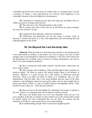vulnerable and short-lived, at the mercy of a bank-crash, or a stomach ulcer. It is just a moment of respite, a mere gap between two sorrows. Real happiness is not vulnerable, because it does not depend on circumstances.

M: Liberation is a natural process and in the long run, inevitable. But it is within your power to bring it into the now.

Q: Then why are so few liberated people in the world?

M: In a forest only some of the trees are in full bloom at a given moment, yet every one will have its turn.

Q: I understood that suffering is inherent in limitation.

M: Differences and distinctions are not the causes of sorrow. Unity in diversity is natural and good. It is only with separateness and self-seeking that real suffering appears in the world.

# 92. Go Beyond the l-am-the-body Idea

Maharaj: What prevents you from knowing yourself as all and beyond all, is the mind based on memory. It has power over you as long as you trust it; don't struggle with it; just disregard it. Deprived of attention, it will slow down and reveal the mechanism of its working. Once you know its nature and purpose, you will not allow it to create imaginary problems.

Q: How to bring the mind under control? And the heart, which does not know what it wants?

M: They cannot work in darkness. They need the light of pure awareness to function rightly. All effort at control will merely subject them to the dictates of memory. Memory is a good servant, but a bad master. It effectively prevents discovery. There is no place for effort in reality. It is selfishness, due to a selfidentification with the body, that is the main problem and the cause of all other problems. And selfishness cannot be removed by effort, only by clear insight into its causes and effects. Effort is a sign of conflict between incompatible desires. They should be seen as they are -- then only they dissolve.

Q: Must not one be fit and eligible for realisation? Our nature is animal to the core. Unless it is conquered, how can we hope for reality to dawn?

M: Leave the animal alone. Let it be. Just remember what you are. Use every incident of the day to remind you that without you as the witness there would be neither animal nor God. Understand that you are both, the essence and the substance of all there is, and remain firm in your understanding.

Q: Is understanding enough? Don't I need more tangible proofs?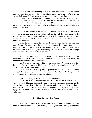M: It is your understanding that will decide about the validity of proofs. But what more tangible proof do you need than your own existence? Wherever you go you find yourself. However far you reach out in time, you are there.

Q: Obviously, I am not all-pervading and eternal. I am only here and now.

M: Good enough. The 'here' is everywhere and the now -- always. Go beyond the 'I-am-the-body' idea and you will find that space and time are in you and not you in space and time. Once you have understood this, the main obstacle to realisation is removed.

M: The true teacher, however, will not imprison his disciple in a prescribed set of ideas, feelings and actions; on the contrary, he will show him patiently the need to be free from all ideas and set patterns of behaviour, to be vigilant and earnest and go with life wherever it takes him, not to enjoy or suffer, but to understand and learn.

Under the right teacher the disciple learns to learn, not to remember and obey. Satsang, the company of the noble, does not mould, it liberates. Beware of all that makes you dependent. Most of the so-called 'surrenders to the Guru' end in disappointment, if not in tragedy. Fortunately, an earnest seeker will disentangle himself in time, [the] wiser for the experience.

M: In adhi yoga life itself is the Guru and the mind -- the disciple. The mind attends to life, it does not dictate. Life flows naturally and effortlessly and the mind removes the obstacles to its even flow.

Q: Seen as the service of life by the mind, the *adhi yoga* is a perfect democracy. Everyone is engaged in living a life to his best capacity and knowledge, everyone is a disciple of the same Guru.

M: You may say so. It may be so -- potentially. But unless life is loved and trusted, followed with eagerness and zest, it would be fanciful to talk of Yoga, which is a movement in consciousness, awareness in action.

Q: But ultimately is there a world, or is there none?

M: What you see is nothing but your self. Call it what you like, it does not change the fact. Through the film of destiny your own light depicts pictures on the screen. You are the viewer, the light, the picture and the screen. Even the film of destiny (*prarabdha*) is self-selected and self-imposed. The spirit is a sport and enjoys to overcome obstacles. The harder the task the deeper and wider his selfrealisation.

## 93. Man is not the Doer

Maharaj: As long as there is the body and the sense of identity with the body, frustration is inevitable. Only when you know yourself as entirely alien to and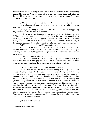different from the body, will you find respite from the mixture of fear and craving inseparable from the 'I-am-the-body' idea. Merely assuaging<sup>5</sup> fears and satisfying desires will not remove this sense of emptiness you are trying to escape from; only self-knowledge can help you.

Q: I have so much to do. I just cannot afford to keep my mind quiet.

M: It is because of your illusion that you are the doer. In reality things are done to you, not by you.

Q: If I just let things happen, how can I be sure that they will happen my way? Surely I must bend them to my desire.

M: Your desire just happens to you along with its fulfilment, or nonfulfilment. You can change neither. You may believe that you exert yourself, strive and struggle. Again, it all merely happens, including the fruits of the work. Nothing is by you and for you. All is in the picture exposed on the cinema screen, nothing in the light, including what you take yourself to be, the person. You are the light only.

Q: If I am light only, how did I come to forget it?

M: You have not forgotten. It is in the picture on the screen that you forget and then remember. You never cease to be a man because you dream to be a tiger. Similarly you are pure light appearing as a picture on the screen and also becoming one with it.

Q: Since all happens, why should I worry?

M: Exactly. Freedom is freedom from worry. Having realised that you cannot influence the results, pay no attention to your desires and fears. Let them come and go. Don't give them the nourishment of interest and attention.

Q: If life is so wonderful, how could ignorance happen?

M: You want to treat the disease without having seen the patient! Before you ask about ignorance, why don't you enquire first who is the ignorant? When you say you are ignorant, you do not know that you have imposed the concept of ignorance over the actual state of your thoughts and feelings. Examine them as they occur, give them your full attention and you will find that there is nothing like ignorance, only inattention. Give attention to what worries you, that is all. After all, worry is mental pain and pain is invariably a call for attention. The moment you give attention, the call for it ceases and the question of ignorance dissolves. Instead of waiting for an answer to your question, find out who is asking the question and what makes him ask it. You will soon find that it is the mind, goaded by fear of pain, that asks the question. And in fear there is memory and anticipation, past and future. Attention brings you back to the present, the now, and the presence in the now is a state ever at hand, but rarely noticed.

Q: We love only ourselves.

<sup>&</sup>lt;u>.</u>  $<sup>5</sup>$  Assuage = mitigar; atenuar; satisfazer.</sup>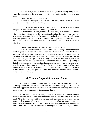M: Were it so, it would be splendid! Love your Self wisely and you will reach the summit of perfection. Everybody loves his body, but few love their real being.

Q: Does my real being need my love?

M: Your real being is love itself and your many loves are its reflections according to the situation at the moment.

Q: Yet I do not understand why the various Gurus insist on prescribing complicated and difficult sadhanas. Don't they know better?

M: It is not what you do, but what you stop doing that matters. The people who begin their *sadhana* are so feverish and restless, that they have to be very busy to keep themselves on the track. An absorbing routine is good for them. After some time they quieten down and turn away from effort. In peace and silence the skin of the 'I' dissolves and the inner and the outer become one. The real sadhana is effortless.

Q: I have sometimes the feeling that space itself is my body.

M: When you are bound by the illusion: 'I am this body', you are merely a point in space and a moment in time. When the self-identification with the body is no more, all space and time are in your mind, which is a mere ripple in consciousness, which is awareness reflected in nature. Awareness and matter are the active and the passive aspects of pure being, which is in both and beyond both. Space and time are the body and the mind of the universal existence. My feeling is that all that happens in space and time happens to me, that every experience is my experience, every form is my form. What I take myself to be becomes my body, and all that happens to that body becomes my mind. But at the root of the universe there is pure awareness, beyond space and time, here and now. Know it to be your real being and act accordingly.

# 94. You are Beyond Space and Time

M: I am not bound by your dreamlike world. In my world the seeds of suffering, desire and fear are not sown and suffering does not grow. My world is free from opposites, of mutually distinctive discrepancies; harmony pervades; its peace is rocklike; this peace and silence are my body.

M: Just see the person you imagine yourself to be as a part of the world you perceive within your mind and look at the mind from the outside, for you are not the mind. After all, your only problem is the eager self-identification with whatever you perceive. Give up this habit, remember that you are not what you perceive, use your power of alert aloofness. See yourself in all that lives and your behavior will express your vision. Once you realise that there is nothing in this world which you can call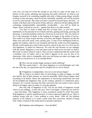your own, you look at it from the outside as you look at a play on the stage, or a picture on the screen, admiring and enjoying, but really unmoved. As long as you imagine yourself to be something tangible and solid, a thing among things, actually existing in time and space, short-lived and vulnerable, naturally you will be anxious to survive and increase. But when you know yourself as beyond space and time -- in contact with them only at the point of here and now, otherwise all-pervading and allcontaining, unapproachable, unassailable, invulnerable -- you will be afraid no longer. Know yourself as you are -- against fear there is no other remedy.

You have to learn to think and feel on these lines, or you will remain indefinitely on the personal level of desire and fear, gaining and losing, growing and decaying. A personal problem cannot be solved on its own level. The very desire to live is the messenger of death, as the longing to be happy is the outline of sorrow. The world is an ocean of pain and fear, of anxiety and despair. Pleasures are like the fishes, few and swift, rarely come, quickly gone. A man of low intelligence believes, against all evidence, that he is an exception and that the world owes him happiness. But the world cannot give what it does not have; unreal to the core, it is of no use for real happiness. It cannot be otherwise. We seek the real because we are unhappy with the unreal. Happiness is our real nature and we shall never rest until we find it. But rarely we know where to seek it. Once you have understood that the world is but a mistaken view of reality, and is not what it appears to be, you are free of its obsessions. Only what is compatible with your real being can make you happy and the world, as you perceive it, is its outright denial.

Q: How can one remain happy among so much suffering?

M: One cannot help it -- the inner happiness is overwhelmingly real. Like the sun in the sky, its expressions may be clouded, but it is never absent.

Q: If happiness is independent, why are we not always happy?

M: As long as we believe that we need things to make us happy, we shall also believe that in their absence we must be miserable. Mind always shapes itself according to its beliefs. Hence the importance of convincing oneself that one need not be prodded into happiness; that, on the contrary, pleasure is a distraction and a nuisance, for it merely increases the false conviction that one needs to have and do things to be happy when in reality it is just the opposite.

But why talk of happiness at all? You do not think of happiness except when you are unhappy. A man who says: 'Now I am happy', is between two sorrows -- past and future. This happiness is mere excitement caused by relief from pain. Real happiness is utterly unselfconscious. It is best expressed negatively as: 'there is nothing wrong with me. I have nothing to worry about'. After all, the ultimate purpose of all sadhana is to reach a point when this conviction, instead of being only verbal, is based on the actual and ever-present experience.

Q: Emptiness and nothingness -- how dreadful!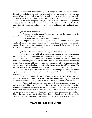M: You face it most cheerfully, when you go to sleep! Find out for yourself the state of wakeful sleep and you will find it quite in harmony with your real nature. Words can only give you the idea and the idea is not the experience. All I can say is that true happiness has no cause and what has no cause is immovable. Which does not mean it is perceivable, as pleasure. What is perceivable is pain and pleasure; the state of freedom from sorrow can be described only negatively. To know it directly you must go beyond the mind addicted to causality and the tyranny of time.

Q: What about witnessing?

M: Witnessing is of the mind. The witness goes with the witnessed. In the state of non-duality all separation ceases.

Q: What about you? Do you continue in awareness?

M: The person, the 'I am this body, this mind, this chain of memories, this bundle of desires and fears' disappears, but something you may call identity, remains. It enables me to become a person when required. Love creates its own necessities, even of becoming a person.

Q: What is the relation between reality and its expressions?

M: No relation. In reality all is real and identical. As we put it, saguna and nirguna are one in Parabrahman. There is only the Supreme. In movement, it Is saguna. Motionless, it is nirguna. But it is only the mind that moves or does not move. The real is beyond. You are beyond. Once you have understood that nothing perceivable, or conceivable can be yourself, you are free of your imaginations. To see everything as imagination, born of desire, is necessary for self-realisation. We miss the real by lack of attention and create the unreal by excess of imagination.

You have to give your heart and mind to these things and brood over them repeatedly. It is like cooking food. You must keep it on the fire for some time before it is ready.

Q: Am I not under the sway of destiny, of my karma? What can I do against it? What I am and what I do is pre-determined. Even my so-called free choice is predetermined; only I am not aware of it and imagine myself to be free.

M: Again, it all depends how you look at it. Ignorance is like a fever -- it makes you see things which are not there. karma is the divinely prescribed treatment. Welcome it and follow the instructions faithfully and you will get well. A patient will leave the hospital after he recovers. To insist on immediate freedom of choice and action will merely postpone recovery. Accept your destiny and fulfil it - this is the shortest way to freedom from destiny, though not from love and its compulsions. To act from desire and fear is bondage; to act from love is freedom.

### 95. Accept Life as it Comes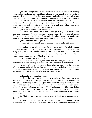Q: I have some property in the United States which I intend to sell and buy some land in the Himalayas. I shall build a house, lay out a garden, get two or three cows and live quietly. People tell me that property and quiet are not compatible, that I shall at once get into trouble with officials, neighbours and thieves. Is it inevitable?

M: The least you can expect is an endless succession of visitors who will make your abode into a free and open guesthouse. Better accept your life as it shapes, go home and look after your wife with love and care. Nobody else needs you. Your dreams of glory will land you in more trouble.

Q: It is not glory that I seek. I seek Reality.

M: For this you need a well-ordered and quiet life, peace of mind and immense earnestness. At every moment whatever comes to you unasked, comes from God and will surely help you, if you make the fullest use of it. It is only what you strive for, out of your own imagination and desire, that gives you trouble.

Q: Is destiny the same as grace?

M: Absolutely. Accept life as it comes and you will find it a blessing.

M: As long as you take yourself to be a person, a body and a mind, separate from the stream of life, having a will of its own, pursuing its own aims, you are living merely on the surface and whatever you do will be short-lived and of little value, mere straw to feed the flames of vanity. You must put in true worth before you can expect something real. What is your worth?

Q: By what measure shall I measure it?

M: Look at the content of your mind. You are what you think about. Are you not most of the time busy with your own little person and its daily needs?

The value of regular meditation is that it takes you away from the humdrum of daily routine and reminds you that you are not what you believe yourself to be. But even remembering is not enough -- action must follow conviction. Don't be like the rich man who has made a detailed will, but refuses to die.

Q: I admit it is courage that I lack.

M: It is because you are not fully convinced. Complete conviction generates both desire and courage. And meditation is the art of achieving faith through understanding. In meditation you consider the teaching received, in all its aspects and repeatedly, until out of clarity confidence is born and, with confidence, action. Conviction and action are inseparable. If action does not follow conviction, examine your convictions, don't accuse yourself of lack of courage. Selfdepreciation will take you nowhere. Without clarity and emotional assent of what use is will?

Q: What do you mean by emotional assent? Am I not to act against my desires?

M: You will not act against your desires. Clarity is not enough. Energy comes from love -- you must love to act -- whatever the shape and object of your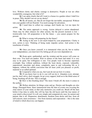love. Without clarity and charity courage is destructive. People at war are often wonderfully courageous, but what of it?

Q: I see quite clearly that all I want is a house in a garden where I shall live in peace. Why should I not act on my desire?

M: By all means, act. But do not forget the inevitable, unexpected. Without rain your garden will not flourish. You need courage for adventure.

Q: I need time to collect my courage, don't hustle me. Let me ripen for action.

M: The entire approach is wrong. Action delayed is action abandoned. There may be other chances for other actions, but the present moment is lost - irretrievably lost. All preparation is for the future -- you cannot prepare for the present.

Q: What is wrong with preparing for the future?

M: Acting in the now is not much helped by your preparations. Clarity is now, action is now. Thinking of being ready impedes action. And action is the touchstone of reality.

M: Once you know yourself, it is immaterial what you do, but to realise your independence, you must test it by letting go all you were dependent on.

M: Keep quiet, undisturbed, and the wisdom and the power will come on their own. You need not hanker. Wait in silence of the heart and mind. It is very easy to be quiet, but willingness is rare. You people want to become supermen overnight. Stay without ambition, without the least desire, exposed, vulnerable, unprotected, uncertain and alone, completely open to and welcoming life as it happens, without the selfish conviction that all must yield you pleasure or profit, material or so-called spiritual.

Q: I respond to what you say, but I just do not see how it is done.

M: If you know how to do it, you will not do it. Abandon every attempt, just be; don't strive, don't struggle, let go every support, hold on to the blind sense of being, brushing off all else. This is enough.

Q: How is this brushing done? The more I brush off, the more it comes to the surface.

M: Refuse attention, let things come and go. Desires and thoughts are also things. Disregard them. Since immemorial time the dust of events was covering the clear mirror of your mind, so that only memories you could see. Brush off the dust before it has time to settle; this will lay bare the old layers until the true nature of your mind is discovered. It is all very simple and comparatively easy; be earnest and patient, that is all. Dispassion, detachment, freedom from desire and fear, from all self-concern, mere awareness -- free from memory and expectation -- this is the state of mind to which discovery can happen.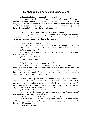#### 96. Abandon Memories and Expectations

Q: I am afraid of my own mind. It is so unsteady!

M: In the mirror of your mind images appear and disappear. The mirror remains. Learn to distinguish the immovable in the movable, the unchanging in the changing, till you realise that all differences are in appearance only and oneness is a fact. This basic identity -- you may call God, or *Brahman*, or the matrix (*Prakriti*), the words matters little -- is only the realisation that all is one.

Q: Is there anything unnecessary in the scheme of things?

M: Nothing is necessary, nothing is inevitable. Habit and passion blind and mislead. Compassionate awareness heals and redeems. There is nothing we can do, we can only let things happen according to their nature.

Q: Are austerities and penances of any use?

M: To meet all the vicissitudes of life is penance enough! You need not invent trouble. To meet cheerfully whatever life brings is all the austerity you need.

Q: What about sacrifice?

M: Share willingly and gladly all you have with whoever needs -- don't invent self-inflicted cruelties.

Q: What is self-surrender?

M: Accept what comes.

Q: Will compete solitude be of any benefit?

M: It depends on your temperament. You may work with others and for others, alert and friendly, and grow more fully than in solitude, which may make you dull or leave you at the mercy of your mind's endless chatter. Do not imagine that you can change through effort. Violence, even turned against yourself, as in austerities and penance, will remain fruitless.

M: It is all due to your complete misunderstanding of reality. Your mind is steeped in the habits of evaluation and acquisition and will not admit that the incomparable and unobtainable are waiting timelessly within your own heart for recognition. All you have to do is to abandon all memories and expectations. Just keep yourself ready in utter nakedness and nothingness.

Q: Who is to do the abandoning?

M: God will do it. Just see the need of being abandoned. Don't resist, don't hold on to the person you take yourself to be.

Q: Unless I am told what to do and how to do it, I feel lost.

M: By all means do feel lost! As long as you feel competent and confident, reality is beyond your reach. Unless you accept inner adventure as a way of life, discovery will not come to you.

Q: Discovery of what?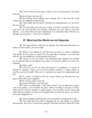M: Of the centre of your being, which is free of all directions, all means and ends.

Q: Be all, know all, have all?

M: Be nothing, know nothing, have nothing. This is the only life worth living, the only happiness worth having.

Q: I may admit that the goal is beyond my comprehension. Let me know the way at least.

M: You must find your own way. Unless you find it yourself it will not be your own way and will take you nowhere. Earnestly live your truth as you have found it -- act on the little you have understood. It is earnestness that will take you through, not cleverness -- your own or another's.

## 97. Mind and the World are not Separate

M: The mind and the world are not separate. Do understand that what you think to be the world is your own mind.

Q: What is your attitude to sin? How do you look at a sinner, somebody who breaks the law, inner or outer? Do you want him to change or you just pity him? Or, are you indifferent to him because of his sins?

M: I know no sin, nor sinner. Your distinction and valuation do not bind me. Everybody behaves according to his nature. It cannot be helped, nor need it be regretted.

Q: Others suffer.

M: Life lives on life. In nature the process is compulsory, in society it should be voluntary. There can be no life without sacrifice. A sinner refuses to sacrifice and invites death. This is as it is, and gives no cause for condemnation and pity.

Q: If a sinner, a breaker of the law, comes before you and asks for your grace, what will be your response?

M: He will get what he asks for.

Q: In spite of being a very bad man?

M: I know no bad people, I only know myself. I see no saints nor sinners, only living beings. I do not hand out grace. There is nothing I can give, or deny, which you do not have already in equal measure. Just be aware of your riches and make full use of them. As long as you imagine that you need my grace, you will be at my door begging for it.

Q: All the Buddhas and Rishis have not succeeded in changing the world.

M: The world does not yield to changing. By its very nature it is painful and transient. See it as it is and divest yourself of all desire and fear. When the world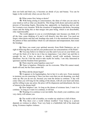does not hold and bind you, it becomes an abode of joy and beauty. You can be happy in the world only when you are free of it.

Q: What comes first, being or desire?

M: With being arising in consciousness, the ideas of what you are arise in your mind as well as what you should be. This brings forth desire and action and the process of becoming begins. Becoming has, apparently, no beginning and no end, for it restarts every moment. With the cessation of imagination and desire, becoming ceases and the being this or that merges into pure being, which is not describable, only experienceable.

The world appears to you so overwhelmingly real, because you think of it all the time; cease thinking of it and it will dissolve into thin mist. You need not forget; when desire and fear end, bondage also ends. It is the emotional involvement, the pattern of likes and dislikes which we call character and temperament, that create the bondage.

Q: Since you count your spiritual ancestry from Rishi Dattatreya, are we right in believing that you and all your predecessors are reincarnations of the Rishi?

M: You may believe in whatever you like and if you act on your belief, you will get the fruits of it; but to me it has no importance. I am what I am and this is enough for me. I have no desire to identify myself with anybody, however illustrious. Nor do I feel the need to take myths for reality. I am only interested in ignorance and the freedom from ignorance.

Q: There must be some hopeless cases too?

M: None is hopeless. Obstacles can be overcome. What life cannot mend, death will end, but the Guru cannot fail.

Q: When did the dream begin?

M: It appears to be beginningless, but in fact it is only now. From moment to moment you are renewing it. Once you have seen that you are dreaming, you shall wake up. But you do not see, because you want the dream to continue. A day will come when you will long for the ending of the dream, with all your heart and mind, and be willing to pay any price; the price will be dispassion and detachment, the loss of interest in the dream itself.

Q: How helpless I am. As long as the dream of existence lasts, I want it to continue. As long as I want it to continue, it will last.

M: Wanting it to continue is not inevitable. See clearly your condition, your very clarity will release you.

Q: The world is full of troubles, no wonder my mind too is full of them.

M: Was there ever a world without troubles? Your being as a person depends on violence to others. Your very body is a battlefield, full of the dead and dying. Existence implies violence.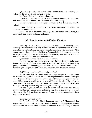Q: As a body -- yes. As a human being -- definitely no. For humanity nonviolence is the law of life and violence of death.

M: There is little of non-violence in nature.

Q: God and nature are not human and need not be humane. I am concerned with man alone. To be human I must be compassionate absolutely.

M: Do you realise that as long as you have a self to defend, you must be violent?

Q: I do. To be truly human I must be self-less. As long as I am selfish, I am sub-human, a humanoid only.

M: So, we are all sub-human and only a few are human. Few or many, it is again 'clarity and charity' that make us human.

### 98. Freedom from Self-identification

Maharaj: To be, just be, is important. You need not ask anything, nor do anything. Such apparently lazy way of spending time is highly regarded in India. It means that for the time being you are free from the obsession with 'what next'. When you are not in a hurry and the mind is free from anxieties, it becomes quiet and in the silence something may be heard which is ordinarily too fine and subtle for perception. The mind must be open and quiet to see.

Questioner: How do we learn to cut out worries?

M: You need not worry about your worries. Just be. Do not try to be quiet; do not make 'being quiet' into a task to be performed. Don't be restless about 'being quiet', miserable about 'being happy'. Just be aware that you are and remain aware - don't say: 'yes, I am; what next?' There is no 'next' in 'I am'. It is a timeless state.

Q: If I know myself, shall I not desire and fear?

M: For some time the mental habits may linger in spite of the new vision, the habit of longing for the known past and fearing the unknown future. When you know these are of the mind only, you can go beyond them. As long as you have all sorts of ideas about yourself, you know yourself through the mist of these ideas; to know yourself as you are, give up all ideas. You cannot imagine the taste of pure water, you can only discover it by abandoning all flavourings.

As long as you are interested in your present way of living, you will not abandon it. Discovery cannot come as long as you cling to the familiar. It is only when you realise fully the immense sorrow of your life and revolt against it, that a way out can be found.

Q: Then, what am I to do?

M: Try to be, only to be. The all-important word is 'try'. Allot enough time daily for sitting quietly and trying, just trying, to go beyond the personality, with its addictions and obsessions. Don't ask how, it cannot be explained. You just keep on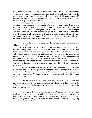trying until you succeed. If you persevere, there can be no failure. What matters supremely is sincerity, earnestness; you must really have had surfeit of being the person you are, now see the urgent need of being free of this unnecessary selfidentification with a bundle of memories and habits. This steady resistance against the unnecessary is the secret of success.

After all, you are what you are every moment of your life, but you are never conscious of it, except, maybe, at the point of awakening from sleep. All you need is to be aware of being, not as a verbal statement, but as an ever-present fact. The awareness that you are will open your eyes to what you are. It is all very simple. First of all, establish a constant contact with your Self, be with yourself all the time. Into self-awareness all blessings flow. Begin as a centre of observation, deliberate cognisance, and grow into a centre of love in action. 'I am' is a tiny seed which will grow into a mighty tree -- quite naturally, without a trace of effort.'

M: Evil is the shadow of inattention. In the light of self-awareness it will wither and fall off.

All dependence on another is futile, for what others can give others will take away. Only what is your own at the start will remain your own in the end. Accept no guidance but from within, and even then sift out all memories for they will mislead you. Even if you are quite ignorant of the ways and the means, keep quiet and look within; guidance is sure to come. You are never left without knowing what your next step should be. The trouble is that you may shirk it. The Guru is there for giving you courage because of his experience and success. But only what you discover through your own awareness, your own effort, will be of permanent use to you.

Remember, nothing you perceive is your own. Nothing of value can come to you from outside; it is only your own feeling and understanding that are relevant and revealing. Words, heard or read, will only create images in your mind, but you are not a mental image. You are the power of perception and action behind and beyond the image.

M: To be attached to one's name and shape is selfishness. A man who knows that he is neither body nor mind cannot be selfish, for he has nothing to be selfish for. […] To be selfish means to covet, acquire, accumulate on behalf of the part against the whole.

M: *Karma*, or destiny, is an expression of a beneficial law: the universal trend towards balance, harmony and unity. At every moment, whatever happens now, is for the best. It may appear painful and ugly, a suffering bitter and meaningless, yet considering the past and the future it is for the best, as the only way out of a disastrous situation.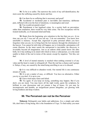M: To be is to suffer. The narrower the circle of my self-identification, the more acute the suffering caused by desire and fear.

Q: Can there be no suffering that is necessary and good?

M: Accidental or incidental pain is inevitable and transitory; deliberate pain, inflicted with even the best of intentions, is meaningless and cruel.

Q: You would not punish crime?

M: Punishment is but legalised crime. In a society built on prevention, rather than retaliation, there would be very little crime. The few exceptions will be treated medically, as of unsound mind and body.

**M:** Begin from the beginning: give attention to the fact that you *are*. At no time can you say 'I was not' all you can say: 'I do not remember'. You know how unreliable is memory. Accept that, engrossed in petty personal affairs you have forgotten what you are; try to bring back the lost memory through the elimination of the known. You cannot be told what will happen, nor is it desirable; anticipation will create illusions. In the inner search the unexpected is inevitable; the discovery is invariably beyond all imagination. Just as an unborn child cannot know life after birth, for it has nothing in its mind with which to form a valid picture, so is the mind unable to think of the real in terms of the unreal, except by negation: 'Not this, not that'.

M: A level of mental maturity is reached when nothing external is of any value and the heart is ready to relinquish all. Then the real has a chance and it grasps it. Delays, if any, are caused by the mind being unwilling to see or to discard.

Q: It is very difficult to abandon words. Our mental life is one continuous stream of words.

M: It is not a matter of easy, or difficult. You have no alternative. Either you try or you don't. It is up to you.

Q: I have tried many times and failed.

M: Try again. If you keep on trying, something may happen. But if you don't, you are stuck. You may know all the right words, quote the scriptures, be brilliant in your discussions and yet remain a bag of bones. Or you may be inconspicuous and humble, an insignificant person altogether, yet glowing with loving kindness and deep wisdom.

## 99. The Perceived can not be the Perceiver

Maharaj: Relinquish your habits and addictions, live a simple and sober life, don't hurt a living being; this is the foundation of Yoga. To find reality you must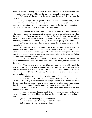be real in the smallest daily action; there can be no deceit in the search for truth. You say you find your life enjoyable. Maybe it is -- at present. But who enjoys it?

Q: I confess I do not know the enjoyer nor the enjoyed. I only know the enjoyment.

M: Quite right. But enjoyment is a state of mind -- it comes and goes. Its very impermanence makes it perceivable. You cannot be conscious of what does not change. All consciousness is consciousness of change. But the very perception of change -- does it not necessitate a changeless background?

M: Between the remembered and the actual there is a basic difference which can be observed from moment to moment. At no point of time is the actual the remembered. Between the two there is a difference in kind, not merely in intensity. The actual is unmistakably so. By no effort of will or imagination can you interchange the two. Now, what is it that gives this unique quality to the actual?

Q: The actual is real, while there is a good deal of uncertainty about the remembered.

M: Quite so, but why? A moment back the remembered was actual, in a moment the actual will be the remembered. What makes the actual unique? Obviously, it is your sense of being present. In memory and anticipation there is a clear feeling that it is a mental state under observation, while in the actual the feeling is primarily of being present and aware.

Q: Yes I can see. It is awareness that makes the difference between the actual and the remembered. One thinks of the past or the future, but one is present in the now.

M: Wherever you go, the sense of here and now you carry with you all the time. It means that you are independent of space and time, that space and time are in you, not you in them. It is your self-identification with the body, which, of course, is limited in space and time, that gives you the feeling of finiteness. In reality you are infinite and eternal.

Q: This infinite and eternal self of mine, how am I to know it?

M: The self you want to know, is it some second self? Are you made of several selves? Surely, there is only one self and you are that self. The self you are is the only self there is. Remove and abandon your wrong ideas about yourself and there it is, in all its glory. It is only your mind that prevents self-knowledge.

Q: How am I to be rid of the mind? And is life without mind at all possible on the human level?

M: There is no such thing as mind. There are ideas and some of them are wrong. Abandon the wrong ideas, for they are false and obstruct your vision of yourself.

Q: Which ideas are wrong and which are true?

M: Assertions are usually wrong and denials -- right.

Q: One cannot live by denying everything!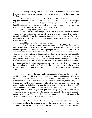M: Only by denying can one live. Assertion is bondage. To question and deny is necessary. It is the essence of revolt and without revolt there can be no freedom.

There is no second, or higher self to search for. You are the highest self, only give up the false ideas you have about your self. Both faith and reason tell you that you are neither the body, nor its desires and fears, nor are you the mind with its fanciful ideas, nor the role society compels you to play, the person you are supposed to be. Give up the false and the true will come into its own.

Q: I find being alive a painful state.

M: You cannot be alive for you are life itself. It is the person you imagine yourself to be that suffers, not you. Dissolve it in awareness. It is merely a bundle of memories and habits. From the awareness of the unreal to the awareness of your real nature there is a chasm which you will easily cross, once you have mastered the art of pure awareness.

Q: All I know is that I do not know myself.

M: How do you know, that you do not know your Self? Your direct insight tells you that yourself you know first, for nothing exists to you without your being there to experience its existence. You imagine you do not know your Self, because you cannot describe your Self. You can always say: 'I know that I am' and you will refuse as untrue the statement: 'I am not'. But whatever can be described cannot be your Self, and what you are cannot be described. You can only know your Self by being yourself without any attempt at self-definition and self-description. Once you have understood that you are nothing perceivable or conceivable, that whatever appears in the field of consciousness cannot be your Self, you will apply yourself to the eradication of all self-identification, as the only way that can take you to a deeper realisation of your Self. You literally progress by rejection -- a veritable rocket.

M: You create disharmony and then complain! When you desire and fear, and identify yourself with your feelings, you create sorrow and bondage. When you create, with love and wisdom, and remain unattached to your creations, the result is harmony and peace. But whatever be the condition of your mind, in what way does it reflect on you? It is only your self-identification with your mind that makes you happy or unhappy. Rebel against your slavery to your mind, see your bonds as selfcreated and break the chains of attachment and revulsion. Keep in mind your goal of freedom, until it dawns on you that you are already free, that freedom is not something in the distant future to be earned with painful efforts, but perennially one's own, to be used! Liberation is not an acquisition but a matter of courage, the courage to believe that you are free already and to act on it.

M: Stop, look, investigate, ask the right questions, come to the right conclusions and have the courage to act on them and see what happens. The first steps may bring the roof down on your head, but soon the commotion will clear and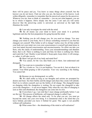there will be peace and joy. You know so many things about yourself, but the knower you do not know. Find out who you are, the knower of the known. Look within diligently, remember to remember that the perceived cannot be the perceiver. Whatever you see, hear or think of, remember -- you are not what happens, you are he to whom it happens. Delve deeply into the sense 'I am' and you will surely discover that the perceiving centre is universal, as universal as the light that illumines the world.

Q: I can only investigate the mind with the mind.

M: By all means use your mind to know your mind. It is perfectly legitimate and also the best preparation for going beyond the mind.

M: Nothing you do will change you, for you need no change. You may change your mind or your body, but it is always something external to you that has changed, not yourself. Why bother at all to change? realise once for all that neither your body nor your mind, nor even your consciousness is yourself and stand alone in your true nature beyond consciousness and unconsciousness. No effort can take you there, only the clarity of understanding. Trace your misunderstandings and abandon them, that is all. There is nothing to seek and find, for there is nothing lost. Relax and watch the 'I am'. Reality is just behind it. Keep quiet, keep silent; it will emerge, or, rather, it will take you in.

Q: Must I not get rid of my body and mind first?

M: You cannot, for the very idea binds you to them. Just understand and disregard.

Q: You want me to remember to forget!

M: Yes, it looks so. Yet, it is not hopeless. You can do it. Just set about it in earnest. Your blind groping is full of promise. Your very searching is the finding. You cannot fail.

Q: Because we are disintegrated, we suffer.

M: We shall suffer as long as our thoughts and actions are prompted by desires and fears. See their futility and the danger and chaos they create will subside. Don't try to reform yourself, just see the futility of all change. The changeful keeps on changing while the changeless is waiting. Do not expect the changeful to take you to the changeless -- it can never happen. Only when the very idea of changing is seen as false and abandoned, the changeless can come into its own.

Q: Everywhere I go, l am told that I must change profoundly before I can see the real. This process of deliberate, self-imposed change is called Yoga.

M: All change affects the mind only. To be what you are, you must go beyond the mind, into your own being. It is immaterial what is the mind that you leave behind, provided you leave it behind for good. This again is not possible without self-realisation.

Q: What comes first -- the abandoning of the mind or self-realisation?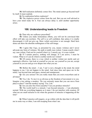M: Self-realisation definitely comes first. The mind cannot go beyond itself by itself. It must explode.

Q: No exploration before explosion?

M: The explosive power comes from the real. But you are well advised to have your mind ready for it. Fear can always delay it, until another opportunity arises.

# 100. Understanding leads to Freedom

Q: Then why are sadhanas prescribed?

M: Unless you make tremendous efforts, you will not be convinced that effort will take you nowhere. The self is so self confident, that unless it is totally discouraged, it will not give up. Mere verbal conviction is not enough. Hard facts alone can show the absolute nothingness of the self-image.

M: I agree that *Yoga*, as presented by you, means violence and I never advocate any form of violence. My path is totally non-violent. I mean exactly what I say: non-violent. Find out for yourself what it is. I merely say: it is non-violent.

Q: If I remain passive, nothing will change. If I am active, I must be violent. What is it I can do which is neither sterile nor violent?

M: Of course, there is a way which is neither violent nor sterile and yet supremely effective. Just look at yourself as you are, see yourself as you are, accept yourself as you are and go ever deeper into what you are.

M: Before the mind -- I am. 'I am' is not a thought in the mind; the mind happens to me, I do not happen to the mind. And since time and space are in the mind, I am beyond time and space, eternal and omnipresent.

Q: Are you serious? Do you really mean that you exist everywhere and at all times?

M: Yes, I do. To me it is as obvious as the freedom of movement is to you. Imagine a tree asking a monkey: 'Do you seriously mean that you can move from place to place?' And the monkey saying: 'Yes. I do.'

Q: Are you also free from causality? Can you produce miracles?

M: The world itself is a miracle. I am beyond miracles -- I am absolutely normal. With me everything happens as it must. I do not interfere with creation. Of what use are small miracles to me when the greatest of miracles is happening all the time?

Q: When I practice self-enquiry, or go within with the idea that it will profit me in some way or other, I am still escaping from what I am.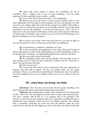M: Quite right. True enquiry is always into something, not out of something. When I enquire how to get, or avoid something, I am not really inquiring. To know anything I must accept it -- totally.

Q: Yes, to know God I must accept God -- how frightening!

M: Before you can accept God, you must accept yourself, which is even more frightening. The first steps in self acceptance are not at all pleasant, for what one sees is not a happy sight. One needs all the courage to go further. What helps is silence. Look at yourself in total silence, do not describe yourself. Look at the being you believe you are and remember -- you are not what you see. 'This I am not - what am 1?' is the movement of self-enquiry. There are no other means to liberation, all means delay. Resolutely reject what you are not, till the real Self emerges in its glorious nothingness, its 'not-a-thingness.'

M: As long as you divide events into good and evil, you may be right. In fact, good becomes evil and evil becomes good by their own fulfilment.

Q: Is brahmacharya, continence, imperative in Yoga?

M: A life of constraint and suppression is not Yoga. Mind must be free of desires and relaxed. It comes with understanding, not with determination, which is but another form of memory. An understanding mind is free of desires and fears.

Q: How can I make myself understand?

M: By meditating which means giving attention. Become fully aware of your problem, look at it from all sides, watch how it affects your life. Then leave it alone. You can't do more than that.

Q: Will it set me free?

M: You are free from what you have understood. The outer expressions of freedom may take time to appear, but they are already there. Do not expect perfection. There is no perfection in manifestation. Details must clash. No problem is solved completely, but you can withdraw from it to a level on which it does not operate.

## 101. Jnani does not Grasp, nor Hold

**Questioner:** How does the *jnani* proceed when he needs something to be done? Does he make plans, decide about details and execute them?

Maharaj: *Jnani* understands a situation fully and knows at once what needs be done. That is all. The rest happens by itself, and to a large extent unconsciously. The *jnani's* identity with all that is, is so complete, that as he responds to the universe, so does the universe respond to him. He is supremely confident that once a situation has been cognised, events will move in adequate response. The ordinary man is personally concerned, he counts his risks and chances, while the *jnani* remains aloof, sure that all will happen as it must; and it does not matter much what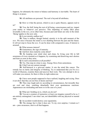happens, for ultimately the return to balance and harmony is inevitable. The heart of things is at peace.

M: All attributes are personal. The real is beyond all attributes.

Q: How is it that the person, which to you is quite illusory, appears real to us?

M: You, the Self, being the root of all being, consciousness and joy, impart your reality to whatever you perceive. This imparting of reality takes place invariably in the *now*, at no other time, because past and future are only in the mind. 'Being' applies to the now only.

Q: Is not eternity endless too?

M: Time is endless, though limited, eternity is in the split moment of the now. We miss it because the mind is ever shuttling between the past and the future. It will not stop to focus the *now*. It can be done with comparative ease, if interest is aroused.

Q: What arouses interest?

M: Earnestness, the sign of maturity.

Q: And how does maturity come about?

M: By keeping your mind clear and clean, by living your life in full awareness of every moment as it happens, by examining and dissolving one's desires and fears as soon as they arise.

Q: Is such concentration at all possible?

M: Try. One step at a time is easy. Energy flows from earnestness.

Q: I find I am not earnest enough.

M: Self-betrayal is a grievous matter. It rots the mind like cancer. The remedy lies in clarity and integrity of thinking. Try to understand that you live in a world of illusions, examine them and uncover their roots. The very attempt to do so will make you earnest, for there is bliss in right endeavour.

Q: I have seen people supposed to have realised, laughing and crying. Does it not show that they are not free of desire and fear?

M: They may laugh and cry according to circumstances, but inwardly they are cool and clear, watching detachedly their own spontaneous reactions. Appearances are misleading and more so in the case of a jnani.

Q: What am I holding on to, which you do not?

**M:** You are a creature of memories; at least you imagine yourself to be so. I am entirely unimagined. I am what I am, not identifiable with any physical or mental state.

Q: An accident would destroy your equanimity.

M: The strange fact is that it does not. To my own surprise, I remain as I am -- pure awareness, alert to all that happens.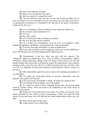Q: Even at the Moment of death?

**M:** What is it to me that the body dies?

Q: Don't you need it to contact the world?

M: I do not need the world. Nor am I in one. The world you think of is in your own mind. I can see it through your eyes and mind, but I am fully aware that it is a projection of memories; it is touched by the real only at the point of awareness, which can be only *now*.

M: Love is boundless. What is limited to a few cannot be called love.

Q: Do you know such unlimited love?

M: Yes, l do.

Q: How does it feel?

M: All is loved and lovable. Nothing is excluded.

Q: Not even the ugly and the criminal?

M: All is within my consciousness; all is my own. It is madness to split oneself through likes and dislikes. I am beyond both. I am not alienated.

Q: To be free from like and dislike is a state of indifference.

M: It may look and feel so in the beginning. Persevere in such indifference and it will blossom into an all-pervading and all-embracing love.

M: Discontinuity is the law, when you deal with the concrete: The continuous cannot be experienced, for it has no borders. Consciousness implies alterations, change followings change, when one thing or state comes to an end and another begins; that which has no borderline cannot be experienced in the common meaning of the word. One can only be it, without knowing, but one can know what it is not. It is definitely not the entire content of consciousness which is always on the move.

Q: If the immovable cannot be known, what is the meaning and purpose of its realisation?

M: To realise the immovable means to become immovable. And the purpose is the good of all that lives.

Q: Life is movement. Immobility is death. Of what use is death to life?

M: I am talking of immovability, not of immobility.

Q: As I watch my mind I find it changing all the time, mood succeeding mood in infinite variety, while you seem to be perpetually in the same mood of cheerful benevolence.

M: Moods are in the mind and do not matter. Go within, go beyond. Cease being fascinated by the content of your consciousness. When you reach the deep layers of your true being, you will find that the mind's surface-play affects you very little.

Q: There will be play all the same?

M: A quiet mind is not a dead mind.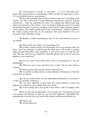Q: Consciousness is always in movement -- it is an observable fact. Immovable consciousness is a contradiction. When you talk of a quiet mind, what is it? Is not mind the same as consciousness?

M: We must remember that words are used in many ways, according to the context. The fact is that there is little difference between the conscious and the unconscious --- they are essentially the same. The waking state differs from deep sleep in the presence of the witness. A ray of awareness illumines a part of our mind and that part becomes our dream or waking consciousness, while awareness appears as the witness. The witness usually knows only consciousness. Sadhana consists in the witness turning back first on his conscious, then upon himself in his own awareness. Self-awareness is Yoga.

M: Reality is within consciousness, but it is not consciousness nor any of its contents.

Q: What is false, the world, or my knowledge of it?

M: Is there a world outside your knowledge? Can you go beyond what you know? You may postulate a world beyond the mind, but it will remain a concept, unproved and unprovable. Your experience is your proof, and it is valid for you only. Who else can have your experience, when the other person is only as real as he appears in your experience?

Q: Are you a part of the world which I have in consciousness, or are you independent?

M: What you see is yours and what I see is mine. The two have little in common.

Q: There must be some common factor which unites us.

M: To find the common factor you must abandon all distinctions. Only the universal is in common.

Q: I am in a world which I do not understand and therefore, I am afraid of it. This is everybody's experience.

M: You have separated yourself from the world, therefore it pains and frightens you. Discover your mistake and be free of fear.

Q: You are asking me to give up the world, while I want to be happy in the world.

M: If you ask for the impossible, who can help you? The limited is bound to be painful and pleasant in turns. If you seek real happiness, unassailable and unchangeable, you must leave the world with its pains and pleasures behind you.

> Q: What is sin? M: All that binds you.